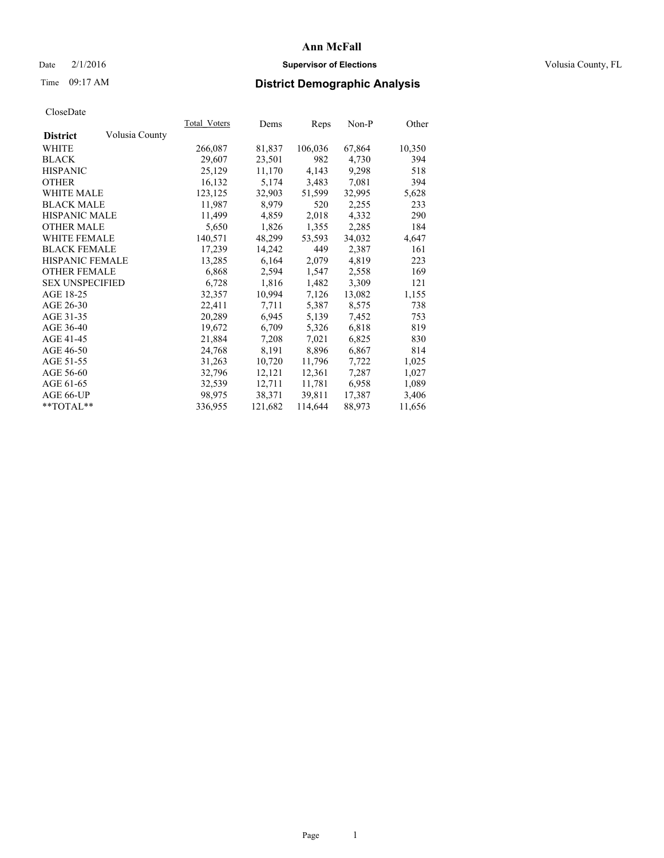### Date  $2/1/2016$  **Supervisor of Elections Supervisor of Elections** Volusia County, FL

# Time 09:17 AM **District Demographic Analysis**

|                                   | Total Voters | Dems    | Reps    | Non-P  | Other  |
|-----------------------------------|--------------|---------|---------|--------|--------|
| Volusia County<br><b>District</b> |              |         |         |        |        |
| WHITE                             | 266,087      | 81,837  | 106,036 | 67,864 | 10,350 |
| <b>BLACK</b>                      | 29,607       | 23,501  | 982     | 4,730  | 394    |
| <b>HISPANIC</b>                   | 25,129       | 11,170  | 4,143   | 9,298  | 518    |
| <b>OTHER</b>                      | 16,132       | 5,174   | 3,483   | 7,081  | 394    |
| WHITE MALE                        | 123,125      | 32,903  | 51,599  | 32,995 | 5,628  |
| <b>BLACK MALE</b>                 | 11,987       | 8,979   | 520     | 2,255  | 233    |
| <b>HISPANIC MALE</b>              | 11,499       | 4,859   | 2,018   | 4,332  | 290    |
| <b>OTHER MALE</b>                 | 5,650        | 1,826   | 1,355   | 2,285  | 184    |
| <b>WHITE FEMALE</b>               | 140,571      | 48,299  | 53,593  | 34,032 | 4,647  |
| <b>BLACK FEMALE</b>               | 17,239       | 14,242  | 449     | 2,387  | 161    |
| <b>HISPANIC FEMALE</b>            | 13,285       | 6,164   | 2,079   | 4,819  | 223    |
| <b>OTHER FEMALE</b>               | 6,868        | 2,594   | 1,547   | 2,558  | 169    |
| <b>SEX UNSPECIFIED</b>            | 6,728        | 1,816   | 1,482   | 3,309  | 121    |
| AGE 18-25                         | 32,357       | 10,994  | 7,126   | 13,082 | 1,155  |
| AGE 26-30                         | 22,411       | 7.711   | 5,387   | 8,575  | 738    |
| AGE 31-35                         | 20,289       | 6,945   | 5,139   | 7,452  | 753    |
| AGE 36-40                         | 19,672       | 6,709   | 5,326   | 6,818  | 819    |
| AGE 41-45                         | 21,884       | 7,208   | 7,021   | 6,825  | 830    |
| AGE 46-50                         | 24,768       | 8,191   | 8,896   | 6,867  | 814    |
| AGE 51-55                         | 31,263       | 10,720  | 11,796  | 7,722  | 1,025  |
| AGE 56-60                         | 32,796       | 12,121  | 12,361  | 7,287  | 1,027  |
| AGE 61-65                         | 32,539       | 12,711  | 11,781  | 6,958  | 1,089  |
| AGE 66-UP                         | 98,975       | 38,371  | 39,811  | 17,387 | 3,406  |
| **TOTAL**                         | 336,955      | 121,682 | 114,644 | 88,973 | 11,656 |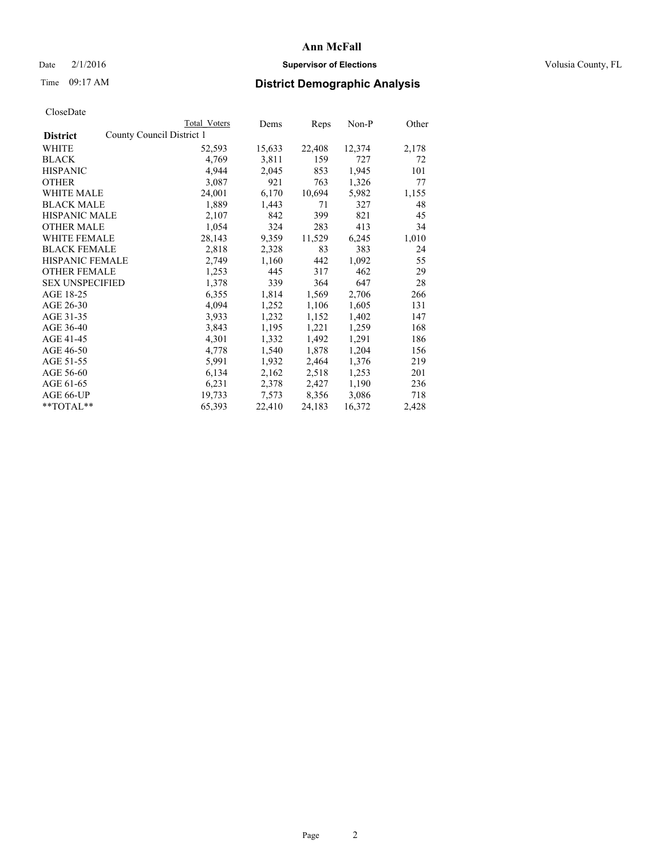### Date  $2/1/2016$  **Supervisor of Elections Supervisor of Elections** Volusia County, FL

# Time 09:17 AM **District Demographic Analysis**

|                        |                           | <b>Total Voters</b> | Dems   | <b>Reps</b> | $Non-P$ | Other |
|------------------------|---------------------------|---------------------|--------|-------------|---------|-------|
| <b>District</b>        | County Council District 1 |                     |        |             |         |       |
| WHITE                  |                           | 52,593              | 15,633 | 22,408      | 12,374  | 2,178 |
| <b>BLACK</b>           |                           | 4,769               | 3,811  | 159         | 727     | 72    |
| <b>HISPANIC</b>        |                           | 4,944               | 2,045  | 853         | 1,945   | 101   |
| <b>OTHER</b>           |                           | 3,087               | 921    | 763         | 1,326   | 77    |
| <b>WHITE MALE</b>      |                           | 24,001              | 6,170  | 10,694      | 5,982   | 1,155 |
| <b>BLACK MALE</b>      |                           | 1,889               | 1,443  | 71          | 327     | 48    |
| <b>HISPANIC MALE</b>   |                           | 2,107               | 842    | 399         | 821     | 45    |
| <b>OTHER MALE</b>      |                           | 1,054               | 324    | 283         | 413     | 34    |
| WHITE FEMALE           |                           | 28,143              | 9,359  | 11,529      | 6,245   | 1,010 |
| <b>BLACK FEMALE</b>    |                           | 2,818               | 2,328  | 83          | 383     | 24    |
| HISPANIC FEMALE        |                           | 2,749               | 1,160  | 442         | 1,092   | 55    |
| <b>OTHER FEMALE</b>    |                           | 1,253               | 445    | 317         | 462     | 29    |
| <b>SEX UNSPECIFIED</b> |                           | 1,378               | 339    | 364         | 647     | 28    |
| AGE 18-25              |                           | 6,355               | 1,814  | 1,569       | 2,706   | 266   |
| AGE 26-30              |                           | 4,094               | 1,252  | 1,106       | 1,605   | 131   |
| AGE 31-35              |                           | 3,933               | 1,232  | 1,152       | 1,402   | 147   |
| AGE 36-40              |                           | 3,843               | 1,195  | 1,221       | 1,259   | 168   |
| AGE 41-45              |                           | 4,301               | 1,332  | 1,492       | 1,291   | 186   |
| AGE 46-50              |                           | 4,778               | 1,540  | 1,878       | 1,204   | 156   |
| AGE 51-55              |                           | 5,991               | 1,932  | 2,464       | 1,376   | 219   |
| AGE 56-60              |                           | 6,134               | 2,162  | 2,518       | 1,253   | 201   |
| AGE 61-65              |                           | 6,231               | 2,378  | 2,427       | 1,190   | 236   |
| AGE 66-UP              |                           | 19,733              | 7,573  | 8,356       | 3,086   | 718   |
| **TOTAL**              |                           | 65,393              | 22,410 | 24,183      | 16,372  | 2,428 |
|                        |                           |                     |        |             |         |       |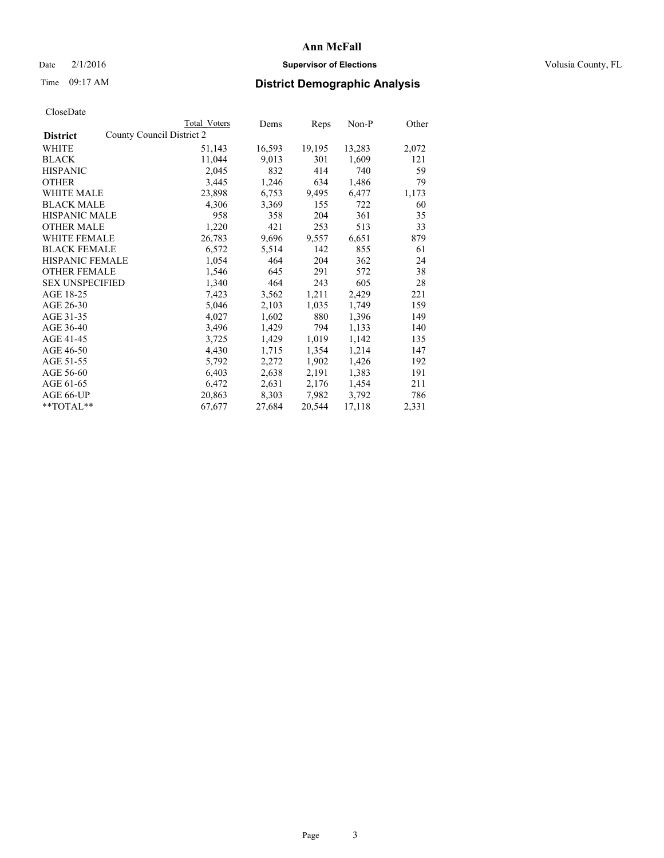### Date  $2/1/2016$  **Supervisor of Elections Supervisor of Elections** Volusia County, FL

# Time 09:17 AM **District Demographic Analysis**

|                                              | Total Voters | Dems   | Reps   | $Non-P$ | Other |
|----------------------------------------------|--------------|--------|--------|---------|-------|
| County Council District 2<br><b>District</b> |              |        |        |         |       |
| WHITE                                        | 51,143       | 16,593 | 19,195 | 13,283  | 2,072 |
| <b>BLACK</b>                                 | 11,044       | 9,013  | 301    | 1,609   | 121   |
| <b>HISPANIC</b>                              | 2,045        | 832    | 414    | 740     | 59    |
| <b>OTHER</b>                                 | 3,445        | 1,246  | 634    | 1,486   | 79    |
| <b>WHITE MALE</b>                            | 23,898       | 6,753  | 9,495  | 6,477   | 1,173 |
| <b>BLACK MALE</b>                            | 4,306        | 3,369  | 155    | 722     | 60    |
| <b>HISPANIC MALE</b>                         | 958          | 358    | 204    | 361     | 35    |
| <b>OTHER MALE</b>                            | 1,220        | 421    | 253    | 513     | 33    |
| WHITE FEMALE                                 | 26,783       | 9,696  | 9,557  | 6,651   | 879   |
| <b>BLACK FEMALE</b>                          | 6,572        | 5,514  | 142    | 855     | 61    |
| <b>HISPANIC FEMALE</b>                       | 1,054        | 464    | 204    | 362     | 24    |
| <b>OTHER FEMALE</b>                          | 1,546        | 645    | 291    | 572     | 38    |
| <b>SEX UNSPECIFIED</b>                       | 1,340        | 464    | 243    | 605     | 28    |
| AGE 18-25                                    | 7,423        | 3,562  | 1,211  | 2,429   | 221   |
| AGE 26-30                                    | 5,046        | 2,103  | 1,035  | 1,749   | 159   |
| AGE 31-35                                    | 4,027        | 1,602  | 880    | 1,396   | 149   |
| AGE 36-40                                    | 3,496        | 1,429  | 794    | 1,133   | 140   |
| AGE 41-45                                    | 3,725        | 1,429  | 1,019  | 1,142   | 135   |
| AGE 46-50                                    | 4,430        | 1,715  | 1,354  | 1,214   | 147   |
| AGE 51-55                                    | 5,792        | 2,272  | 1,902  | 1,426   | 192   |
| AGE 56-60                                    | 6,403        | 2,638  | 2,191  | 1,383   | 191   |
| AGE 61-65                                    | 6,472        | 2,631  | 2,176  | 1,454   | 211   |
| AGE 66-UP                                    | 20,863       | 8,303  | 7,982  | 3,792   | 786   |
| $*$ $TOTAL**$                                | 67,677       | 27,684 | 20,544 | 17,118  | 2,331 |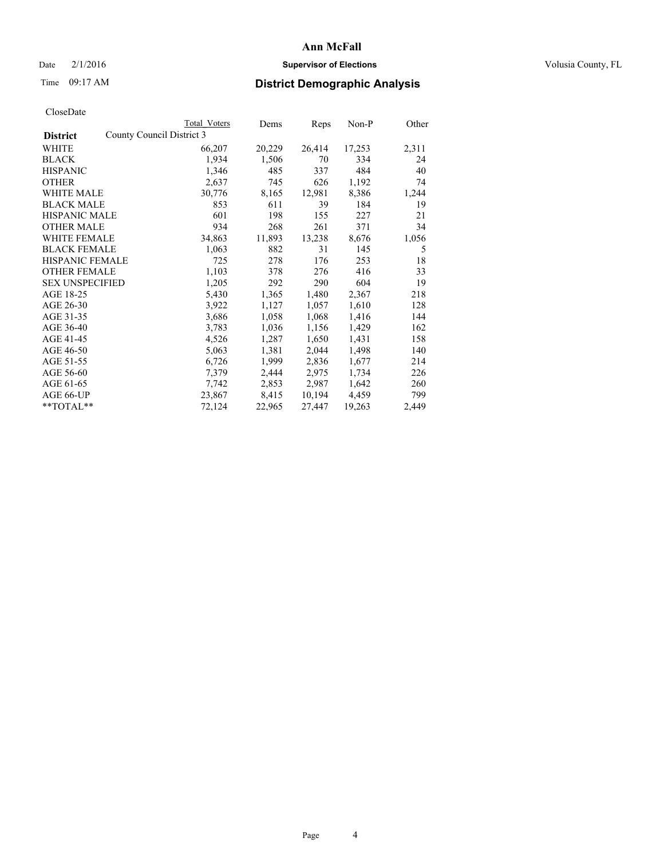### Date  $2/1/2016$  **Supervisor of Elections Supervisor of Elections** Volusia County, FL

# Time 09:17 AM **District Demographic Analysis**

|                        |                           | <b>Total Voters</b> | Dems   | Reps   | Non-P  | Other |
|------------------------|---------------------------|---------------------|--------|--------|--------|-------|
| <b>District</b>        | County Council District 3 |                     |        |        |        |       |
| WHITE                  |                           | 66,207              | 20,229 | 26,414 | 17,253 | 2,311 |
| BLACK                  |                           | 1,934               | 1,506  | 70     | 334    | 24    |
| <b>HISPANIC</b>        |                           | 1,346               | 485    | 337    | 484    | 40    |
| <b>OTHER</b>           |                           | 2,637               | 745    | 626    | 1,192  | 74    |
| WHITE MALE             |                           | 30,776              | 8,165  | 12,981 | 8,386  | 1,244 |
| <b>BLACK MALE</b>      |                           | 853                 | 611    | 39     | 184    | 19    |
| <b>HISPANIC MALE</b>   |                           | 601                 | 198    | 155    | 227    | 21    |
| OTHER MALE             |                           | 934                 | 268    | 261    | 371    | 34    |
| <b>WHITE FEMALE</b>    |                           | 34,863              | 11,893 | 13,238 | 8,676  | 1,056 |
| <b>BLACK FEMALE</b>    |                           | 1,063               | 882    | 31     | 145    | 5     |
| HISPANIC FEMALE        |                           | 725                 | 278    | 176    | 253    | 18    |
| <b>OTHER FEMALE</b>    |                           | 1,103               | 378    | 276    | 416    | 33    |
| <b>SEX UNSPECIFIED</b> |                           | 1,205               | 292    | 290    | 604    | 19    |
| AGE 18-25              |                           | 5,430               | 1,365  | 1,480  | 2,367  | 218   |
| AGE 26-30              |                           | 3,922               | 1,127  | 1,057  | 1,610  | 128   |
| AGE 31-35              |                           | 3,686               | 1,058  | 1,068  | 1,416  | 144   |
| AGE 36-40              |                           | 3,783               | 1,036  | 1,156  | 1,429  | 162   |
| AGE 41-45              |                           | 4,526               | 1,287  | 1,650  | 1,431  | 158   |
| AGE 46-50              |                           | 5,063               | 1,381  | 2,044  | 1,498  | 140   |
| AGE 51-55              |                           | 6,726               | 1,999  | 2,836  | 1,677  | 214   |
| AGE 56-60              |                           | 7,379               | 2,444  | 2,975  | 1,734  | 226   |
| AGE 61-65              |                           | 7,742               | 2,853  | 2,987  | 1,642  | 260   |
| AGE 66-UP              |                           | 23,867              | 8,415  | 10,194 | 4,459  | 799   |
| **TOTAL**              |                           | 72,124              | 22,965 | 27,447 | 19,263 | 2,449 |
|                        |                           |                     |        |        |        |       |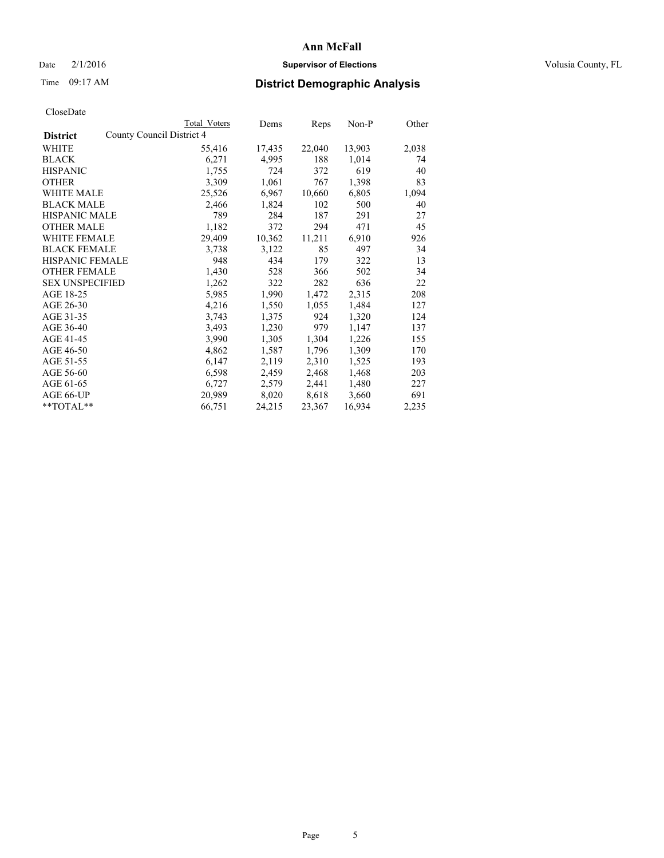### Date  $2/1/2016$  **Supervisor of Elections Supervisor of Elections** Volusia County, FL

# Time 09:17 AM **District Demographic Analysis**

| Total Voters | Dems                      |        | Non-P  | Other |
|--------------|---------------------------|--------|--------|-------|
|              |                           |        |        |       |
| 55,416       | 17,435                    | 22,040 | 13,903 | 2,038 |
| 6,271        | 4,995                     | 188    | 1,014  | 74    |
| 1,755        | 724                       | 372    | 619    | 40    |
| 3,309        | 1,061                     | 767    | 1,398  | 83    |
| 25,526       | 6,967                     | 10,660 | 6,805  | 1,094 |
| 2,466        | 1,824                     | 102    | 500    | 40    |
| 789          | 284                       | 187    | 291    | 27    |
| 1,182        | 372                       | 294    | 471    | 45    |
| 29,409       | 10,362                    | 11,211 | 6,910  | 926   |
| 3,738        | 3,122                     | 85     | 497    | 34    |
| 948          | 434                       | 179    | 322    | 13    |
| 1,430        | 528                       | 366    | 502    | 34    |
| 1,262        | 322                       | 282    | 636    | 22    |
| 5,985        | 1,990                     | 1,472  | 2,315  | 208   |
| 4,216        | 1,550                     | 1,055  | 1,484  | 127   |
| 3,743        | 1,375                     | 924    | 1,320  | 124   |
| 3,493        | 1,230                     | 979    | 1,147  | 137   |
| 3,990        | 1,305                     | 1,304  | 1,226  | 155   |
| 4,862        | 1,587                     | 1,796  | 1,309  | 170   |
| 6,147        | 2,119                     | 2,310  | 1,525  | 193   |
| 6,598        | 2,459                     | 2,468  | 1,468  | 203   |
| 6,727        | 2,579                     | 2,441  | 1,480  | 227   |
| 20,989       | 8,020                     | 8,618  | 3,660  | 691   |
| 66,751       | 24,215                    | 23,367 | 16,934 | 2,235 |
|              | County Council District 4 |        | Reps   |       |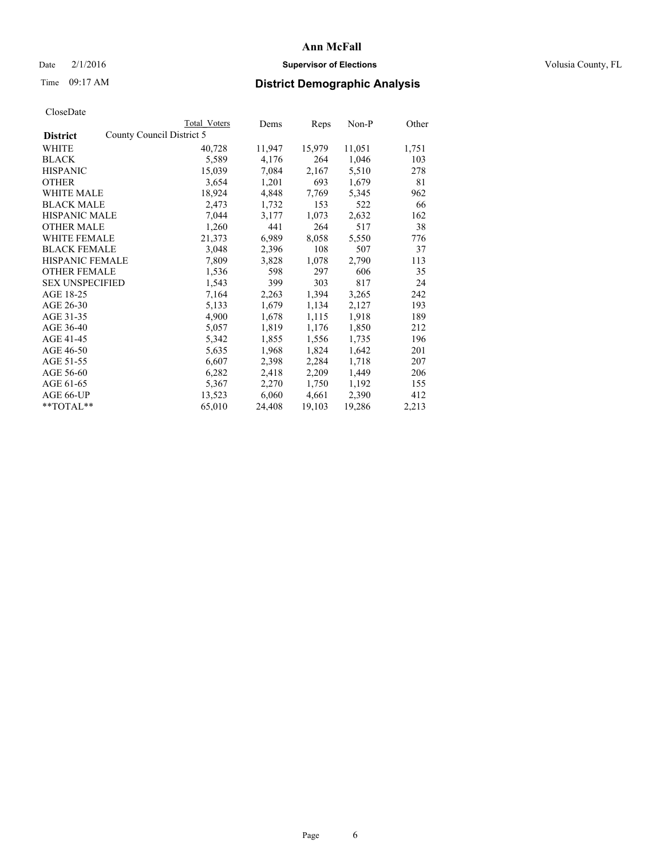### Date  $2/1/2016$  **Supervisor of Elections Supervisor of Elections** Volusia County, FL

# Time 09:17 AM **District Demographic Analysis**

| CloseDate |
|-----------|
|-----------|

|                                              | Total Voters | Dems   | Reps   | Non-P  | Other |
|----------------------------------------------|--------------|--------|--------|--------|-------|
| County Council District 5<br><b>District</b> |              |        |        |        |       |
| <b>WHITE</b>                                 | 40,728       | 11,947 | 15,979 | 11,051 | 1,751 |
| <b>BLACK</b>                                 | 5,589        | 4,176  | 264    | 1,046  | 103   |
| <b>HISPANIC</b>                              | 15,039       | 7,084  | 2,167  | 5,510  | 278   |
| <b>OTHER</b>                                 | 3,654        | 1,201  | 693    | 1,679  | 81    |
| <b>WHITE MALE</b>                            | 18,924       | 4,848  | 7.769  | 5,345  | 962   |
| <b>BLACK MALE</b>                            | 2,473        | 1,732  | 153    | 522    | 66    |
| <b>HISPANIC MALE</b>                         | 7,044        | 3,177  | 1,073  | 2,632  | 162   |
| <b>OTHER MALE</b>                            | 1,260        | 441    | 264    | 517    | 38    |
| <b>WHITE FEMALE</b>                          | 21,373       | 6,989  | 8,058  | 5,550  | 776   |
| <b>BLACK FEMALE</b>                          | 3,048        | 2,396  | 108    | 507    | 37    |
| HISPANIC FEMALE                              | 7,809        | 3,828  | 1,078  | 2,790  | 113   |
| <b>OTHER FEMALE</b>                          | 1,536        | 598    | 297    | 606    | 35    |
| <b>SEX UNSPECIFIED</b>                       | 1,543        | 399    | 303    | 817    | 24    |
| AGE 18-25                                    | 7,164        | 2,263  | 1,394  | 3,265  | 242   |
| AGE 26-30                                    | 5,133        | 1,679  | 1,134  | 2,127  | 193   |
| AGE 31-35                                    | 4,900        | 1,678  | 1,115  | 1,918  | 189   |
| AGE 36-40                                    | 5,057        | 1,819  | 1,176  | 1,850  | 212   |
| AGE 41-45                                    | 5,342        | 1,855  | 1,556  | 1,735  | 196   |
| AGE 46-50                                    | 5,635        | 1,968  | 1,824  | 1,642  | 201   |
| AGE 51-55                                    | 6,607        | 2,398  | 2,284  | 1,718  | 207   |
| AGE 56-60                                    | 6,282        | 2,418  | 2,209  | 1,449  | 206   |
| AGE 61-65                                    | 5,367        | 2,270  | 1,750  | 1,192  | 155   |
| AGE 66-UP                                    | 13,523       | 6,060  | 4,661  | 2,390  | 412   |
| $*$ TOTAL $*$                                | 65,010       | 24,408 | 19,103 | 19,286 | 2,213 |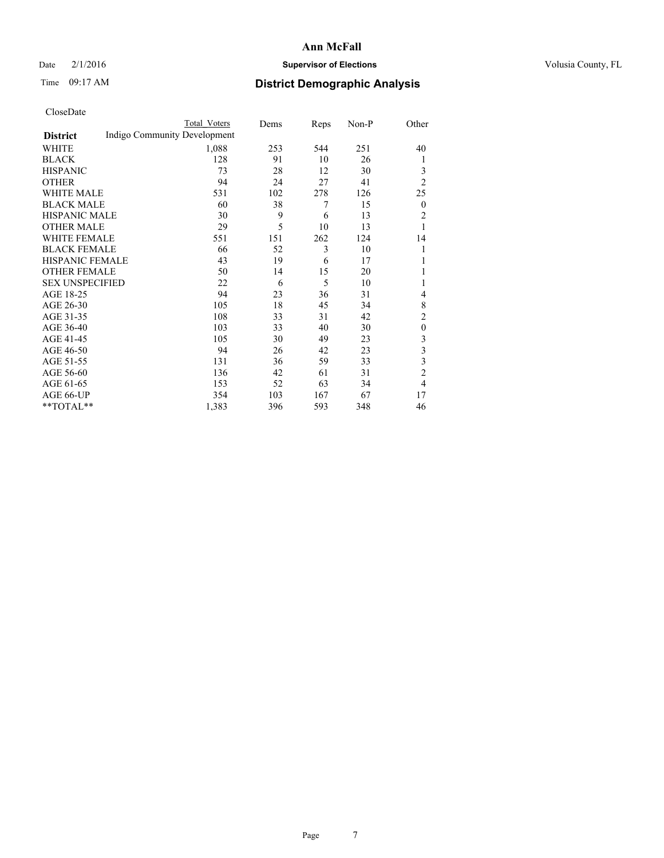### Date  $2/1/2016$  **Supervisor of Elections Supervisor of Elections** Volusia County, FL

# Time 09:17 AM **District Demographic Analysis**

|                        |                              | Total Voters | Dems | Reps | Non-P | Other                   |
|------------------------|------------------------------|--------------|------|------|-------|-------------------------|
| <b>District</b>        | Indigo Community Development |              |      |      |       |                         |
| WHITE                  |                              | 1,088        | 253  | 544  | 251   | 40                      |
| <b>BLACK</b>           |                              | 128          | 91   | 10   | 26    | 1                       |
| <b>HISPANIC</b>        |                              | 73           | 28   | 12   | 30    | 3                       |
| <b>OTHER</b>           |                              | 94           | 24   | 27   | 41    | $\overline{2}$          |
| WHITE MALE             |                              | 531          | 102  | 278  | 126   | 25                      |
| <b>BLACK MALE</b>      |                              | 60           | 38   | 7    | 15    | $\boldsymbol{0}$        |
| <b>HISPANIC MALE</b>   |                              | 30           | 9    | 6    | 13    | $\overline{2}$          |
| <b>OTHER MALE</b>      |                              | 29           | 5    | 10   | 13    | 1                       |
| WHITE FEMALE           |                              | 551          | 151  | 262  | 124   | 14                      |
| <b>BLACK FEMALE</b>    |                              | 66           | 52   | 3    | 10    | 1                       |
| <b>HISPANIC FEMALE</b> |                              | 43           | 19   | 6    | 17    | 1                       |
| <b>OTHER FEMALE</b>    |                              | 50           | 14   | 15   | 20    |                         |
| <b>SEX UNSPECIFIED</b> |                              | 22           | 6    | 5    | 10    | 1                       |
| AGE 18-25              |                              | 94           | 23   | 36   | 31    | 4                       |
| AGE 26-30              |                              | 105          | 18   | 45   | 34    | 8                       |
| AGE 31-35              |                              | 108          | 33   | 31   | 42    | $\overline{2}$          |
| AGE 36-40              |                              | 103          | 33   | 40   | 30    | $\mathbf{0}$            |
| AGE 41-45              |                              | 105          | 30   | 49   | 23    | 3                       |
| AGE 46-50              |                              | 94           | 26   | 42   | 23    | 3                       |
| AGE 51-55              |                              | 131          | 36   | 59   | 33    | $\overline{\mathbf{3}}$ |
| AGE 56-60              |                              | 136          | 42   | 61   | 31    | $\overline{c}$          |
| AGE 61-65              |                              | 153          | 52   | 63   | 34    | $\overline{4}$          |
| AGE 66-UP              |                              | 354          | 103  | 167  | 67    | 17                      |
| **TOTAL**              |                              | 1,383        | 396  | 593  | 348   | 46                      |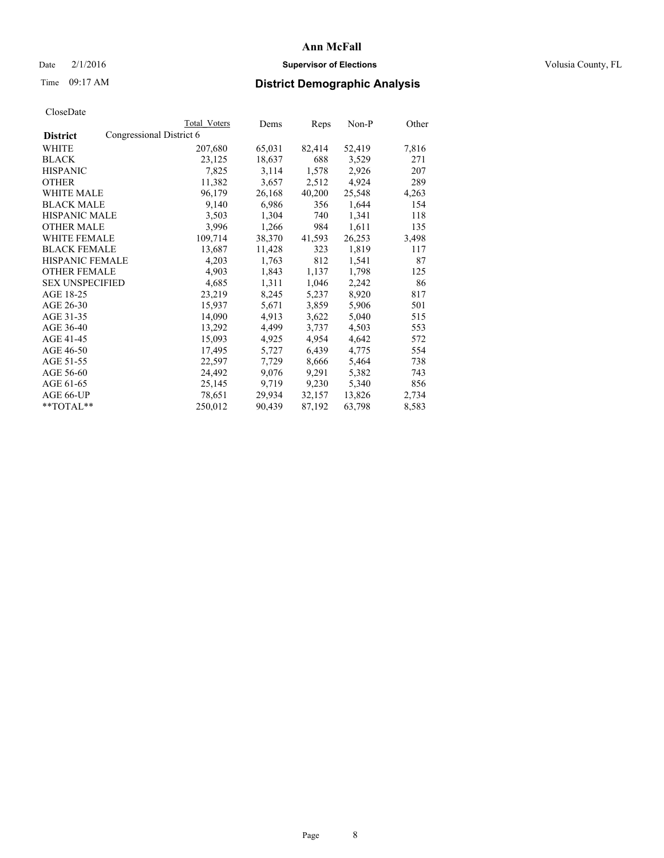### Date  $2/1/2016$  **Supervisor of Elections Supervisor of Elections** Volusia County, FL

# Time 09:17 AM **District Demographic Analysis**

|                        |                          | <b>Total Voters</b> | Dems   | Reps   | Non-P  | Other |
|------------------------|--------------------------|---------------------|--------|--------|--------|-------|
| <b>District</b>        | Congressional District 6 |                     |        |        |        |       |
| WHITE                  |                          | 207,680             | 65,031 | 82,414 | 52,419 | 7,816 |
| <b>BLACK</b>           |                          | 23,125              | 18,637 | 688    | 3,529  | 271   |
| <b>HISPANIC</b>        |                          | 7,825               | 3,114  | 1,578  | 2,926  | 207   |
| <b>OTHER</b>           |                          | 11,382              | 3,657  | 2,512  | 4,924  | 289   |
| WHITE MALE             |                          | 96,179              | 26,168 | 40,200 | 25,548 | 4,263 |
| <b>BLACK MALE</b>      |                          | 9,140               | 6,986  | 356    | 1,644  | 154   |
| <b>HISPANIC MALE</b>   |                          | 3,503               | 1,304  | 740    | 1,341  | 118   |
| <b>OTHER MALE</b>      |                          | 3,996               | 1,266  | 984    | 1,611  | 135   |
| <b>WHITE FEMALE</b>    |                          | 109,714             | 38,370 | 41,593 | 26,253 | 3,498 |
| <b>BLACK FEMALE</b>    |                          | 13,687              | 11,428 | 323    | 1,819  | 117   |
| <b>HISPANIC FEMALE</b> |                          | 4,203               | 1,763  | 812    | 1,541  | 87    |
| <b>OTHER FEMALE</b>    |                          | 4,903               | 1,843  | 1,137  | 1,798  | 125   |
| <b>SEX UNSPECIFIED</b> |                          | 4,685               | 1,311  | 1,046  | 2,242  | 86    |
| AGE 18-25              |                          | 23,219              | 8,245  | 5,237  | 8,920  | 817   |
| AGE 26-30              |                          | 15,937              | 5,671  | 3,859  | 5,906  | 501   |
| AGE 31-35              |                          | 14,090              | 4,913  | 3,622  | 5,040  | 515   |
| AGE 36-40              |                          | 13,292              | 4,499  | 3,737  | 4,503  | 553   |
| AGE 41-45              |                          | 15,093              | 4,925  | 4,954  | 4,642  | 572   |
| AGE 46-50              |                          | 17,495              | 5,727  | 6,439  | 4,775  | 554   |
| AGE 51-55              |                          | 22,597              | 7,729  | 8,666  | 5,464  | 738   |
| AGE 56-60              |                          | 24,492              | 9,076  | 9,291  | 5,382  | 743   |
| AGE 61-65              |                          | 25,145              | 9,719  | 9,230  | 5,340  | 856   |
| AGE 66-UP              |                          | 78,651              | 29,934 | 32,157 | 13,826 | 2,734 |
| $*$ TOTAL $*$          |                          | 250,012             | 90,439 | 87,192 | 63,798 | 8,583 |
|                        |                          |                     |        |        |        |       |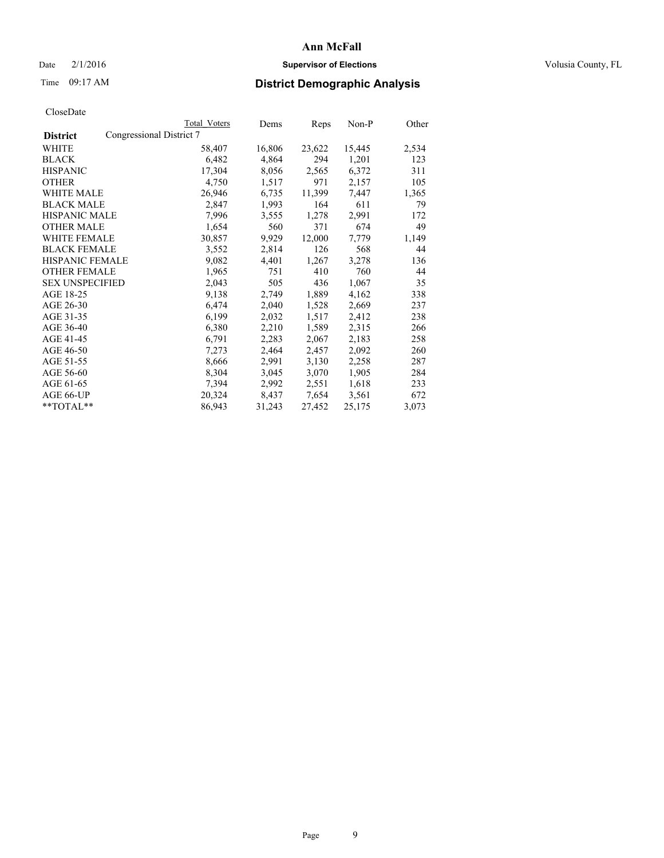### Date  $2/1/2016$  **Supervisor of Elections Supervisor of Elections** Volusia County, FL

# Time 09:17 AM **District Demographic Analysis**

|                                             | Total Voters | Dems   | <u>Reps</u> | $Non-P$ | Other |
|---------------------------------------------|--------------|--------|-------------|---------|-------|
| Congressional District 7<br><b>District</b> |              |        |             |         |       |
| WHITE                                       | 58,407       | 16,806 | 23,622      | 15,445  | 2,534 |
| <b>BLACK</b>                                | 6,482        | 4,864  | 294         | 1,201   | 123   |
| <b>HISPANIC</b>                             | 17,304       | 8,056  | 2,565       | 6,372   | 311   |
| <b>OTHER</b>                                | 4,750        | 1,517  | 971         | 2,157   | 105   |
| <b>WHITE MALE</b>                           | 26,946       | 6,735  | 11,399      | 7,447   | 1,365 |
| <b>BLACK MALE</b>                           | 2,847        | 1,993  | 164         | 611     | 79    |
| <b>HISPANIC MALE</b>                        | 7,996        | 3,555  | 1,278       | 2,991   | 172   |
| <b>OTHER MALE</b>                           | 1,654        | 560    | 371         | 674     | 49    |
| <b>WHITE FEMALE</b>                         | 30,857       | 9,929  | 12,000      | 7,779   | 1,149 |
| <b>BLACK FEMALE</b>                         | 3,552        | 2,814  | 126         | 568     | 44    |
| <b>HISPANIC FEMALE</b>                      | 9,082        | 4,401  | 1,267       | 3,278   | 136   |
| <b>OTHER FEMALE</b>                         | 1,965        | 751    | 410         | 760     | 44    |
| <b>SEX UNSPECIFIED</b>                      | 2,043        | 505    | 436         | 1,067   | 35    |
| AGE 18-25                                   | 9,138        | 2,749  | 1,889       | 4,162   | 338   |
| AGE 26-30                                   | 6,474        | 2,040  | 1,528       | 2,669   | 237   |
| AGE 31-35                                   | 6,199        | 2,032  | 1,517       | 2,412   | 238   |
| AGE 36-40                                   | 6,380        | 2,210  | 1,589       | 2,315   | 266   |
| AGE 41-45                                   | 6,791        | 2,283  | 2,067       | 2,183   | 258   |
| AGE 46-50                                   | 7,273        | 2,464  | 2,457       | 2,092   | 260   |
| AGE 51-55                                   | 8,666        | 2,991  | 3,130       | 2,258   | 287   |
| AGE 56-60                                   | 8,304        | 3,045  | 3,070       | 1,905   | 284   |
| AGE 61-65                                   | 7,394        | 2,992  | 2,551       | 1,618   | 233   |
| AGE 66-UP                                   | 20,324       | 8,437  | 7,654       | 3,561   | 672   |
| **TOTAL**                                   | 86,943       | 31,243 | 27,452      | 25,175  | 3,073 |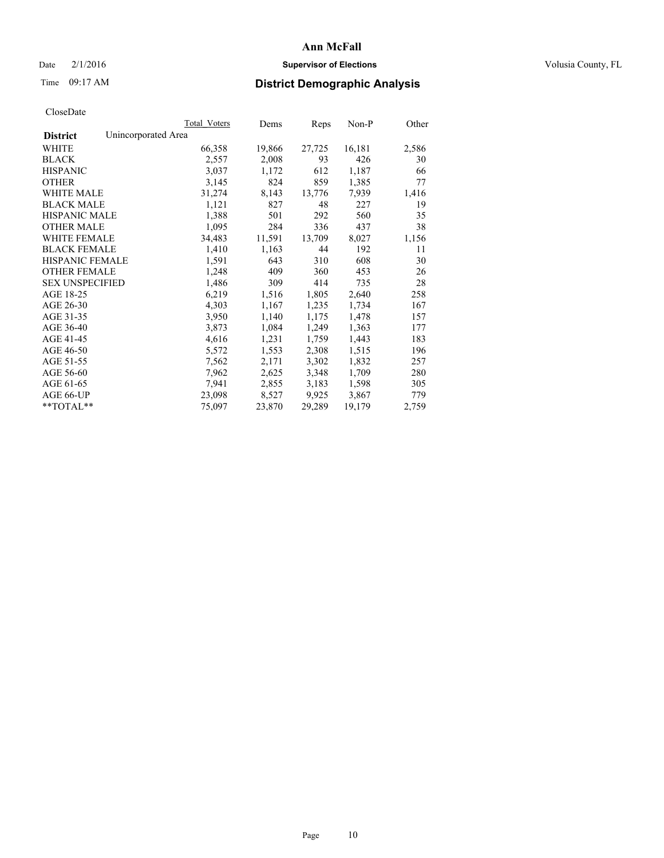### Date  $2/1/2016$  **Supervisor of Elections Supervisor of Elections** Volusia County, FL

# Time 09:17 AM **District Demographic Analysis**

|                                        | Total Voters | Dems   | Reps   | Non-P  | Other |
|----------------------------------------|--------------|--------|--------|--------|-------|
| Unincorporated Area<br><b>District</b> |              |        |        |        |       |
| WHITE                                  | 66,358       | 19,866 | 27,725 | 16,181 | 2,586 |
| <b>BLACK</b>                           | 2,557        | 2,008  | 93     | 426    | 30    |
| <b>HISPANIC</b>                        | 3,037        | 1,172  | 612    | 1,187  | 66    |
| <b>OTHER</b>                           | 3,145        | 824    | 859    | 1,385  | 77    |
| <b>WHITE MALE</b>                      | 31,274       | 8,143  | 13,776 | 7,939  | 1,416 |
| <b>BLACK MALE</b>                      | 1,121        | 827    | 48     | 227    | 19    |
| <b>HISPANIC MALE</b>                   | 1,388        | 501    | 292    | 560    | 35    |
| <b>OTHER MALE</b>                      | 1,095        | 284    | 336    | 437    | 38    |
| WHITE FEMALE                           | 34,483       | 11,591 | 13,709 | 8,027  | 1,156 |
| <b>BLACK FEMALE</b>                    | 1,410        | 1,163  | 44     | 192    | 11    |
| <b>HISPANIC FEMALE</b>                 | 1,591        | 643    | 310    | 608    | 30    |
| <b>OTHER FEMALE</b>                    | 1,248        | 409    | 360    | 453    | 26    |
| <b>SEX UNSPECIFIED</b>                 | 1,486        | 309    | 414    | 735    | 28    |
| AGE 18-25                              | 6,219        | 1,516  | 1,805  | 2,640  | 258   |
| AGE 26-30                              | 4,303        | 1,167  | 1,235  | 1,734  | 167   |
| AGE 31-35                              | 3,950        | 1,140  | 1,175  | 1,478  | 157   |
| AGE 36-40                              | 3,873        | 1,084  | 1,249  | 1,363  | 177   |
| AGE 41-45                              | 4,616        | 1,231  | 1,759  | 1,443  | 183   |
| AGE 46-50                              | 5,572        | 1,553  | 2,308  | 1,515  | 196   |
| AGE 51-55                              | 7,562        | 2,171  | 3,302  | 1,832  | 257   |
| AGE 56-60                              | 7,962        | 2,625  | 3,348  | 1,709  | 280   |
| AGE 61-65                              | 7,941        | 2,855  | 3,183  | 1,598  | 305   |
| AGE 66-UP                              | 23,098       | 8,527  | 9,925  | 3,867  | 779   |
| $*$ $TOTAI.**$                         | 75,097       | 23,870 | 29,289 | 19,179 | 2,759 |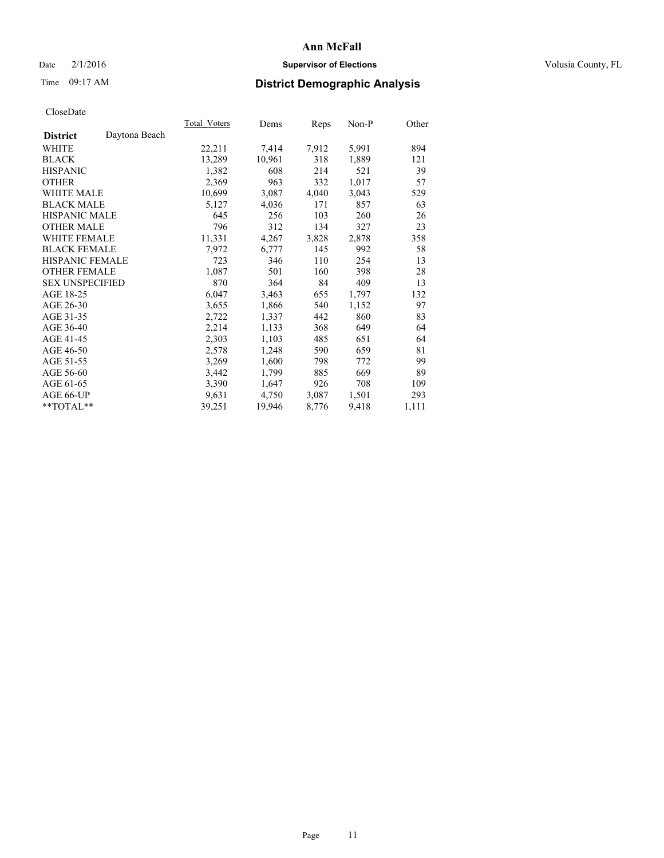### Date  $2/1/2016$  **Supervisor of Elections Supervisor of Elections** Volusia County, FL

# Time 09:17 AM **District Demographic Analysis**

|                                  | Total Voters | Dems   | Reps  | Non-P | Other |
|----------------------------------|--------------|--------|-------|-------|-------|
| Daytona Beach<br><b>District</b> |              |        |       |       |       |
| WHITE                            | 22,211       | 7,414  | 7,912 | 5,991 | 894   |
| <b>BLACK</b>                     | 13,289       | 10,961 | 318   | 1,889 | 121   |
| <b>HISPANIC</b>                  | 1,382        | 608    | 214   | 521   | 39    |
| <b>OTHER</b>                     | 2,369        | 963    | 332   | 1,017 | 57    |
| <b>WHITE MALE</b>                | 10,699       | 3,087  | 4,040 | 3,043 | 529   |
| <b>BLACK MALE</b>                | 5,127        | 4,036  | 171   | 857   | 63    |
| <b>HISPANIC MALE</b>             | 645          | 256    | 103   | 260   | 26    |
| <b>OTHER MALE</b>                | 796          | 312    | 134   | 327   | 23    |
| <b>WHITE FEMALE</b>              | 11,331       | 4,267  | 3,828 | 2,878 | 358   |
| <b>BLACK FEMALE</b>              | 7,972        | 6,777  | 145   | 992   | 58    |
| <b>HISPANIC FEMALE</b>           | 723          | 346    | 110   | 254   | 13    |
| <b>OTHER FEMALE</b>              | 1,087        | 501    | 160   | 398   | 28    |
| <b>SEX UNSPECIFIED</b>           | 870          | 364    | 84    | 409   | 13    |
| AGE 18-25                        | 6,047        | 3,463  | 655   | 1,797 | 132   |
| AGE 26-30                        | 3,655        | 1,866  | 540   | 1,152 | 97    |
| AGE 31-35                        | 2,722        | 1,337  | 442   | 860   | 83    |
| AGE 36-40                        | 2,214        | 1,133  | 368   | 649   | 64    |
| AGE 41-45                        | 2,303        | 1,103  | 485   | 651   | 64    |
| AGE 46-50                        | 2,578        | 1,248  | 590   | 659   | 81    |
| AGE 51-55                        | 3,269        | 1,600  | 798   | 772   | 99    |
| AGE 56-60                        | 3,442        | 1,799  | 885   | 669   | 89    |
| AGE 61-65                        | 3,390        | 1,647  | 926   | 708   | 109   |
| AGE 66-UP                        | 9,631        | 4,750  | 3,087 | 1,501 | 293   |
| $*$ TOTAL $*$                    | 39,251       | 19,946 | 8,776 | 9,418 | 1,111 |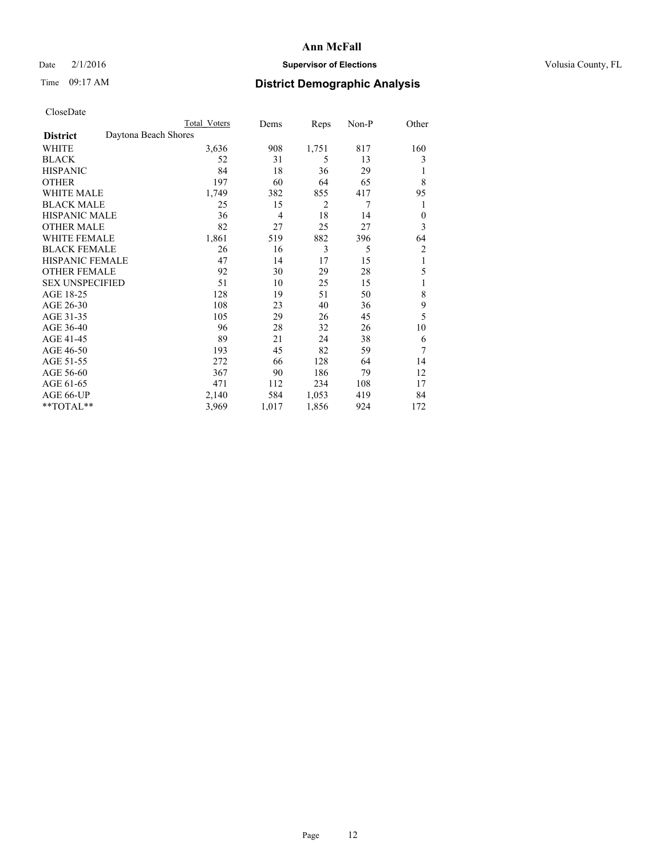### Date  $2/1/2016$  **Supervisor of Elections Supervisor of Elections** Volusia County, FL

# Time 09:17 AM **District Demographic Analysis**

|                        |                      | <b>Total Voters</b> | Dems  | Reps  | Non-P | Other        |
|------------------------|----------------------|---------------------|-------|-------|-------|--------------|
| <b>District</b>        | Daytona Beach Shores |                     |       |       |       |              |
| WHITE                  |                      | 3,636               | 908   | 1,751 | 817   | 160          |
| <b>BLACK</b>           |                      | 52                  | 31    | 5     | 13    | 3            |
| <b>HISPANIC</b>        |                      | 84                  | 18    | 36    | 29    | 1            |
| <b>OTHER</b>           |                      | 197                 | 60    | 64    | 65    | 8            |
| WHITE MALE             |                      | 1,749               | 382   | 855   | 417   | 95           |
| <b>BLACK MALE</b>      |                      | 25                  | 15    | 2     | 7     | 1            |
| <b>HISPANIC MALE</b>   |                      | 36                  | 4     | 18    | 14    | $\mathbf{0}$ |
| <b>OTHER MALE</b>      |                      | 82                  | 27    | 25    | 27    | 3            |
| <b>WHITE FEMALE</b>    |                      | 1,861               | 519   | 882   | 396   | 64           |
| <b>BLACK FEMALE</b>    |                      | 26                  | 16    | 3     | 5     | 2            |
| <b>HISPANIC FEMALE</b> |                      | 47                  | 14    | 17    | 15    | 1            |
| <b>OTHER FEMALE</b>    |                      | 92                  | 30    | 29    | 28    | 5            |
| <b>SEX UNSPECIFIED</b> |                      | 51                  | 10    | 25    | 15    | 1            |
| AGE 18-25              |                      | 128                 | 19    | 51    | 50    | 8            |
| AGE 26-30              |                      | 108                 | 23    | 40    | 36    | 9            |
| AGE 31-35              |                      | 105                 | 29    | 26    | 45    | 5            |
| AGE 36-40              |                      | 96                  | 28    | 32    | 26    | 10           |
| AGE 41-45              |                      | 89                  | 21    | 24    | 38    | 6            |
| AGE 46-50              |                      | 193                 | 45    | 82    | 59    | 7            |
| AGE 51-55              |                      | 272                 | 66    | 128   | 64    | 14           |
| AGE 56-60              |                      | 367                 | 90    | 186   | 79    | 12           |
| AGE 61-65              |                      | 471                 | 112   | 234   | 108   | 17           |
| AGE 66-UP              |                      | 2,140               | 584   | 1,053 | 419   | 84           |
| **TOTAL**              |                      | 3,969               | 1,017 | 1,856 | 924   | 172          |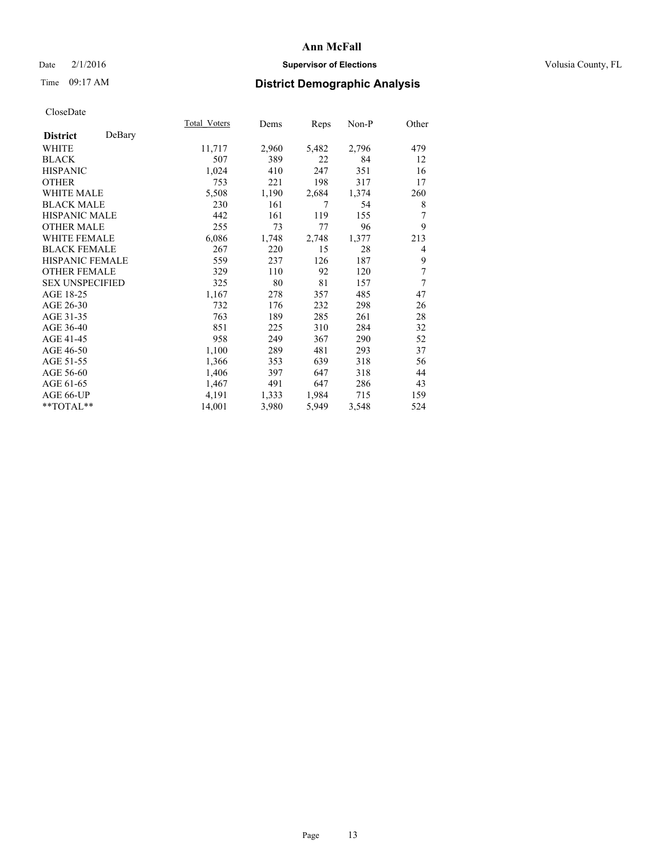### Date  $2/1/2016$  **Supervisor of Elections Supervisor of Elections** Volusia County, FL

# Time 09:17 AM **District Demographic Analysis**

| Total Voters | Dems  | <b>Reps</b> | Non-P | Other          |
|--------------|-------|-------------|-------|----------------|
|              |       |             |       |                |
| 11,717       | 2,960 | 5,482       | 2,796 | 479            |
| 507          | 389   | 22          | 84    | 12             |
| 1,024        | 410   | 247         | 351   | 16             |
| 753          | 221   | 198         | 317   | 17             |
| 5,508        | 1,190 | 2,684       | 1,374 | 260            |
| 230          | 161   | 7           | 54    | 8              |
| 442          | 161   | 119         | 155   | 7              |
| 255          | 73    | 77          | 96    | 9              |
| 6,086        | 1,748 | 2,748       | 1,377 | 213            |
| 267          | 220   | 15          | 28    | $\overline{4}$ |
| 559          | 237   | 126         | 187   | 9              |
| 329          | 110   | 92          | 120   | 7              |
| 325          | 80    | 81          | 157   | 7              |
| 1,167        | 278   | 357         | 485   | 47             |
| 732          | 176   | 232         | 298   | 26             |
| 763          | 189   | 285         | 261   | 28             |
| 851          | 225   | 310         | 284   | 32             |
| 958          | 249   | 367         | 290   | 52             |
| 1,100        | 289   | 481         | 293   | 37             |
| 1,366        | 353   | 639         | 318   | 56             |
| 1,406        | 397   | 647         | 318   | 44             |
| 1,467        | 491   | 647         | 286   | 43             |
| 4,191        | 1,333 | 1,984       | 715   | 159            |
| 14,001       | 3,980 | 5,949       | 3,548 | 524            |
|              |       |             |       |                |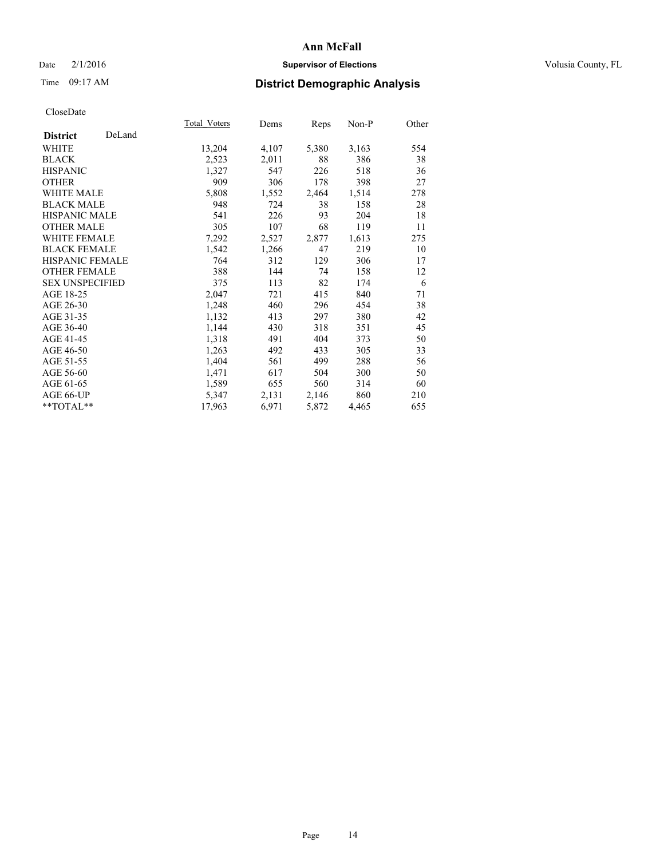### Date  $2/1/2016$  **Supervisor of Elections Supervisor of Elections** Volusia County, FL

# Time 09:17 AM **District Demographic Analysis**

|                        |        | <b>Total Voters</b> | Dems  | Reps  | Non-P | Other |
|------------------------|--------|---------------------|-------|-------|-------|-------|
| <b>District</b>        | DeLand |                     |       |       |       |       |
| WHITE                  |        | 13,204              | 4,107 | 5,380 | 3,163 | 554   |
| <b>BLACK</b>           |        | 2,523               | 2,011 | 88    | 386   | 38    |
| <b>HISPANIC</b>        |        | 1,327               | 547   | 226   | 518   | 36    |
| <b>OTHER</b>           |        | 909                 | 306   | 178   | 398   | 27    |
| <b>WHITE MALE</b>      |        | 5,808               | 1,552 | 2,464 | 1,514 | 278   |
| <b>BLACK MALE</b>      |        | 948                 | 724   | 38    | 158   | 28    |
| <b>HISPANIC MALE</b>   |        | 541                 | 226   | 93    | 204   | 18    |
| <b>OTHER MALE</b>      |        | 305                 | 107   | 68    | 119   | 11    |
| <b>WHITE FEMALE</b>    |        | 7,292               | 2,527 | 2,877 | 1,613 | 275   |
| <b>BLACK FEMALE</b>    |        | 1,542               | 1,266 | 47    | 219   | 10    |
| HISPANIC FEMALE        |        | 764                 | 312   | 129   | 306   | 17    |
| <b>OTHER FEMALE</b>    |        | 388                 | 144   | 74    | 158   | 12    |
| <b>SEX UNSPECIFIED</b> |        | 375                 | 113   | 82    | 174   | 6     |
| AGE 18-25              |        | 2,047               | 721   | 415   | 840   | 71    |
| AGE 26-30              |        | 1,248               | 460   | 296   | 454   | 38    |
| AGE 31-35              |        | 1,132               | 413   | 297   | 380   | 42    |
| AGE 36-40              |        | 1,144               | 430   | 318   | 351   | 45    |
| AGE 41-45              |        | 1,318               | 491   | 404   | 373   | 50    |
| AGE 46-50              |        | 1,263               | 492   | 433   | 305   | 33    |
| AGE 51-55              |        | 1,404               | 561   | 499   | 288   | 56    |
| AGE 56-60              |        | 1,471               | 617   | 504   | 300   | 50    |
| AGE 61-65              |        | 1,589               | 655   | 560   | 314   | 60    |
| AGE 66-UP              |        | 5,347               | 2,131 | 2,146 | 860   | 210   |
| **TOTAL**              |        | 17,963              | 6,971 | 5,872 | 4,465 | 655   |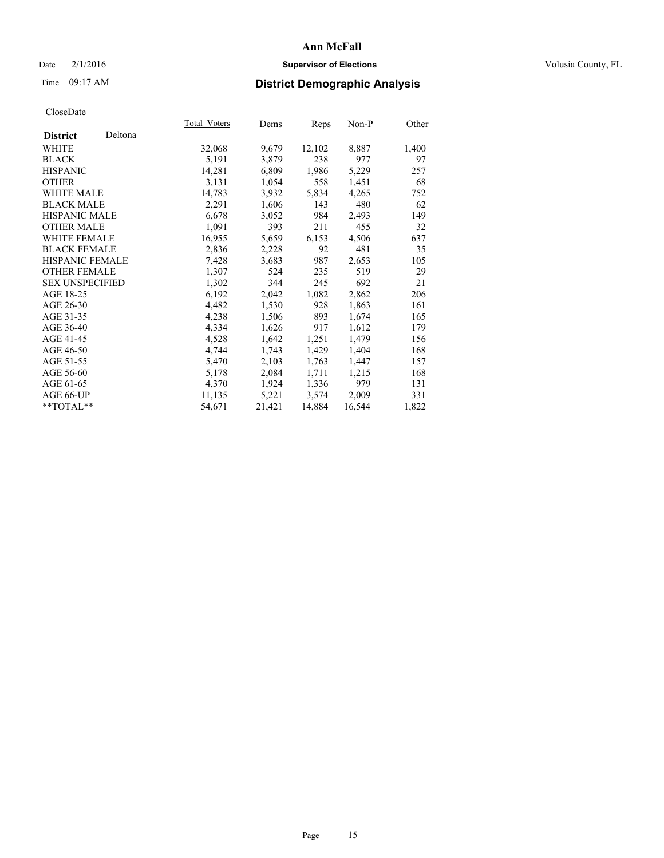### Date  $2/1/2016$  **Supervisor of Elections Supervisor of Elections** Volusia County, FL

# Time 09:17 AM **District Demographic Analysis**

| Total Voters | Dems   |        | $Non-P$ | Other |
|--------------|--------|--------|---------|-------|
|              |        |        |         |       |
| 32,068       | 9,679  | 12,102 | 8,887   | 1,400 |
| 5,191        | 3,879  | 238    | 977     | 97    |
| 14,281       | 6,809  | 1,986  | 5,229   | 257   |
| 3,131        | 1,054  | 558    | 1,451   | 68    |
| 14,783       | 3,932  | 5,834  | 4,265   | 752   |
| 2,291        | 1,606  | 143    | 480     | 62    |
| 6,678        | 3,052  | 984    | 2,493   | 149   |
| 1,091        | 393    | 211    | 455     | 32    |
| 16,955       | 5,659  | 6,153  | 4,506   | 637   |
| 2,836        | 2,228  | 92     | 481     | 35    |
| 7,428        | 3,683  | 987    | 2,653   | 105   |
| 1,307        | 524    | 235    | 519     | 29    |
| 1,302        | 344    | 245    | 692     | 21    |
| 6,192        | 2,042  | 1,082  | 2,862   | 206   |
| 4,482        | 1,530  | 928    | 1,863   | 161   |
| 4,238        | 1,506  | 893    | 1,674   | 165   |
| 4,334        | 1,626  | 917    | 1,612   | 179   |
| 4,528        | 1,642  | 1,251  | 1,479   | 156   |
| 4,744        | 1,743  | 1,429  | 1,404   | 168   |
| 5,470        | 2,103  | 1,763  | 1,447   | 157   |
| 5,178        | 2,084  | 1,711  | 1,215   | 168   |
| 4,370        | 1,924  | 1,336  | 979     | 131   |
| 11,135       | 5,221  | 3,574  | 2,009   | 331   |
| 54,671       | 21,421 | 14,884 | 16,544  | 1,822 |
|              |        |        | Reps    |       |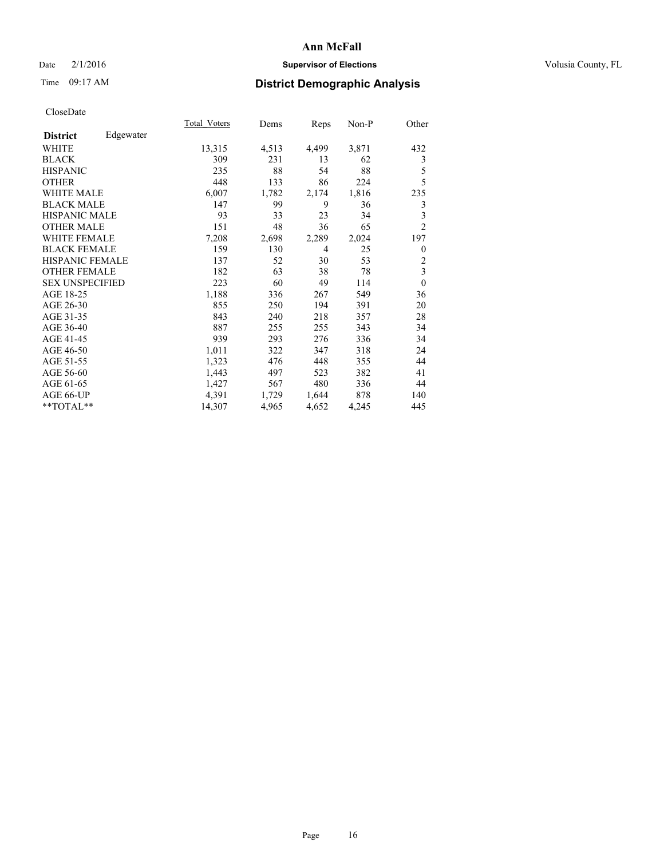### Date  $2/1/2016$  **Supervisor of Elections Supervisor of Elections** Volusia County, FL

# Time 09:17 AM **District Demographic Analysis**

|                              | <b>Total Voters</b> | Dems  | Reps           | Non-P | Other          |
|------------------------------|---------------------|-------|----------------|-------|----------------|
| Edgewater<br><b>District</b> |                     |       |                |       |                |
| WHITE                        | 13,315              | 4,513 | 4,499          | 3,871 | 432            |
| <b>BLACK</b>                 | 309                 | 231   | 13             | 62    | 3              |
| <b>HISPANIC</b>              | 235                 | 88    | 54             | 88    | 5              |
| <b>OTHER</b>                 | 448                 | 133   | 86             | 224   | 5              |
| WHITE MALE                   | 6,007               | 1,782 | 2,174          | 1,816 | 235            |
| <b>BLACK MALE</b>            | 147                 | 99    | 9              | 36    | 3              |
| <b>HISPANIC MALE</b>         | 93                  | 33    | 23             | 34    | 3              |
| <b>OTHER MALE</b>            | 151                 | 48    | 36             | 65    | $\overline{2}$ |
| <b>WHITE FEMALE</b>          | 7,208               | 2,698 | 2,289          | 2,024 | 197            |
| <b>BLACK FEMALE</b>          | 159                 | 130   | $\overline{4}$ | 25    | $\mathbf{0}$   |
| HISPANIC FEMALE              | 137                 | 52    | 30             | 53    | $\overline{c}$ |
| <b>OTHER FEMALE</b>          | 182                 | 63    | 38             | 78    | 3              |
| <b>SEX UNSPECIFIED</b>       | 223                 | 60    | 49             | 114   | $\mathbf{0}$   |
| AGE 18-25                    | 1,188               | 336   | 267            | 549   | 36             |
| AGE 26-30                    | 855                 | 250   | 194            | 391   | 20             |
| AGE 31-35                    | 843                 | 240   | 218            | 357   | 28             |
| AGE 36-40                    | 887                 | 255   | 255            | 343   | 34             |
| AGE 41-45                    | 939                 | 293   | 276            | 336   | 34             |
| AGE 46-50                    | 1,011               | 322   | 347            | 318   | 24             |
| AGE 51-55                    | 1,323               | 476   | 448            | 355   | 44             |
| AGE 56-60                    | 1,443               | 497   | 523            | 382   | 41             |
| AGE 61-65                    | 1,427               | 567   | 480            | 336   | 44             |
| AGE 66-UP                    | 4,391               | 1,729 | 1,644          | 878   | 140            |
| **TOTAL**                    | 14,307              | 4,965 | 4,652          | 4,245 | 445            |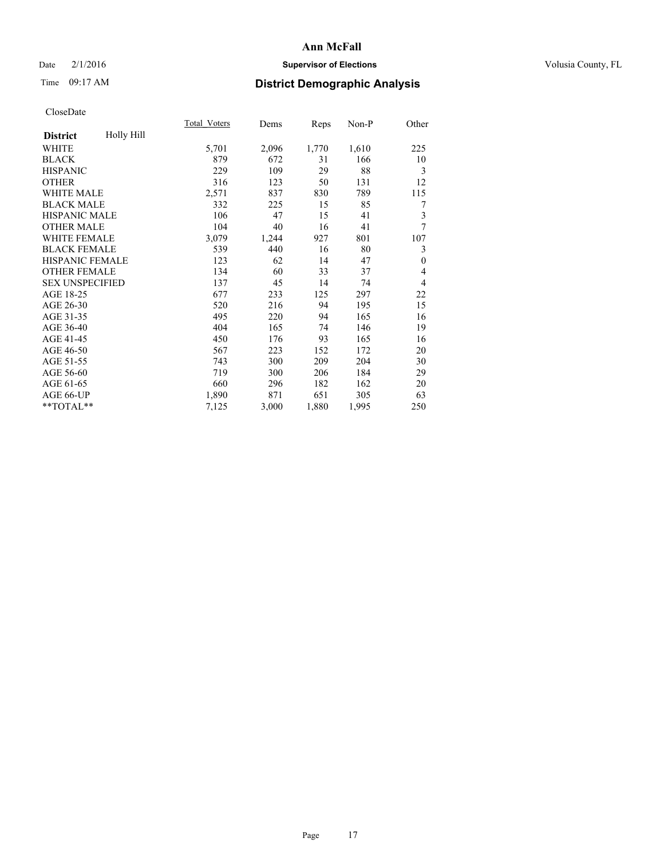### Date  $2/1/2016$  **Supervisor of Elections Supervisor of Elections** Volusia County, FL

# Time 09:17 AM **District Demographic Analysis**

|                        |            | <b>Total Voters</b> | Dems  | Reps  | Non-P | Other          |
|------------------------|------------|---------------------|-------|-------|-------|----------------|
| <b>District</b>        | Holly Hill |                     |       |       |       |                |
| WHITE                  |            | 5,701               | 2,096 | 1,770 | 1,610 | 225            |
| <b>BLACK</b>           |            | 879                 | 672   | 31    | 166   | 10             |
| <b>HISPANIC</b>        |            | 229                 | 109   | 29    | 88    | 3              |
| <b>OTHER</b>           |            | 316                 | 123   | 50    | 131   | 12             |
| WHITE MALE             |            | 2,571               | 837   | 830   | 789   | 115            |
| <b>BLACK MALE</b>      |            | 332                 | 225   | 15    | 85    | 7              |
| HISPANIC MALE          |            | 106                 | 47    | 15    | 41    | 3              |
| <b>OTHER MALE</b>      |            | 104                 | 40    | 16    | 41    | $\overline{7}$ |
| <b>WHITE FEMALE</b>    |            | 3,079               | 1,244 | 927   | 801   | 107            |
| <b>BLACK FEMALE</b>    |            | 539                 | 440   | 16    | 80    | 3              |
| <b>HISPANIC FEMALE</b> |            | 123                 | 62    | 14    | 47    | $\theta$       |
| <b>OTHER FEMALE</b>    |            | 134                 | 60    | 33    | 37    | 4              |
| <b>SEX UNSPECIFIED</b> |            | 137                 | 45    | 14    | 74    | $\overline{4}$ |
| AGE 18-25              |            | 677                 | 233   | 125   | 297   | 22             |
| AGE 26-30              |            | 520                 | 216   | 94    | 195   | 15             |
| AGE 31-35              |            | 495                 | 220   | 94    | 165   | 16             |
| AGE 36-40              |            | 404                 | 165   | 74    | 146   | 19             |
| AGE 41-45              |            | 450                 | 176   | 93    | 165   | 16             |
| AGE 46-50              |            | 567                 | 223   | 152   | 172   | 20             |
| AGE 51-55              |            | 743                 | 300   | 209   | 204   | 30             |
| AGE 56-60              |            | 719                 | 300   | 206   | 184   | 29             |
| AGE 61-65              |            | 660                 | 296   | 182   | 162   | 20             |
| AGE 66-UP              |            | 1,890               | 871   | 651   | 305   | 63             |
| **TOTAL**              |            | 7,125               | 3,000 | 1,880 | 1,995 | 250            |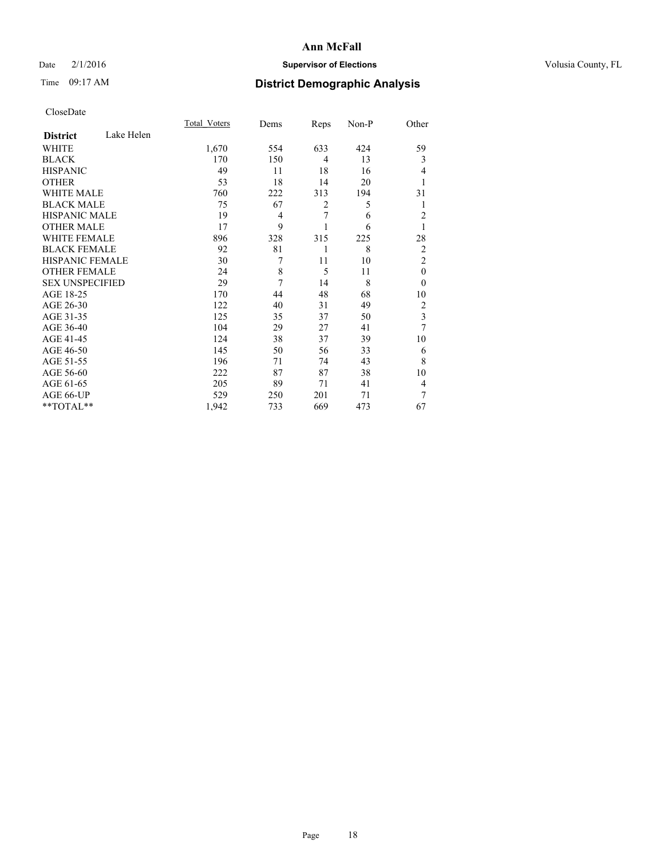### Date  $2/1/2016$  **Supervisor of Elections Supervisor of Elections** Volusia County, FL

# Time 09:17 AM **District Demographic Analysis**

|                        |            | <b>Total Voters</b> | Dems | Reps           | Non-P | Other                   |
|------------------------|------------|---------------------|------|----------------|-------|-------------------------|
| <b>District</b>        | Lake Helen |                     |      |                |       |                         |
| WHITE                  |            | 1,670               | 554  | 633            | 424   | 59                      |
| <b>BLACK</b>           |            | 170                 | 150  | $\overline{4}$ | 13    | 3                       |
| <b>HISPANIC</b>        |            | 49                  | 11   | 18             | 16    | 4                       |
| <b>OTHER</b>           |            | 53                  | 18   | 14             | 20    |                         |
| WHITE MALE             |            | 760                 | 222  | 313            | 194   | 31                      |
| <b>BLACK MALE</b>      |            | 75                  | 67   | $\overline{2}$ | 5     | 1                       |
| <b>HISPANIC MALE</b>   |            | 19                  | 4    | 7              | 6     | $\overline{c}$          |
| <b>OTHER MALE</b>      |            | 17                  | 9    |                | 6     | 1                       |
| WHITE FEMALE           |            | 896                 | 328  | 315            | 225   | 28                      |
| <b>BLACK FEMALE</b>    |            | 92                  | 81   | 1              | 8     | $\overline{2}$          |
| <b>HISPANIC FEMALE</b> |            | 30                  | 7    | 11             | 10    | $\overline{2}$          |
| <b>OTHER FEMALE</b>    |            | 24                  | 8    | 5              | 11    | $\theta$                |
| <b>SEX UNSPECIFIED</b> |            | 29                  | 7    | 14             | 8     | $\theta$                |
| AGE 18-25              |            | 170                 | 44   | 48             | 68    | 10                      |
| AGE 26-30              |            | 122                 | 40   | 31             | 49    | $\overline{2}$          |
| AGE 31-35              |            | 125                 | 35   | 37             | 50    | $\overline{\mathbf{3}}$ |
| AGE 36-40              |            | 104                 | 29   | 27             | 41    | 7                       |
| AGE 41-45              |            | 124                 | 38   | 37             | 39    | 10                      |
| AGE 46-50              |            | 145                 | 50   | 56             | 33    | 6                       |
| AGE 51-55              |            | 196                 | 71   | 74             | 43    | 8                       |
| AGE 56-60              |            | 222                 | 87   | 87             | 38    | 10                      |
| AGE 61-65              |            | 205                 | 89   | 71             | 41    | 4                       |
| AGE 66-UP              |            | 529                 | 250  | 201            | 71    | 7                       |
| **TOTAL**              |            | 1,942               | 733  | 669            | 473   | 67                      |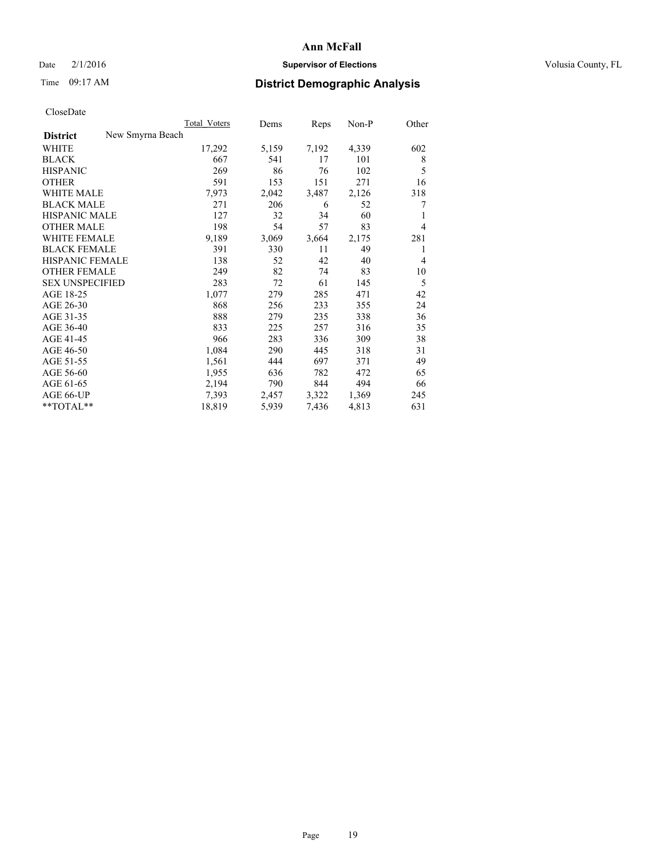### Date  $2/1/2016$  **Supervisor of Elections Supervisor of Elections** Volusia County, FL

# Time 09:17 AM **District Demographic Analysis**

|                        |                  | Total Voters | Dems  | Reps  | Non-P | Other |
|------------------------|------------------|--------------|-------|-------|-------|-------|
| <b>District</b>        | New Smyrna Beach |              |       |       |       |       |
| WHITE                  |                  | 17,292       | 5,159 | 7,192 | 4,339 | 602   |
| <b>BLACK</b>           |                  | 667          | 541   | 17    | 101   | 8     |
| <b>HISPANIC</b>        |                  | 269          | 86    | 76    | 102   | 5     |
| <b>OTHER</b>           |                  | 591          | 153   | 151   | 271   | 16    |
| WHITE MALE             |                  | 7,973        | 2,042 | 3,487 | 2,126 | 318   |
| <b>BLACK MALE</b>      |                  | 271          | 206   | 6     | 52    | 7     |
| <b>HISPANIC MALE</b>   |                  | 127          | 32    | 34    | 60    | 1     |
| <b>OTHER MALE</b>      |                  | 198          | 54    | 57    | 83    | 4     |
| WHITE FEMALE           |                  | 9,189        | 3,069 | 3,664 | 2,175 | 281   |
| <b>BLACK FEMALE</b>    |                  | 391          | 330   | 11    | 49    | 1     |
| HISPANIC FEMALE        |                  | 138          | 52    | 42    | 40    | 4     |
| <b>OTHER FEMALE</b>    |                  | 249          | 82    | 74    | 83    | 10    |
| <b>SEX UNSPECIFIED</b> |                  | 283          | 72    | 61    | 145   | 5     |
| AGE 18-25              |                  | 1,077        | 279   | 285   | 471   | 42    |
| AGE 26-30              |                  | 868          | 256   | 233   | 355   | 24    |
| AGE 31-35              |                  | 888          | 279   | 235   | 338   | 36    |
| AGE 36-40              |                  | 833          | 225   | 257   | 316   | 35    |
| AGE 41-45              |                  | 966          | 283   | 336   | 309   | 38    |
| AGE 46-50              |                  | 1,084        | 290   | 445   | 318   | 31    |
| AGE 51-55              |                  | 1,561        | 444   | 697   | 371   | 49    |
| AGE 56-60              |                  | 1,955        | 636   | 782   | 472   | 65    |
| AGE 61-65              |                  | 2,194        | 790   | 844   | 494   | 66    |
| AGE 66-UP              |                  | 7,393        | 2,457 | 3,322 | 1,369 | 245   |
| $*$ TOTAL $*$          |                  | 18,819       | 5,939 | 7,436 | 4,813 | 631   |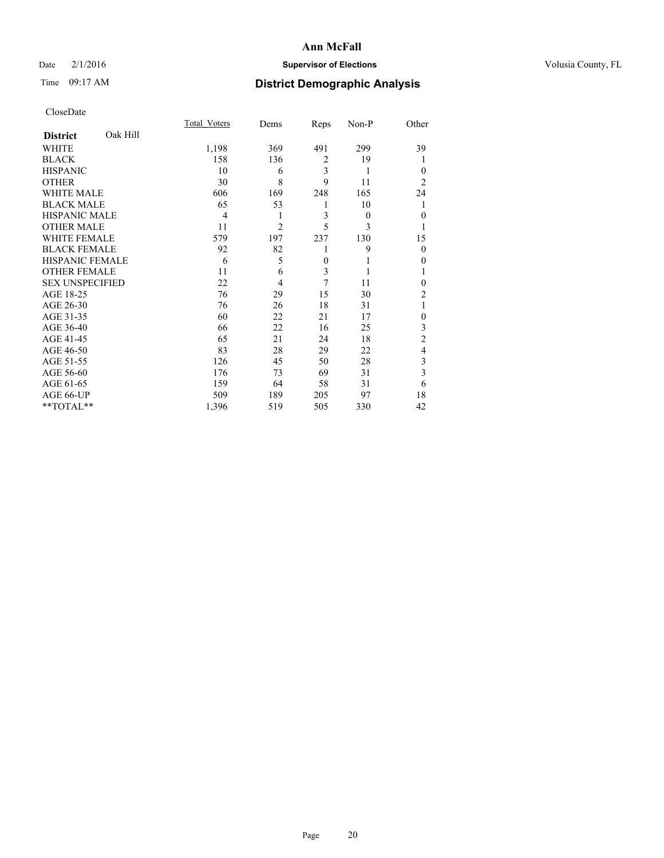### Date  $2/1/2016$  **Supervisor of Elections Supervisor of Elections** Volusia County, FL

# Time 09:17 AM **District Demographic Analysis**

|                        |          | <b>Total Voters</b> | Dems           | Reps           | Non-P    | Other            |
|------------------------|----------|---------------------|----------------|----------------|----------|------------------|
| <b>District</b>        | Oak Hill |                     |                |                |          |                  |
| WHITE                  |          | 1,198               | 369            | 491            | 299      | 39               |
| <b>BLACK</b>           |          | 158                 | 136            | $\overline{2}$ | 19       |                  |
| <b>HISPANIC</b>        |          | 10                  | 6              | 3              | 1        | $\theta$         |
| <b>OTHER</b>           |          | 30                  | 8              | 9              | 11       | $\overline{2}$   |
| WHITE MALE             |          | 606                 | 169            | 248            | 165      | 24               |
| <b>BLACK MALE</b>      |          | 65                  | 53             | 1              | 10       |                  |
| <b>HISPANIC MALE</b>   |          | 4                   | 1              | 3              | $\theta$ | $\mathbf{0}$     |
| <b>OTHER MALE</b>      |          | 11                  | $\overline{2}$ | 5              | 3        | 1                |
| <b>WHITE FEMALE</b>    |          | 579                 | 197            | 237            | 130      | 15               |
| <b>BLACK FEMALE</b>    |          | 92                  | 82             | 1              | 9        | $\theta$         |
| HISPANIC FEMALE        |          | 6                   | 5              | $\overline{0}$ |          | 0                |
| <b>OTHER FEMALE</b>    |          | 11                  | 6              | 3              |          |                  |
| <b>SEX UNSPECIFIED</b> |          | 22                  | 4              | 7              | 11       | $\theta$         |
| AGE 18-25              |          | 76                  | 29             | 15             | 30       | $\overline{2}$   |
| AGE 26-30              |          | 76                  | 26             | 18             | 31       | 1                |
| AGE 31-35              |          | 60                  | 22             | 21             | 17       | $\boldsymbol{0}$ |
| AGE 36-40              |          | 66                  | 22             | 16             | 25       | 3                |
| AGE 41-45              |          | 65                  | 21             | 24             | 18       | $\overline{c}$   |
| AGE 46-50              |          | 83                  | 28             | 29             | 22       | 4                |
| AGE 51-55              |          | 126                 | 45             | 50             | 28       | 3                |
| AGE 56-60              |          | 176                 | 73             | 69             | 31       | 3                |
| AGE 61-65              |          | 159                 | 64             | 58             | 31       | 6                |
| AGE 66-UP              |          | 509                 | 189            | 205            | 97       | 18               |
| **TOTAL**              |          | 1,396               | 519            | 505            | 330      | 42               |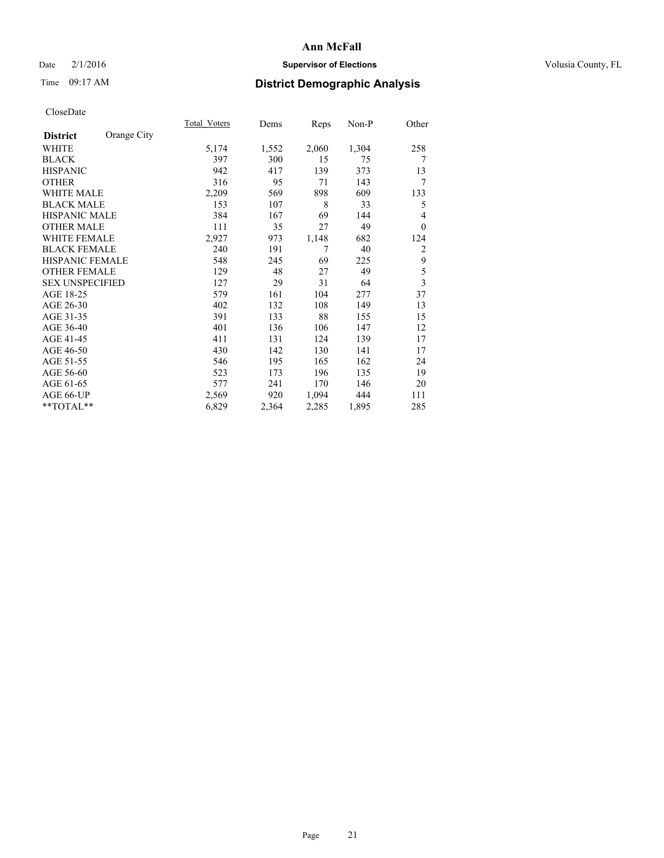### Date  $2/1/2016$  **Supervisor of Elections Supervisor of Elections** Volusia County, FL

# Time 09:17 AM **District Demographic Analysis**

|                        |             | Total Voters | Dems  | <b>Reps</b> | $Non-P$ | Other          |
|------------------------|-------------|--------------|-------|-------------|---------|----------------|
| <b>District</b>        | Orange City |              |       |             |         |                |
| WHITE                  |             | 5,174        | 1,552 | 2,060       | 1,304   | 258            |
| <b>BLACK</b>           |             | 397          | 300   | 15          | 75      | 7              |
| <b>HISPANIC</b>        |             | 942          | 417   | 139         | 373     | 13             |
| <b>OTHER</b>           |             | 316          | 95    | 71          | 143     | 7              |
| WHITE MALE             |             | 2,209        | 569   | 898         | 609     | 133            |
| <b>BLACK MALE</b>      |             | 153          | 107   | 8           | 33      | 5              |
| <b>HISPANIC MALE</b>   |             | 384          | 167   | 69          | 144     | 4              |
| <b>OTHER MALE</b>      |             | 111          | 35    | 27          | 49      | $\theta$       |
| <b>WHITE FEMALE</b>    |             | 2,927        | 973   | 1,148       | 682     | 124            |
| <b>BLACK FEMALE</b>    |             | 240          | 191   | 7           | 40      | $\overline{2}$ |
| HISPANIC FEMALE        |             | 548          | 245   | 69          | 225     | 9              |
| <b>OTHER FEMALE</b>    |             | 129          | 48    | 27          | 49      | 5              |
| <b>SEX UNSPECIFIED</b> |             | 127          | 29    | 31          | 64      | 3              |
| AGE 18-25              |             | 579          | 161   | 104         | 277     | 37             |
| AGE 26-30              |             | 402          | 132   | 108         | 149     | 13             |
| AGE 31-35              |             | 391          | 133   | 88          | 155     | 15             |
| AGE 36-40              |             | 401          | 136   | 106         | 147     | 12             |
| AGE 41-45              |             | 411          | 131   | 124         | 139     | 17             |
| AGE 46-50              |             | 430          | 142   | 130         | 141     | 17             |
| AGE 51-55              |             | 546          | 195   | 165         | 162     | 24             |
| AGE 56-60              |             | 523          | 173   | 196         | 135     | 19             |
| AGE 61-65              |             | 577          | 241   | 170         | 146     | 20             |
| AGE 66-UP              |             | 2,569        | 920   | 1,094       | 444     | 111            |
| **TOTAL**              |             | 6,829        | 2,364 | 2,285       | 1,895   | 285            |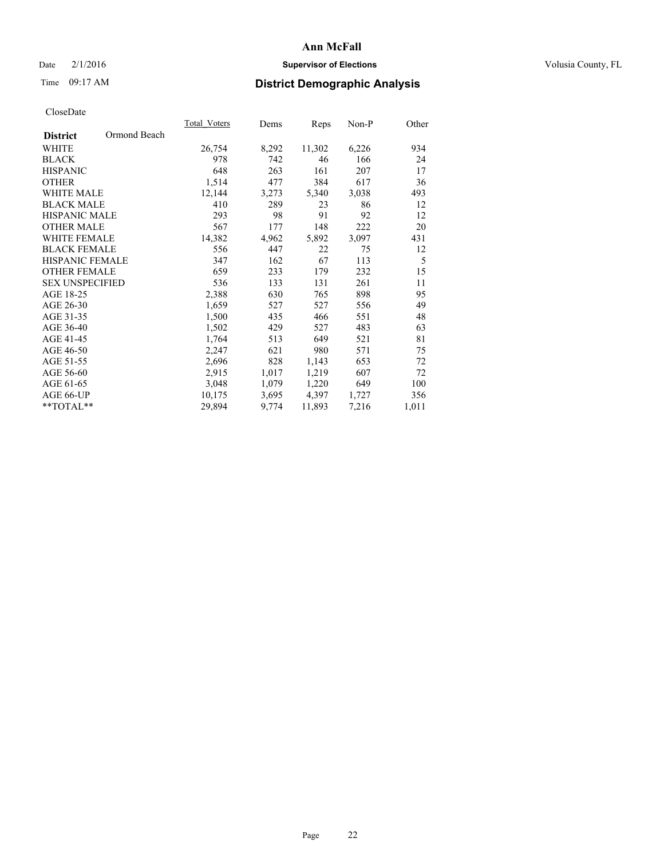### Date  $2/1/2016$  **Supervisor of Elections Supervisor of Elections** Volusia County, FL

# Time 09:17 AM **District Demographic Analysis**

|                        |              | Total Voters | Dems  | Reps   | Non-P | Other |
|------------------------|--------------|--------------|-------|--------|-------|-------|
| <b>District</b>        | Ormond Beach |              |       |        |       |       |
| WHITE                  |              | 26,754       | 8,292 | 11,302 | 6,226 | 934   |
| <b>BLACK</b>           |              | 978          | 742   | 46     | 166   | 24    |
| <b>HISPANIC</b>        |              | 648          | 263   | 161    | 207   | 17    |
| <b>OTHER</b>           |              | 1,514        | 477   | 384    | 617   | 36    |
| <b>WHITE MALE</b>      |              | 12,144       | 3,273 | 5,340  | 3,038 | 493   |
| <b>BLACK MALE</b>      |              | 410          | 289   | 23     | 86    | 12    |
| <b>HISPANIC MALE</b>   |              | 293          | 98    | 91     | 92    | 12    |
| <b>OTHER MALE</b>      |              | 567          | 177   | 148    | 222   | 20    |
| WHITE FEMALE           |              | 14,382       | 4,962 | 5,892  | 3,097 | 431   |
| <b>BLACK FEMALE</b>    |              | 556          | 447   | 22     | 75    | 12    |
| <b>HISPANIC FEMALE</b> |              | 347          | 162   | 67     | 113   | 5     |
| <b>OTHER FEMALE</b>    |              | 659          | 233   | 179    | 232   | 15    |
| <b>SEX UNSPECIFIED</b> |              | 536          | 133   | 131    | 261   | 11    |
| AGE 18-25              |              | 2,388        | 630   | 765    | 898   | 95    |
| AGE 26-30              |              | 1,659        | 527   | 527    | 556   | 49    |
| AGE 31-35              |              | 1,500        | 435   | 466    | 551   | 48    |
| AGE 36-40              |              | 1,502        | 429   | 527    | 483   | 63    |
| AGE 41-45              |              | 1,764        | 513   | 649    | 521   | 81    |
| AGE 46-50              |              | 2,247        | 621   | 980    | 571   | 75    |
| AGE 51-55              |              | 2,696        | 828   | 1,143  | 653   | 72    |
| AGE 56-60              |              | 2,915        | 1,017 | 1,219  | 607   | 72    |
| AGE 61-65              |              | 3,048        | 1,079 | 1,220  | 649   | 100   |
| AGE 66-UP              |              | 10,175       | 3,695 | 4,397  | 1,727 | 356   |
| $*$ TOTAL $*$          |              | 29,894       | 9,774 | 11,893 | 7,216 | 1,011 |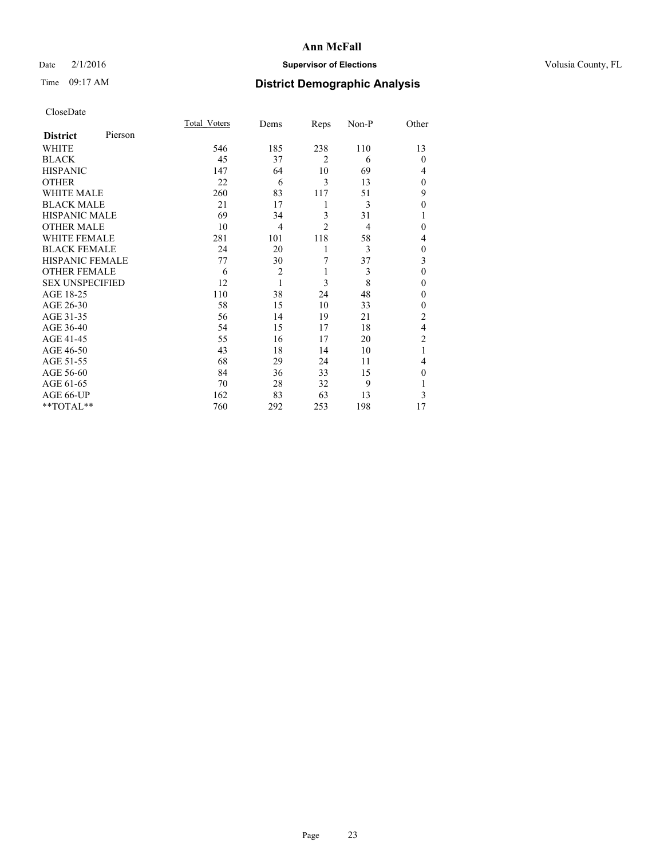### Date  $2/1/2016$  **Supervisor of Elections Supervisor of Elections** Volusia County, FL

# Time 09:17 AM **District Demographic Analysis**

|                        |         | Total Voters | Dems           | Reps           | Non-P | Other          |
|------------------------|---------|--------------|----------------|----------------|-------|----------------|
| <b>District</b>        | Pierson |              |                |                |       |                |
| WHITE                  |         | 546          | 185            | 238            | 110   | 13             |
| <b>BLACK</b>           |         | 45           | 37             | $\overline{2}$ | 6     | $\Omega$       |
| <b>HISPANIC</b>        |         | 147          | 64             | 10             | 69    | 4              |
| <b>OTHER</b>           |         | 22           | 6              | 3              | 13    | $\Omega$       |
| WHITE MALE             |         | 260          | 83             | 117            | 51    | 9              |
| <b>BLACK MALE</b>      |         | 21           | 17             | 1              | 3     | $\theta$       |
| <b>HISPANIC MALE</b>   |         | 69           | 34             | 3              | 31    | 1              |
| <b>OTHER MALE</b>      |         | 10           | $\overline{4}$ | $\overline{c}$ | 4     | $\Omega$       |
| <b>WHITE FEMALE</b>    |         | 281          | 101            | 118            | 58    | 4              |
| <b>BLACK FEMALE</b>    |         | 24           | 20             | 1              | 3     | $\mathbf{0}$   |
| <b>HISPANIC FEMALE</b> |         | 77           | 30             | 7              | 37    | 3              |
| <b>OTHER FEMALE</b>    |         | 6            | $\overline{c}$ | 1              | 3     | $\theta$       |
| <b>SEX UNSPECIFIED</b> |         | 12           | $\mathbf{1}$   | 3              | 8     | $\theta$       |
| AGE 18-25              |         | 110          | 38             | 24             | 48    | $\Omega$       |
| AGE 26-30              |         | 58           | 15             | 10             | 33    | $\mathbf{0}$   |
| AGE 31-35              |         | 56           | 14             | 19             | 21    | $\overline{2}$ |
| AGE 36-40              |         | 54           | 15             | 17             | 18    | $\overline{4}$ |
| AGE 41-45              |         | 55           | 16             | 17             | 20    | $\overline{c}$ |
| AGE 46-50              |         | 43           | 18             | 14             | 10    | 1              |
| AGE 51-55              |         | 68           | 29             | 24             | 11    | 4              |
| AGE 56-60              |         | 84           | 36             | 33             | 15    | $\Omega$       |
| AGE 61-65              |         | 70           | 28             | 32             | 9     |                |
| AGE 66-UP              |         | 162          | 83             | 63             | 13    | 3              |
| **TOTAL**              |         | 760          | 292            | 253            | 198   | 17             |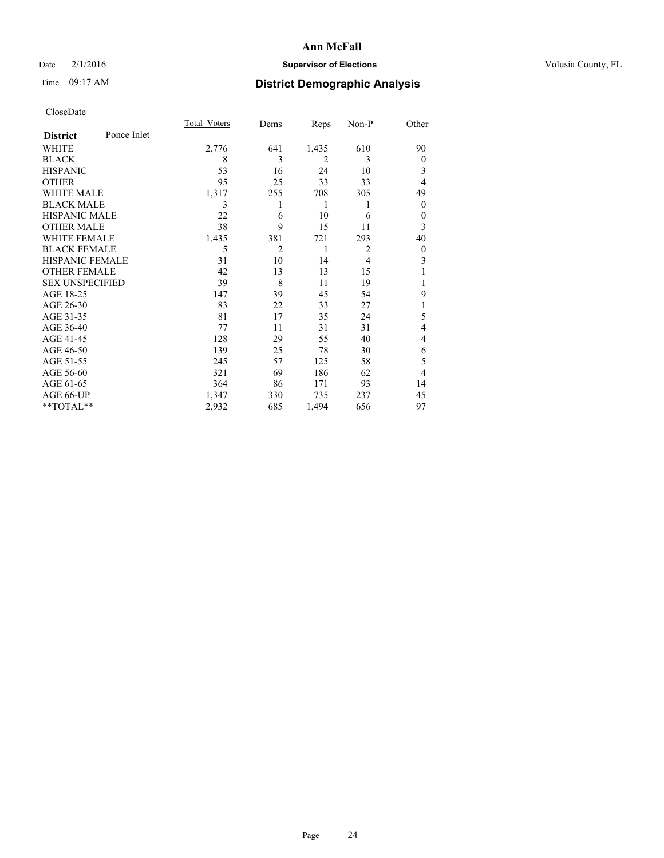### Date  $2/1/2016$  **Supervisor of Elections Supervisor of Elections** Volusia County, FL

# Time 09:17 AM **District Demographic Analysis**

|                        |             | Total Voters | Dems           | Reps  | Non-P          | Other          |
|------------------------|-------------|--------------|----------------|-------|----------------|----------------|
| <b>District</b>        | Ponce Inlet |              |                |       |                |                |
| WHITE                  |             | 2,776        | 641            | 1,435 | 610            | 90             |
| <b>BLACK</b>           |             | 8            | 3              | 2     | 3              | $\overline{0}$ |
| <b>HISPANIC</b>        |             | 53           | 16             | 24    | 10             | 3              |
| <b>OTHER</b>           |             | 95           | 25             | 33    | 33             | $\overline{4}$ |
| WHITE MALE             |             | 1,317        | 255            | 708   | 305            | 49             |
| <b>BLACK MALE</b>      |             | 3            |                | 1     | 1              | $\overline{0}$ |
| <b>HISPANIC MALE</b>   |             | 22           | 6              | 10    | 6              | $\theta$       |
| <b>OTHER MALE</b>      |             | 38           | 9              | 15    | 11             | 3              |
| <b>WHITE FEMALE</b>    |             | 1,435        | 381            | 721   | 293            | 40             |
| <b>BLACK FEMALE</b>    |             | 5            | $\overline{c}$ | 1     | $\overline{2}$ | $\overline{0}$ |
| <b>HISPANIC FEMALE</b> |             | 31           | 10             | 14    | $\overline{4}$ | 3              |
| <b>OTHER FEMALE</b>    |             | 42           | 13             | 13    | 15             |                |
| <b>SEX UNSPECIFIED</b> |             | 39           | 8              | 11    | 19             |                |
| AGE 18-25              |             | 147          | 39             | 45    | 54             | 9              |
| AGE 26-30              |             | 83           | 22             | 33    | 27             | 1              |
| AGE 31-35              |             | 81           | 17             | 35    | 24             | 5              |
| AGE 36-40              |             | 77           | 11             | 31    | 31             | 4              |
| AGE 41-45              |             | 128          | 29             | 55    | 40             | 4              |
| AGE 46-50              |             | 139          | 25             | 78    | 30             | 6              |
| AGE 51-55              |             | 245          | 57             | 125   | 58             | 5              |
| AGE 56-60              |             | 321          | 69             | 186   | 62             | 4              |
| AGE 61-65              |             | 364          | 86             | 171   | 93             | 14             |
| AGE 66-UP              |             | 1,347        | 330            | 735   | 237            | 45             |
| **TOTAL**              |             | 2,932        | 685            | 1,494 | 656            | 97             |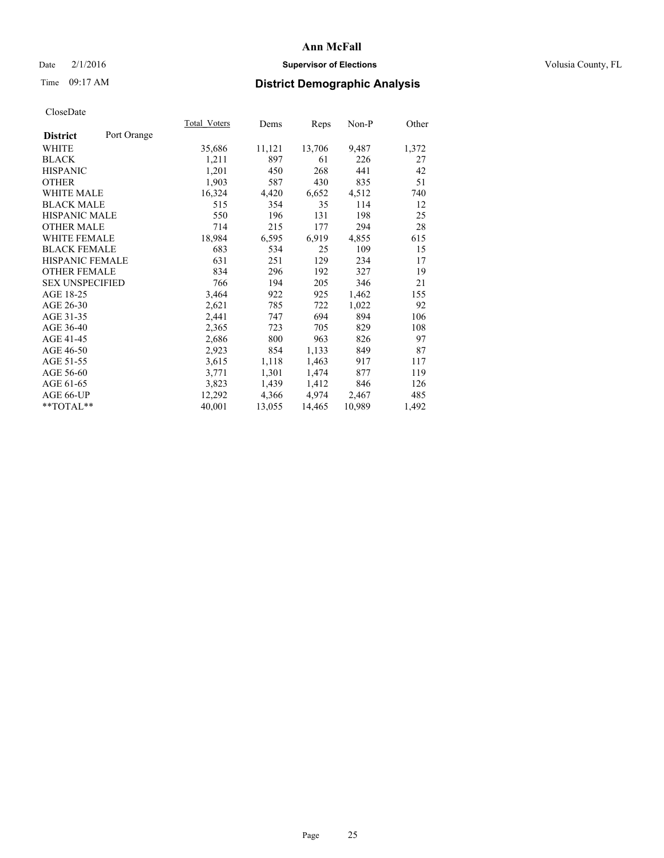### Date  $2/1/2016$  **Supervisor of Elections Supervisor of Elections** Volusia County, FL

# Time 09:17 AM **District Demographic Analysis**

|                        |             | <b>Total Voters</b> | Dems   | Reps   | Non-P  | Other |
|------------------------|-------------|---------------------|--------|--------|--------|-------|
| <b>District</b>        | Port Orange |                     |        |        |        |       |
| WHITE                  |             | 35,686              | 11,121 | 13,706 | 9,487  | 1,372 |
| <b>BLACK</b>           |             | 1,211               | 897    | 61     | 226    | 27    |
| <b>HISPANIC</b>        |             | 1,201               | 450    | 268    | 441    | 42    |
| <b>OTHER</b>           |             | 1,903               | 587    | 430    | 835    | 51    |
| WHITE MALE             |             | 16,324              | 4,420  | 6,652  | 4,512  | 740   |
| <b>BLACK MALE</b>      |             | 515                 | 354    | 35     | 114    | 12    |
| <b>HISPANIC MALE</b>   |             | 550                 | 196    | 131    | 198    | 25    |
| <b>OTHER MALE</b>      |             | 714                 | 215    | 177    | 294    | 28    |
| <b>WHITE FEMALE</b>    |             | 18,984              | 6,595  | 6.919  | 4,855  | 615   |
| <b>BLACK FEMALE</b>    |             | 683                 | 534    | 25     | 109    | 15    |
| HISPANIC FEMALE        |             | 631                 | 251    | 129    | 234    | 17    |
| <b>OTHER FEMALE</b>    |             | 834                 | 296    | 192    | 327    | 19    |
| <b>SEX UNSPECIFIED</b> |             | 766                 | 194    | 205    | 346    | 21    |
| AGE 18-25              |             | 3,464               | 922    | 925    | 1,462  | 155   |
| AGE 26-30              |             | 2,621               | 785    | 722    | 1,022  | 92    |
| AGE 31-35              |             | 2,441               | 747    | 694    | 894    | 106   |
| AGE 36-40              |             | 2,365               | 723    | 705    | 829    | 108   |
| AGE 41-45              |             | 2,686               | 800    | 963    | 826    | 97    |
| AGE 46-50              |             | 2,923               | 854    | 1,133  | 849    | 87    |
| AGE 51-55              |             | 3,615               | 1,118  | 1,463  | 917    | 117   |
| AGE 56-60              |             | 3,771               | 1,301  | 1,474  | 877    | 119   |
| AGE 61-65              |             | 3,823               | 1,439  | 1,412  | 846    | 126   |
| AGE 66-UP              |             | 12,292              | 4,366  | 4,974  | 2,467  | 485   |
| $*$ $TOTAL**$          |             | 40,001              | 13,055 | 14,465 | 10,989 | 1,492 |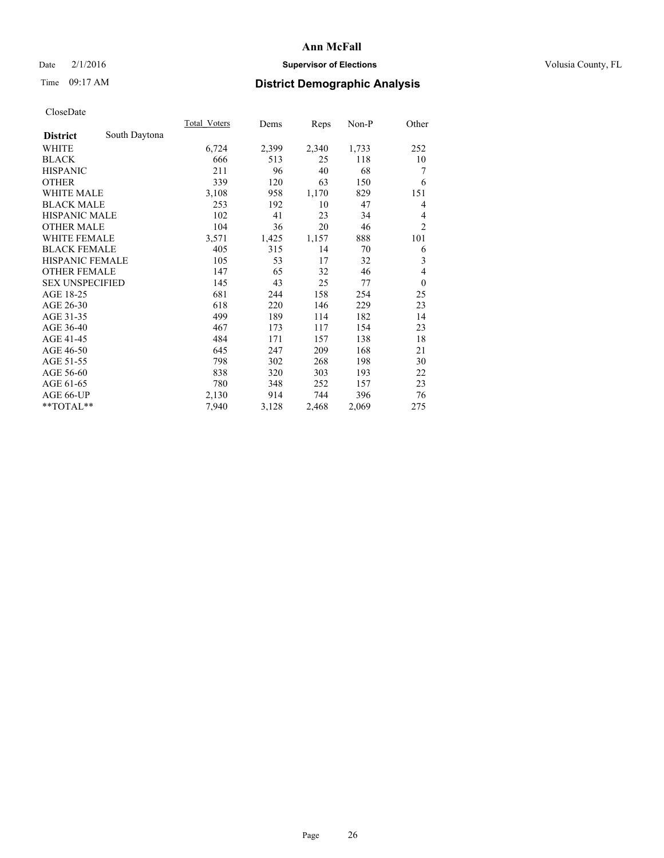### Date  $2/1/2016$  **Supervisor of Elections Supervisor of Elections** Volusia County, FL

# Time 09:17 AM **District Demographic Analysis**

|                        |               | <b>Total Voters</b> | Dems  | Reps  | Non-P | Other          |
|------------------------|---------------|---------------------|-------|-------|-------|----------------|
| <b>District</b>        | South Daytona |                     |       |       |       |                |
| WHITE                  |               | 6,724               | 2,399 | 2,340 | 1,733 | 252            |
| <b>BLACK</b>           |               | 666                 | 513   | 25    | 118   | 10             |
| <b>HISPANIC</b>        |               | 211                 | 96    | 40    | 68    | 7              |
| <b>OTHER</b>           |               | 339                 | 120   | 63    | 150   | 6              |
| <b>WHITE MALE</b>      |               | 3,108               | 958   | 1,170 | 829   | 151            |
| <b>BLACK MALE</b>      |               | 253                 | 192   | 10    | 47    | 4              |
| HISPANIC MALE          |               | 102                 | 41    | 23    | 34    | 4              |
| <b>OTHER MALE</b>      |               | 104                 | 36    | 20    | 46    | $\overline{2}$ |
| <b>WHITE FEMALE</b>    |               | 3,571               | 1,425 | 1,157 | 888   | 101            |
| <b>BLACK FEMALE</b>    |               | 405                 | 315   | 14    | 70    | 6              |
| <b>HISPANIC FEMALE</b> |               | 105                 | 53    | 17    | 32    | 3              |
| <b>OTHER FEMALE</b>    |               | 147                 | 65    | 32    | 46    | 4              |
| <b>SEX UNSPECIFIED</b> |               | 145                 | 43    | 25    | 77    | $\mathbf{0}$   |
| AGE 18-25              |               | 681                 | 244   | 158   | 254   | 25             |
| AGE 26-30              |               | 618                 | 220   | 146   | 229   | 23             |
| AGE 31-35              |               | 499                 | 189   | 114   | 182   | 14             |
| AGE 36-40              |               | 467                 | 173   | 117   | 154   | 23             |
| AGE 41-45              |               | 484                 | 171   | 157   | 138   | 18             |
| AGE 46-50              |               | 645                 | 247   | 209   | 168   | 21             |
| AGE 51-55              |               | 798                 | 302   | 268   | 198   | 30             |
| AGE 56-60              |               | 838                 | 320   | 303   | 193   | 22             |
| AGE 61-65              |               | 780                 | 348   | 252   | 157   | 23             |
| AGE 66-UP              |               | 2,130               | 914   | 744   | 396   | 76             |
| **TOTAL**              |               | 7,940               | 3,128 | 2,468 | 2,069 | 275            |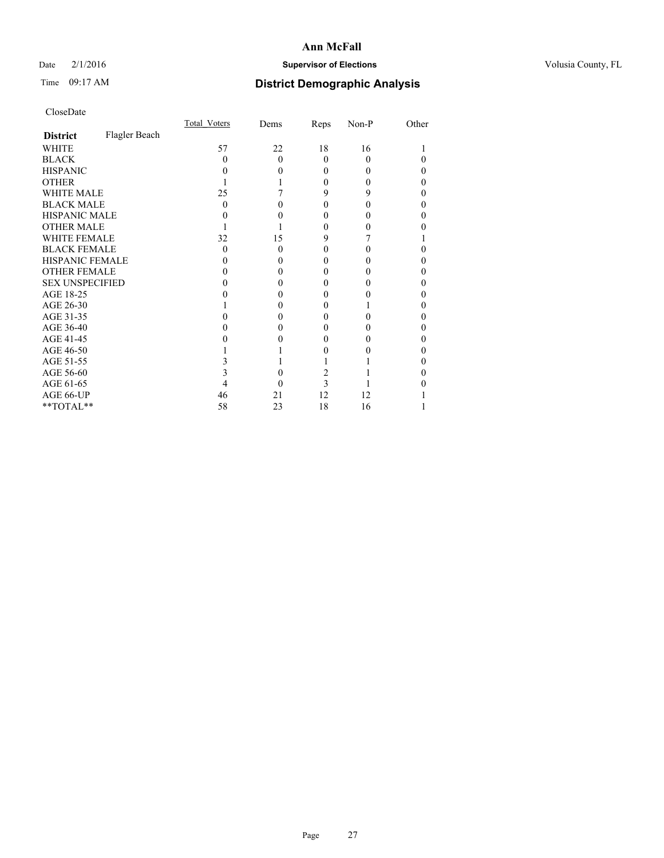### Date  $2/1/2016$  **Supervisor of Elections Supervisor of Elections** Volusia County, FL

# Time 09:17 AM **District Demographic Analysis**

|                        |               | Total Voters | Dems     | Reps   | Non-P | Other |
|------------------------|---------------|--------------|----------|--------|-------|-------|
| <b>District</b>        | Flagler Beach |              |          |        |       |       |
| <b>WHITE</b>           |               | 57           | 22       | 18     | 16    |       |
| <b>BLACK</b>           |               | $\Omega$     | $\theta$ | 0      | 0     | 0     |
| <b>HISPANIC</b>        |               | 0            | 0        | $_{0}$ | 0     | 0     |
| <b>OTHER</b>           |               |              |          | 0      |       | 0     |
| <b>WHITE MALE</b>      |               | 25           |          | 9      | 9     | 0     |
| <b>BLACK MALE</b>      |               | 0            | 0        | 0      | 0     | 0     |
| <b>HISPANIC MALE</b>   |               |              | 0        | 0      |       | 0     |
| <b>OTHER MALE</b>      |               |              |          | 0      |       | 0     |
| <b>WHITE FEMALE</b>    |               | 32           | 15       | 9      |       |       |
| <b>BLACK FEMALE</b>    |               | $\theta$     | 0        | 0      | 0     | 0     |
| <b>HISPANIC FEMALE</b> |               |              | 0        |        |       | 0     |
| <b>OTHER FEMALE</b>    |               | 0            | 0        | 0      |       | 0     |
| <b>SEX UNSPECIFIED</b> |               |              | 0        |        |       | 0     |
| AGE 18-25              |               |              | 0        | 0      |       | 0     |
| AGE 26-30              |               |              | 0        | 0      |       | 0     |
| AGE 31-35              |               |              | 0        |        |       | 0     |
| AGE 36-40              |               |              | 0        | 0      |       | 0     |
| AGE 41-45              |               |              |          |        |       | 0     |
| AGE 46-50              |               |              |          | 0      |       | 0     |
| AGE 51-55              |               |              |          |        |       | 0     |
| AGE 56-60              |               |              | 0        | 2      |       | 0     |
| AGE 61-65              |               |              | 0        | 3      |       | 0     |
| AGE 66-UP              |               | 46           | 21       | 12     | 12    |       |
| **TOTAL**              |               | 58           | 23       | 18     | 16    |       |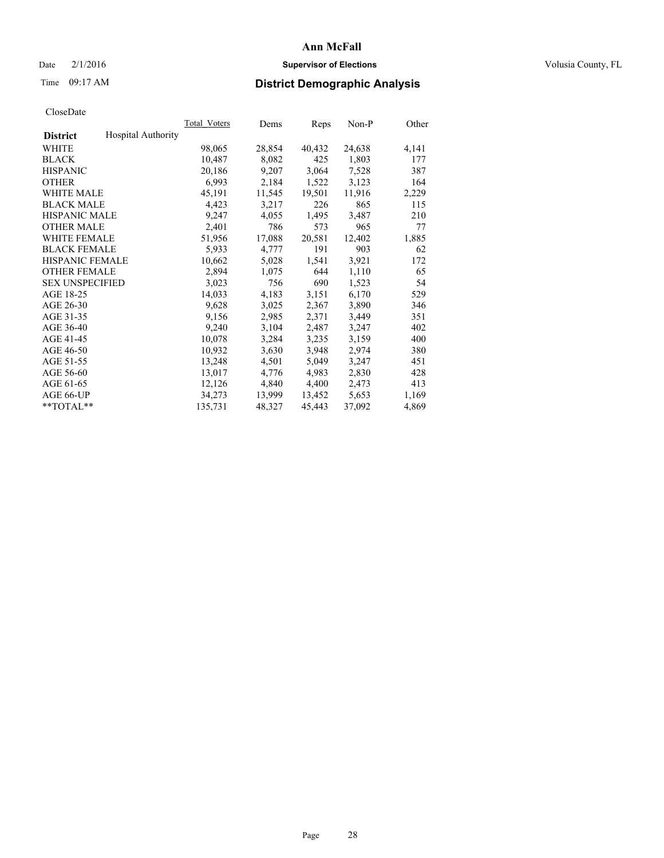### Date  $2/1/2016$  **Supervisor of Elections Supervisor of Elections** Volusia County, FL

# Time 09:17 AM **District Demographic Analysis**

|                                              | <b>Total Voters</b> | Dems   | Reps   | Non-P  | Other |
|----------------------------------------------|---------------------|--------|--------|--------|-------|
| <b>Hospital Authority</b><br><b>District</b> |                     |        |        |        |       |
| WHITE                                        | 98,065              | 28,854 | 40,432 | 24,638 | 4,141 |
| <b>BLACK</b>                                 | 10,487              | 8,082  | 425    | 1,803  | 177   |
| <b>HISPANIC</b>                              | 20,186              | 9,207  | 3,064  | 7,528  | 387   |
| <b>OTHER</b>                                 | 6,993               | 2,184  | 1,522  | 3,123  | 164   |
| WHITE MALE                                   | 45,191              | 11,545 | 19,501 | 11,916 | 2,229 |
| <b>BLACK MALE</b>                            | 4,423               | 3,217  | 226    | 865    | 115   |
| <b>HISPANIC MALE</b>                         | 9,247               | 4,055  | 1,495  | 3,487  | 210   |
| <b>OTHER MALE</b>                            | 2,401               | 786    | 573    | 965    | 77    |
| <b>WHITE FEMALE</b>                          | 51,956              | 17,088 | 20,581 | 12,402 | 1,885 |
| <b>BLACK FEMALE</b>                          | 5,933               | 4,777  | 191    | 903    | 62    |
| HISPANIC FEMALE                              | 10,662              | 5,028  | 1,541  | 3,921  | 172   |
| <b>OTHER FEMALE</b>                          | 2,894               | 1,075  | 644    | 1,110  | 65    |
| <b>SEX UNSPECIFIED</b>                       | 3,023               | 756    | 690    | 1,523  | 54    |
| AGE 18-25                                    | 14,033              | 4,183  | 3,151  | 6,170  | 529   |
| AGE 26-30                                    | 9,628               | 3,025  | 2,367  | 3,890  | 346   |
| AGE 31-35                                    | 9,156               | 2,985  | 2,371  | 3,449  | 351   |
| AGE 36-40                                    | 9,240               | 3,104  | 2,487  | 3,247  | 402   |
| AGE 41-45                                    | 10,078              | 3,284  | 3,235  | 3,159  | 400   |
| AGE 46-50                                    | 10,932              | 3,630  | 3,948  | 2,974  | 380   |
| AGE 51-55                                    | 13,248              | 4,501  | 5,049  | 3,247  | 451   |
| AGE 56-60                                    | 13,017              | 4,776  | 4,983  | 2,830  | 428   |
| AGE 61-65                                    | 12,126              | 4,840  | 4,400  | 2,473  | 413   |
| AGE 66-UP                                    | 34,273              | 13,999 | 13,452 | 5,653  | 1,169 |
| $*$ $TOTAL**$                                | 135,731             | 48,327 | 45,443 | 37,092 | 4,869 |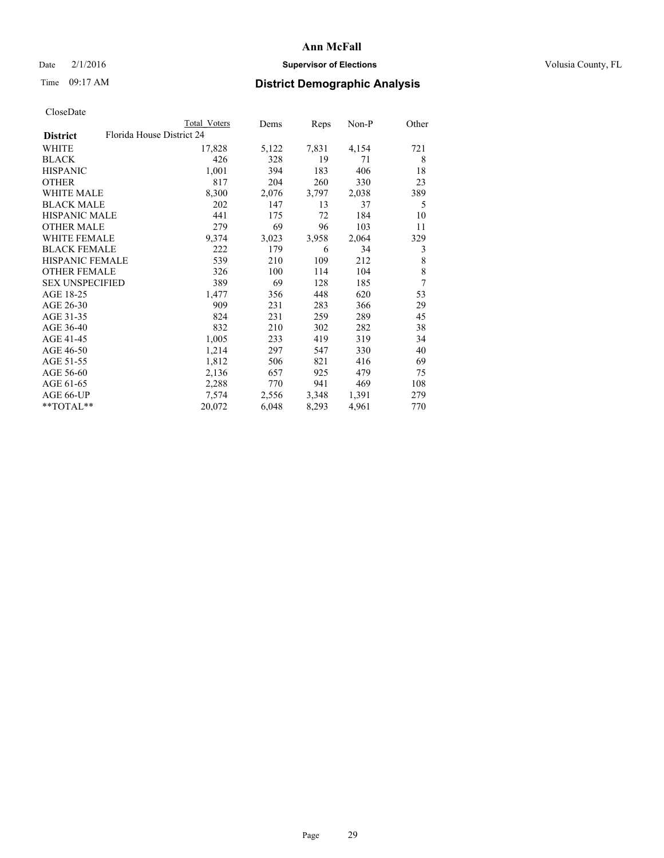### Date  $2/1/2016$  **Supervisor of Elections Supervisor of Elections** Volusia County, FL

# Time 09:17 AM **District Demographic Analysis**

|--|

|                        | Total Voters              | Dems  | Reps  | Non-P | Other |
|------------------------|---------------------------|-------|-------|-------|-------|
| <b>District</b>        | Florida House District 24 |       |       |       |       |
| WHITE                  | 17,828                    | 5,122 | 7,831 | 4,154 | 721   |
| <b>BLACK</b>           | 426                       | 328   | 19    | 71    | 8     |
| <b>HISPANIC</b>        | 1,001                     | 394   | 183   | 406   | 18    |
| <b>OTHER</b>           | 817                       | 204   | 260   | 330   | 23    |
| WHITE MALE             | 8,300                     | 2,076 | 3,797 | 2,038 | 389   |
| <b>BLACK MALE</b>      | 202                       | 147   | 13    | 37    | 5     |
| <b>HISPANIC MALE</b>   | 441                       | 175   | 72    | 184   | 10    |
| <b>OTHER MALE</b>      | 279                       | 69    | 96    | 103   | 11    |
| <b>WHITE FEMALE</b>    | 9,374                     | 3,023 | 3,958 | 2,064 | 329   |
| <b>BLACK FEMALE</b>    | 222                       | 179   | 6     | 34    | 3     |
| HISPANIC FEMALE        | 539                       | 210   | 109   | 212   | 8     |
| <b>OTHER FEMALE</b>    | 326                       | 100   | 114   | 104   | 8     |
| <b>SEX UNSPECIFIED</b> | 389                       | 69    | 128   | 185   | 7     |
| AGE 18-25              | 1,477                     | 356   | 448   | 620   | 53    |
| AGE 26-30              | 909                       | 231   | 283   | 366   | 29    |
| AGE 31-35              | 824                       | 231   | 259   | 289   | 45    |
| AGE 36-40              | 832                       | 210   | 302   | 282   | 38    |
| AGE 41-45              | 1,005                     | 233   | 419   | 319   | 34    |
| AGE 46-50              | 1,214                     | 297   | 547   | 330   | 40    |
| AGE 51-55              | 1,812                     | 506   | 821   | 416   | 69    |
| AGE 56-60              | 2,136                     | 657   | 925   | 479   | 75    |
| AGE 61-65              | 2,288                     | 770   | 941   | 469   | 108   |
| AGE 66-UP              | 7,574                     | 2,556 | 3,348 | 1,391 | 279   |
| **TOTAL**              | 20,072                    | 6,048 | 8,293 | 4,961 | 770   |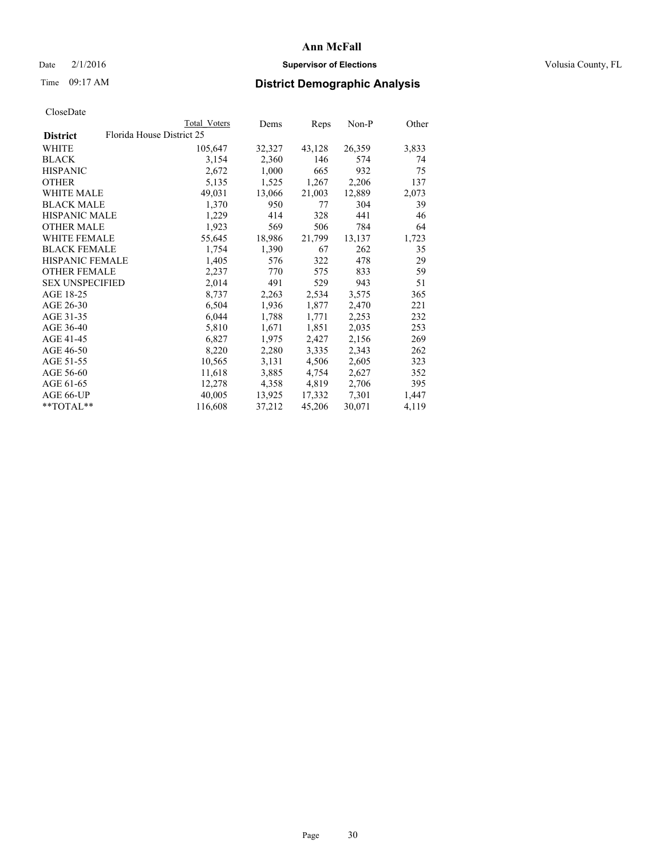### Date  $2/1/2016$  **Supervisor of Elections Supervisor of Elections** Volusia County, FL

# Time 09:17 AM **District Demographic Analysis**

|                        |                           | Total Voters | Dems   | Reps   | Non-P  | Other |
|------------------------|---------------------------|--------------|--------|--------|--------|-------|
| <b>District</b>        | Florida House District 25 |              |        |        |        |       |
| <b>WHITE</b>           |                           | 105,647      | 32,327 | 43,128 | 26,359 | 3,833 |
| <b>BLACK</b>           |                           | 3,154        | 2,360  | 146    | 574    | 74    |
| <b>HISPANIC</b>        |                           | 2,672        | 1,000  | 665    | 932    | 75    |
| <b>OTHER</b>           |                           | 5,135        | 1,525  | 1,267  | 2,206  | 137   |
| <b>WHITE MALE</b>      |                           | 49,031       | 13,066 | 21,003 | 12,889 | 2,073 |
| <b>BLACK MALE</b>      |                           | 1,370        | 950    | 77     | 304    | 39    |
| <b>HISPANIC MALE</b>   |                           | 1,229        | 414    | 328    | 441    | 46    |
| <b>OTHER MALE</b>      |                           | 1,923        | 569    | 506    | 784    | 64    |
| <b>WHITE FEMALE</b>    |                           | 55,645       | 18,986 | 21,799 | 13,137 | 1,723 |
| <b>BLACK FEMALE</b>    |                           | 1,754        | 1,390  | 67     | 262    | 35    |
| <b>HISPANIC FEMALE</b> |                           | 1,405        | 576    | 322    | 478    | 29    |
| <b>OTHER FEMALE</b>    |                           | 2,237        | 770    | 575    | 833    | 59    |
| <b>SEX UNSPECIFIED</b> |                           | 2,014        | 491    | 529    | 943    | 51    |
| AGE 18-25              |                           | 8,737        | 2,263  | 2,534  | 3,575  | 365   |
| AGE 26-30              |                           | 6,504        | 1,936  | 1,877  | 2,470  | 221   |
| AGE 31-35              |                           | 6,044        | 1,788  | 1,771  | 2,253  | 232   |
| AGE 36-40              |                           | 5,810        | 1,671  | 1,851  | 2,035  | 253   |
| AGE 41-45              |                           | 6,827        | 1,975  | 2,427  | 2,156  | 269   |
| AGE 46-50              |                           | 8,220        | 2,280  | 3,335  | 2,343  | 262   |
| AGE 51-55              |                           | 10,565       | 3,131  | 4,506  | 2,605  | 323   |
| AGE 56-60              |                           | 11,618       | 3,885  | 4,754  | 2,627  | 352   |
| AGE 61-65              |                           | 12,278       | 4,358  | 4,819  | 2,706  | 395   |
| AGE 66-UP              |                           | 40,005       | 13,925 | 17,332 | 7,301  | 1,447 |
| $*$ $TOTAL**$          |                           | 116,608      | 37,212 | 45,206 | 30,071 | 4,119 |
|                        |                           |              |        |        |        |       |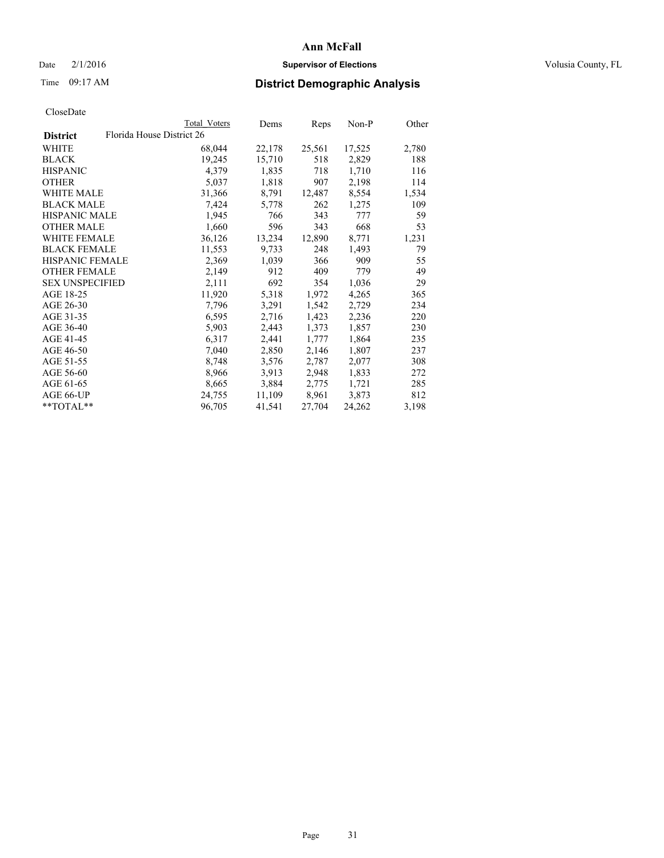### Date  $2/1/2016$  **Supervisor of Elections Supervisor of Elections** Volusia County, FL

# Time 09:17 AM **District Demographic Analysis**

| CloseDate |
|-----------|
|-----------|

|                        |                           | Total Voters | Dems   | Reps   | $Non-P$ | Other |
|------------------------|---------------------------|--------------|--------|--------|---------|-------|
| <b>District</b>        | Florida House District 26 |              |        |        |         |       |
| WHITE                  |                           | 68,044       | 22,178 | 25,561 | 17,525  | 2,780 |
| <b>BLACK</b>           |                           | 19,245       | 15,710 | 518    | 2,829   | 188   |
| <b>HISPANIC</b>        |                           | 4,379        | 1,835  | 718    | 1,710   | 116   |
| <b>OTHER</b>           |                           | 5,037        | 1,818  | 907    | 2,198   | 114   |
| <b>WHITE MALE</b>      |                           | 31,366       | 8,791  | 12,487 | 8,554   | 1,534 |
| <b>BLACK MALE</b>      |                           | 7,424        | 5,778  | 262    | 1,275   | 109   |
| <b>HISPANIC MALE</b>   |                           | 1,945        | 766    | 343    | 777     | 59    |
| <b>OTHER MALE</b>      |                           | 1,660        | 596    | 343    | 668     | 53    |
| WHITE FEMALE           |                           | 36,126       | 13,234 | 12,890 | 8,771   | 1,231 |
| <b>BLACK FEMALE</b>    |                           | 11,553       | 9,733  | 248    | 1,493   | 79    |
| <b>HISPANIC FEMALE</b> |                           | 2,369        | 1,039  | 366    | 909     | 55    |
| <b>OTHER FEMALE</b>    |                           | 2,149        | 912    | 409    | 779     | 49    |
| <b>SEX UNSPECIFIED</b> |                           | 2,111        | 692    | 354    | 1,036   | 29    |
| AGE 18-25              |                           | 11,920       | 5,318  | 1,972  | 4,265   | 365   |
| AGE 26-30              |                           | 7.796        | 3,291  | 1,542  | 2,729   | 234   |
| AGE 31-35              |                           | 6,595        | 2,716  | 1,423  | 2,236   | 220   |
| AGE 36-40              |                           | 5,903        | 2,443  | 1,373  | 1,857   | 230   |
| AGE 41-45              |                           | 6,317        | 2,441  | 1,777  | 1,864   | 235   |
| AGE 46-50              |                           | 7,040        | 2,850  | 2,146  | 1,807   | 237   |
| AGE 51-55              |                           | 8,748        | 3,576  | 2,787  | 2,077   | 308   |
| AGE 56-60              |                           | 8,966        | 3,913  | 2,948  | 1,833   | 272   |
| AGE 61-65              |                           | 8,665        | 3,884  | 2,775  | 1,721   | 285   |
| AGE 66-UP              |                           | 24,755       | 11,109 | 8,961  | 3,873   | 812   |
| $*$ TOTAL $*$          |                           | 96,705       | 41,541 | 27,704 | 24,262  | 3,198 |
|                        |                           |              |        |        |         |       |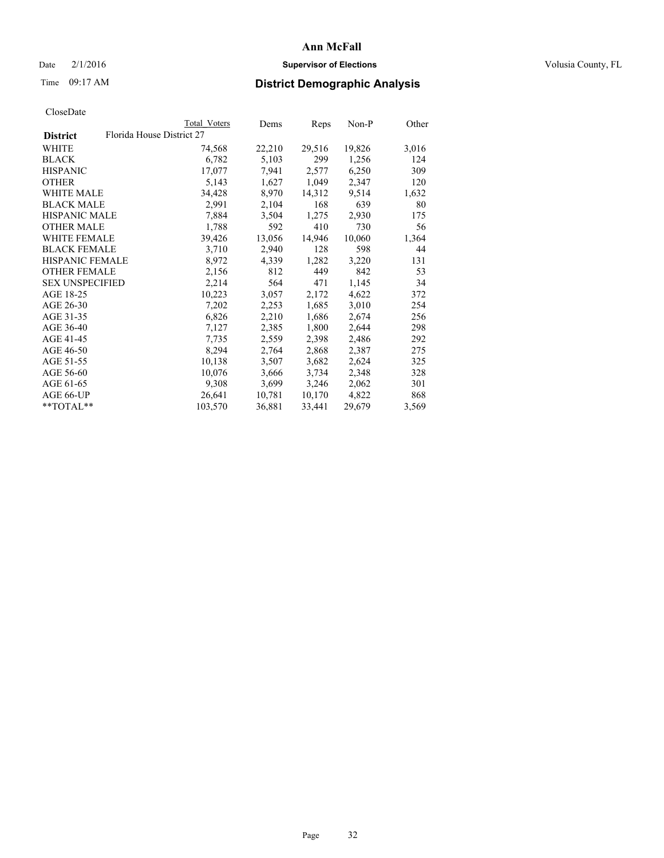### Date  $2/1/2016$  **Supervisor of Elections Supervisor of Elections** Volusia County, FL

# Time 09:17 AM **District Demographic Analysis**

| <b>Total Voters</b> | Dems                      |        | Non-P  | Other |
|---------------------|---------------------------|--------|--------|-------|
|                     |                           |        |        |       |
| 74,568              | 22,210                    | 29,516 | 19,826 | 3,016 |
| 6,782               | 5,103                     | 299    | 1,256  | 124   |
| 17,077              | 7,941                     | 2,577  | 6,250  | 309   |
| 5,143               | 1,627                     | 1,049  | 2,347  | 120   |
| 34,428              | 8,970                     | 14,312 | 9,514  | 1,632 |
| 2,991               | 2,104                     | 168    | 639    | 80    |
| 7,884               | 3,504                     | 1,275  | 2,930  | 175   |
| 1,788               | 592                       | 410    | 730    | 56    |
| 39,426              | 13,056                    | 14,946 | 10,060 | 1,364 |
| 3,710               | 2,940                     | 128    | 598    | 44    |
| 8,972               | 4,339                     | 1,282  | 3,220  | 131   |
| 2,156               | 812                       | 449    | 842    | 53    |
| 2,214               | 564                       | 471    | 1,145  | 34    |
| 10,223              | 3,057                     | 2,172  | 4,622  | 372   |
| 7,202               | 2,253                     | 1,685  | 3,010  | 254   |
| 6,826               | 2,210                     | 1,686  | 2,674  | 256   |
| 7,127               | 2,385                     | 1,800  | 2,644  | 298   |
| 7.735               | 2,559                     | 2,398  | 2,486  | 292   |
| 8,294               | 2,764                     | 2,868  | 2,387  | 275   |
| 10,138              | 3,507                     | 3,682  | 2,624  | 325   |
| 10,076              | 3,666                     | 3,734  | 2,348  | 328   |
| 9,308               | 3,699                     | 3,246  | 2,062  | 301   |
| 26,641              | 10,781                    | 10,170 | 4,822  | 868   |
| 103,570             | 36,881                    | 33,441 | 29,679 | 3,569 |
|                     | Florida House District 27 |        | Reps   |       |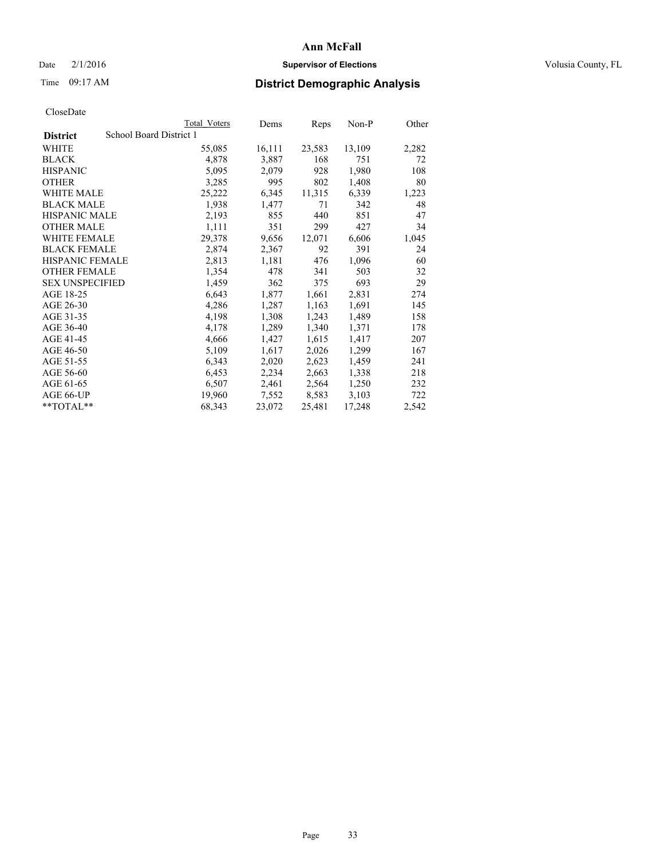### Date  $2/1/2016$  **Supervisor of Elections Supervisor of Elections** Volusia County, FL

# Time 09:17 AM **District Demographic Analysis**

|                                            | Total Voters | Dems   | Reps   | Non-P  | Other |
|--------------------------------------------|--------------|--------|--------|--------|-------|
| School Board District 1<br><b>District</b> |              |        |        |        |       |
| WHITE                                      | 55,085       | 16,111 | 23,583 | 13,109 | 2,282 |
| <b>BLACK</b>                               | 4,878        | 3,887  | 168    | 751    | 72    |
| <b>HISPANIC</b>                            | 5,095        | 2,079  | 928    | 1,980  | 108   |
| <b>OTHER</b>                               | 3,285        | 995    | 802    | 1,408  | 80    |
| <b>WHITE MALE</b>                          | 25,222       | 6,345  | 11,315 | 6,339  | 1,223 |
| <b>BLACK MALE</b>                          | 1,938        | 1,477  | 71     | 342    | 48    |
| <b>HISPANIC MALE</b>                       | 2,193        | 855    | 440    | 851    | 47    |
| <b>OTHER MALE</b>                          | 1,111        | 351    | 299    | 427    | 34    |
| <b>WHITE FEMALE</b>                        | 29,378       | 9,656  | 12,071 | 6,606  | 1,045 |
| <b>BLACK FEMALE</b>                        | 2,874        | 2,367  | 92     | 391    | 24    |
| HISPANIC FEMALE                            | 2,813        | 1,181  | 476    | 1,096  | 60    |
| <b>OTHER FEMALE</b>                        | 1,354        | 478    | 341    | 503    | 32    |
| <b>SEX UNSPECIFIED</b>                     | 1,459        | 362    | 375    | 693    | 29    |
| AGE 18-25                                  | 6,643        | 1,877  | 1,661  | 2,831  | 274   |
| AGE 26-30                                  | 4,286        | 1,287  | 1,163  | 1,691  | 145   |
| AGE 31-35                                  | 4,198        | 1,308  | 1,243  | 1,489  | 158   |
| AGE 36-40                                  | 4,178        | 1,289  | 1,340  | 1,371  | 178   |
| AGE 41-45                                  | 4,666        | 1,427  | 1,615  | 1,417  | 207   |
| AGE 46-50                                  | 5,109        | 1,617  | 2,026  | 1,299  | 167   |
| AGE 51-55                                  | 6,343        | 2,020  | 2,623  | 1,459  | 241   |
| AGE 56-60                                  | 6,453        | 2,234  | 2,663  | 1,338  | 218   |
| AGE 61-65                                  | 6,507        | 2,461  | 2,564  | 1,250  | 232   |
| AGE 66-UP                                  | 19,960       | 7,552  | 8,583  | 3,103  | 722   |
| $*$ $TOTAI.**$                             | 68,343       | 23,072 | 25,481 | 17,248 | 2,542 |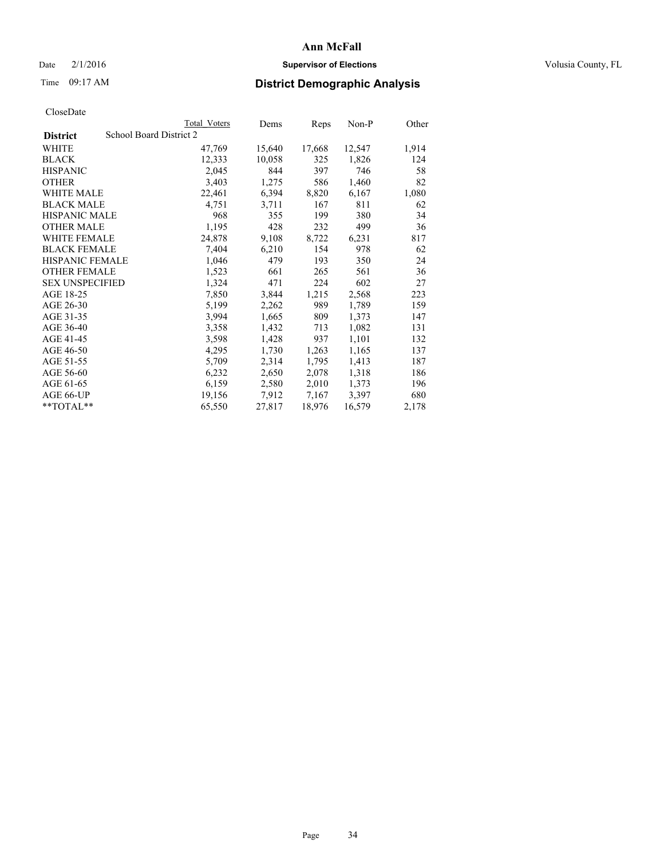### Date  $2/1/2016$  **Supervisor of Elections Supervisor of Elections** Volusia County, FL

# Time 09:17 AM **District Demographic Analysis**

|                                            | Total Voters | Dems   | Reps   | Non-P  | Other |
|--------------------------------------------|--------------|--------|--------|--------|-------|
| School Board District 2<br><b>District</b> |              |        |        |        |       |
| WHITE                                      | 47,769       | 15,640 | 17,668 | 12,547 | 1,914 |
| <b>BLACK</b>                               | 12,333       | 10,058 | 325    | 1,826  | 124   |
| <b>HISPANIC</b>                            | 2,045        | 844    | 397    | 746    | 58    |
| <b>OTHER</b>                               | 3,403        | 1,275  | 586    | 1,460  | 82    |
| <b>WHITE MALE</b>                          | 22,461       | 6,394  | 8,820  | 6,167  | 1,080 |
| <b>BLACK MALE</b>                          | 4,751        | 3,711  | 167    | 811    | 62    |
| <b>HISPANIC MALE</b>                       | 968          | 355    | 199    | 380    | 34    |
| <b>OTHER MALE</b>                          | 1,195        | 428    | 232    | 499    | 36    |
| <b>WHITE FEMALE</b>                        | 24,878       | 9,108  | 8,722  | 6,231  | 817   |
| <b>BLACK FEMALE</b>                        | 7,404        | 6,210  | 154    | 978    | 62    |
| <b>HISPANIC FEMALE</b>                     | 1,046        | 479    | 193    | 350    | 24    |
| <b>OTHER FEMALE</b>                        | 1,523        | 661    | 265    | 561    | 36    |
| <b>SEX UNSPECIFIED</b>                     | 1,324        | 471    | 224    | 602    | 27    |
| AGE 18-25                                  | 7,850        | 3,844  | 1,215  | 2,568  | 223   |
| AGE 26-30                                  | 5,199        | 2,262  | 989    | 1,789  | 159   |
| AGE 31-35                                  | 3,994        | 1,665  | 809    | 1,373  | 147   |
| AGE 36-40                                  | 3,358        | 1,432  | 713    | 1,082  | 131   |
| AGE 41-45                                  | 3,598        | 1,428  | 937    | 1,101  | 132   |
| AGE 46-50                                  | 4,295        | 1,730  | 1,263  | 1,165  | 137   |
| AGE 51-55                                  | 5,709        | 2,314  | 1,795  | 1,413  | 187   |
| AGE 56-60                                  | 6,232        | 2,650  | 2,078  | 1,318  | 186   |
| AGE 61-65                                  | 6,159        | 2,580  | 2,010  | 1,373  | 196   |
| AGE 66-UP                                  | 19,156       | 7,912  | 7,167  | 3,397  | 680   |
| $*$ TOTAL $*$                              | 65,550       | 27,817 | 18,976 | 16,579 | 2,178 |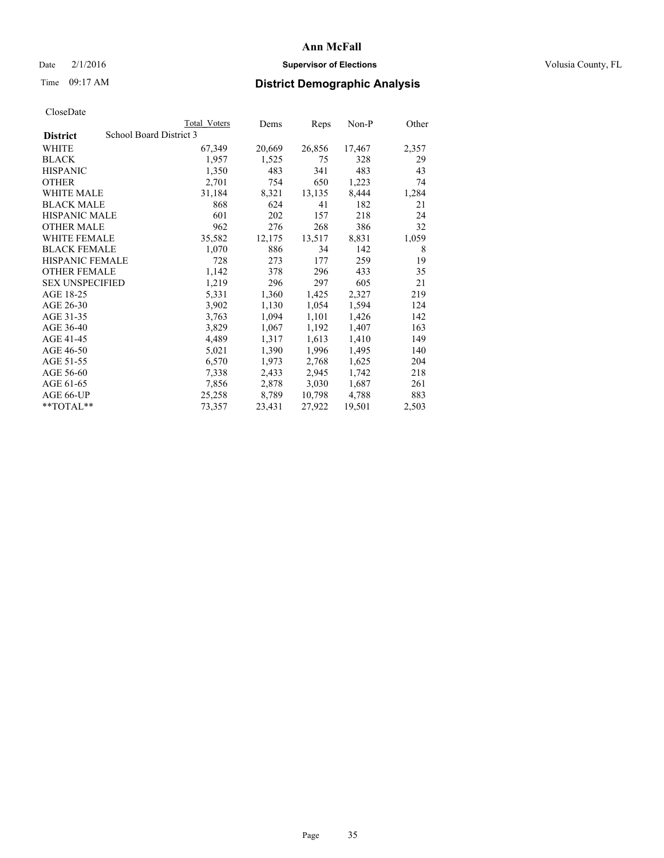### Date  $2/1/2016$  **Supervisor of Elections Supervisor of Elections** Volusia County, FL

# Time 09:17 AM **District Demographic Analysis**

|                        | <b>Total Voters</b>     | Dems   | <b>Reps</b> | Non-P  | Other |
|------------------------|-------------------------|--------|-------------|--------|-------|
| <b>District</b>        | School Board District 3 |        |             |        |       |
| WHITE                  | 67,349                  | 20,669 | 26,856      | 17,467 | 2,357 |
| <b>BLACK</b>           | 1,957                   | 1,525  | 75          | 328    | 29    |
| <b>HISPANIC</b>        | 1,350                   | 483    | 341         | 483    | 43    |
| <b>OTHER</b>           | 2,701                   | 754    | 650         | 1,223  | 74    |
| <b>WHITE MALE</b>      | 31,184                  | 8,321  | 13,135      | 8,444  | 1,284 |
| <b>BLACK MALE</b>      | 868                     | 624    | 41          | 182    | 21    |
| <b>HISPANIC MALE</b>   | 601                     | 202    | 157         | 218    | 24    |
| <b>OTHER MALE</b>      | 962                     | 276    | 268         | 386    | 32    |
| WHITE FEMALE           | 35,582                  | 12,175 | 13,517      | 8,831  | 1,059 |
| <b>BLACK FEMALE</b>    | 1,070                   | 886    | 34          | 142    | 8     |
| <b>HISPANIC FEMALE</b> | 728                     | 273    | 177         | 259    | 19    |
| <b>OTHER FEMALE</b>    | 1,142                   | 378    | 296         | 433    | 35    |
| <b>SEX UNSPECIFIED</b> | 1,219                   | 296    | 297         | 605    | 21    |
| AGE 18-25              | 5,331                   | 1,360  | 1,425       | 2,327  | 219   |
| AGE 26-30              | 3,902                   | 1,130  | 1,054       | 1,594  | 124   |
| AGE 31-35              | 3,763                   | 1,094  | 1,101       | 1,426  | 142   |
| AGE 36-40              | 3,829                   | 1,067  | 1,192       | 1,407  | 163   |
| AGE 41-45              | 4,489                   | 1,317  | 1,613       | 1,410  | 149   |
| AGE 46-50              | 5,021                   | 1,390  | 1,996       | 1,495  | 140   |
| AGE 51-55              | 6,570                   | 1,973  | 2,768       | 1,625  | 204   |
| AGE 56-60              | 7,338                   | 2,433  | 2,945       | 1,742  | 218   |
| AGE 61-65              | 7,856                   | 2,878  | 3,030       | 1,687  | 261   |
| AGE 66-UP              | 25,258                  | 8,789  | 10,798      | 4,788  | 883   |
| $*$ $TOTAI.**$         | 73,357                  | 23,431 | 27,922      | 19,501 | 2,503 |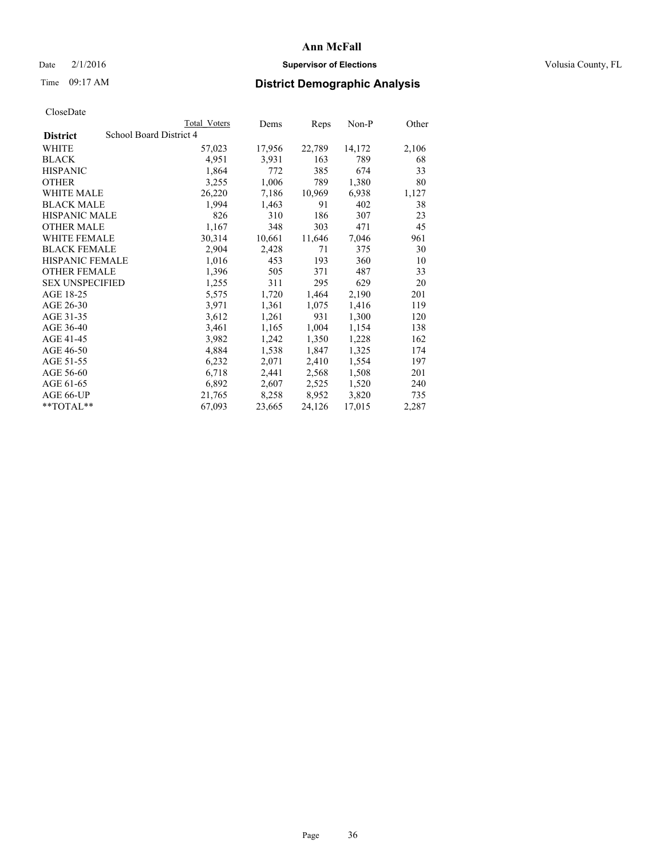### Date  $2/1/2016$  **Supervisor of Elections Supervisor of Elections** Volusia County, FL

# Time 09:17 AM **District Demographic Analysis**

|                                            | <b>Total Voters</b> | Dems   | Reps   | Non-P  | Other |
|--------------------------------------------|---------------------|--------|--------|--------|-------|
| School Board District 4<br><b>District</b> |                     |        |        |        |       |
| WHITE                                      | 57,023              | 17,956 | 22,789 | 14,172 | 2,106 |
| <b>BLACK</b>                               | 4,951               | 3,931  | 163    | 789    | 68    |
| <b>HISPANIC</b>                            | 1,864               | 772    | 385    | 674    | 33    |
| <b>OTHER</b>                               | 3,255               | 1,006  | 789    | 1,380  | 80    |
| WHITE MALE                                 | 26,220              | 7,186  | 10,969 | 6,938  | 1,127 |
| <b>BLACK MALE</b>                          | 1,994               | 1,463  | 91     | 402    | 38    |
| <b>HISPANIC MALE</b>                       | 826                 | 310    | 186    | 307    | 23    |
| <b>OTHER MALE</b>                          | 1,167               | 348    | 303    | 471    | 45    |
| <b>WHITE FEMALE</b>                        | 30,314              | 10,661 | 11,646 | 7,046  | 961   |
| <b>BLACK FEMALE</b>                        | 2,904               | 2,428  | 71     | 375    | 30    |
| <b>HISPANIC FEMALE</b>                     | 1,016               | 453    | 193    | 360    | 10    |
| <b>OTHER FEMALE</b>                        | 1,396               | 505    | 371    | 487    | 33    |
| <b>SEX UNSPECIFIED</b>                     | 1,255               | 311    | 295    | 629    | 20    |
| AGE 18-25                                  | 5,575               | 1,720  | 1,464  | 2,190  | 201   |
| AGE 26-30                                  | 3,971               | 1,361  | 1,075  | 1,416  | 119   |
| AGE 31-35                                  | 3,612               | 1,261  | 931    | 1,300  | 120   |
| AGE 36-40                                  | 3,461               | 1,165  | 1,004  | 1,154  | 138   |
| AGE 41-45                                  | 3,982               | 1,242  | 1,350  | 1,228  | 162   |
| AGE 46-50                                  | 4,884               | 1,538  | 1,847  | 1,325  | 174   |
| AGE 51-55                                  | 6,232               | 2,071  | 2,410  | 1,554  | 197   |
| AGE 56-60                                  | 6,718               | 2,441  | 2,568  | 1,508  | 201   |
| AGE 61-65                                  | 6,892               | 2,607  | 2,525  | 1,520  | 240   |
| AGE 66-UP                                  | 21,765              | 8,258  | 8,952  | 3,820  | 735   |
| $*$ $TOTAL**$                              | 67,093              | 23,665 | 24,126 | 17,015 | 2,287 |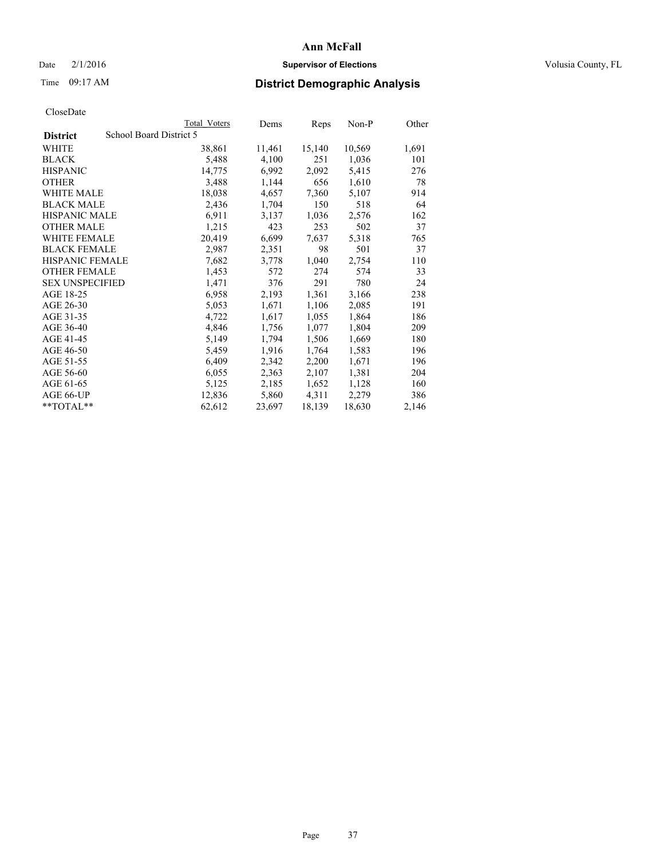## Date  $2/1/2016$  **Supervisor of Elections Supervisor of Elections** Volusia County, FL

# Time 09:17 AM **District Demographic Analysis**

|                        | Total Voters            | Dems   | <b>Reps</b> | $Non-P$ | Other |
|------------------------|-------------------------|--------|-------------|---------|-------|
| <b>District</b>        | School Board District 5 |        |             |         |       |
| WHITE                  | 38,861                  | 11,461 | 15,140      | 10,569  | 1,691 |
| <b>BLACK</b>           | 5,488                   | 4,100  | 251         | 1,036   | 101   |
| <b>HISPANIC</b>        | 14,775                  | 6,992  | 2,092       | 5,415   | 276   |
| <b>OTHER</b>           | 3,488                   | 1,144  | 656         | 1,610   | 78    |
| <b>WHITE MALE</b>      | 18,038                  | 4,657  | 7,360       | 5,107   | 914   |
| <b>BLACK MALE</b>      | 2,436                   | 1,704  | 150         | 518     | 64    |
| <b>HISPANIC MALE</b>   | 6,911                   | 3,137  | 1,036       | 2,576   | 162   |
| <b>OTHER MALE</b>      | 1,215                   | 423    | 253         | 502     | 37    |
| <b>WHITE FEMALE</b>    | 20,419                  | 6,699  | 7,637       | 5,318   | 765   |
| <b>BLACK FEMALE</b>    | 2,987                   | 2,351  | 98          | 501     | 37    |
| HISPANIC FEMALE        | 7,682                   | 3,778  | 1,040       | 2,754   | 110   |
| <b>OTHER FEMALE</b>    | 1,453                   | 572    | 274         | 574     | 33    |
| <b>SEX UNSPECIFIED</b> | 1,471                   | 376    | 291         | 780     | 24    |
| AGE 18-25              | 6,958                   | 2,193  | 1,361       | 3,166   | 238   |
| AGE 26-30              | 5,053                   | 1,671  | 1,106       | 2,085   | 191   |
| AGE 31-35              | 4,722                   | 1,617  | 1,055       | 1,864   | 186   |
| AGE 36-40              | 4,846                   | 1,756  | 1,077       | 1,804   | 209   |
| AGE 41-45              | 5,149                   | 1,794  | 1,506       | 1,669   | 180   |
| AGE 46-50              | 5,459                   | 1,916  | 1,764       | 1,583   | 196   |
| AGE 51-55              | 6,409                   | 2,342  | 2,200       | 1,671   | 196   |
| AGE 56-60              | 6,055                   | 2,363  | 2,107       | 1,381   | 204   |
| AGE 61-65              | 5,125                   | 2,185  | 1,652       | 1,128   | 160   |
| AGE 66-UP              | 12,836                  | 5,860  | 4,311       | 2,279   | 386   |
| **TOTAL**              | 62,612                  | 23,697 | 18,139      | 18,630  | 2,146 |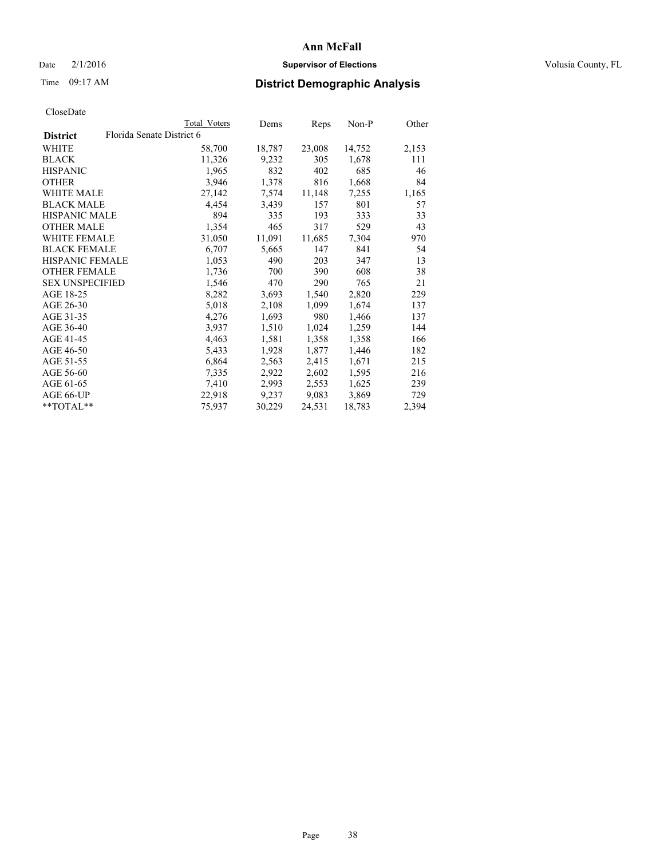## Date  $2/1/2016$  **Supervisor of Elections Supervisor of Elections** Volusia County, FL

# Time 09:17 AM **District Demographic Analysis**

|                                              | Total Voters | Dems   | Reps   | Non-P  | Other |
|----------------------------------------------|--------------|--------|--------|--------|-------|
| Florida Senate District 6<br><b>District</b> |              |        |        |        |       |
| WHITE                                        | 58,700       | 18,787 | 23,008 | 14,752 | 2,153 |
| <b>BLACK</b>                                 | 11,326       | 9,232  | 305    | 1,678  | 111   |
| <b>HISPANIC</b>                              | 1,965        | 832    | 402    | 685    | 46    |
| <b>OTHER</b>                                 | 3,946        | 1,378  | 816    | 1,668  | 84    |
| <b>WHITE MALE</b>                            | 27,142       | 7,574  | 11,148 | 7,255  | 1,165 |
| <b>BLACK MALE</b>                            | 4,454        | 3,439  | 157    | 801    | 57    |
| <b>HISPANIC MALE</b>                         | 894          | 335    | 193    | 333    | 33    |
| <b>OTHER MALE</b>                            | 1,354        | 465    | 317    | 529    | 43    |
| <b>WHITE FEMALE</b>                          | 31,050       | 11,091 | 11,685 | 7,304  | 970   |
| <b>BLACK FEMALE</b>                          | 6,707        | 5,665  | 147    | 841    | 54    |
| <b>HISPANIC FEMALE</b>                       | 1,053        | 490    | 203    | 347    | 13    |
| <b>OTHER FEMALE</b>                          | 1,736        | 700    | 390    | 608    | 38    |
| <b>SEX UNSPECIFIED</b>                       | 1,546        | 470    | 290    | 765    | 21    |
| AGE 18-25                                    | 8,282        | 3,693  | 1,540  | 2,820  | 229   |
| AGE 26-30                                    | 5,018        | 2,108  | 1,099  | 1,674  | 137   |
| AGE 31-35                                    | 4,276        | 1,693  | 980    | 1,466  | 137   |
| AGE 36-40                                    | 3,937        | 1,510  | 1,024  | 1,259  | 144   |
| AGE 41-45                                    | 4,463        | 1,581  | 1,358  | 1,358  | 166   |
| AGE 46-50                                    | 5,433        | 1,928  | 1,877  | 1,446  | 182   |
| AGE 51-55                                    | 6,864        | 2,563  | 2,415  | 1,671  | 215   |
| AGE 56-60                                    | 7,335        | 2,922  | 2,602  | 1,595  | 216   |
| AGE 61-65                                    | 7,410        | 2,993  | 2,553  | 1,625  | 239   |
| AGE 66-UP                                    | 22,918       | 9,237  | 9,083  | 3,869  | 729   |
| **TOTAL**                                    | 75,937       | 30,229 | 24,531 | 18,783 | 2,394 |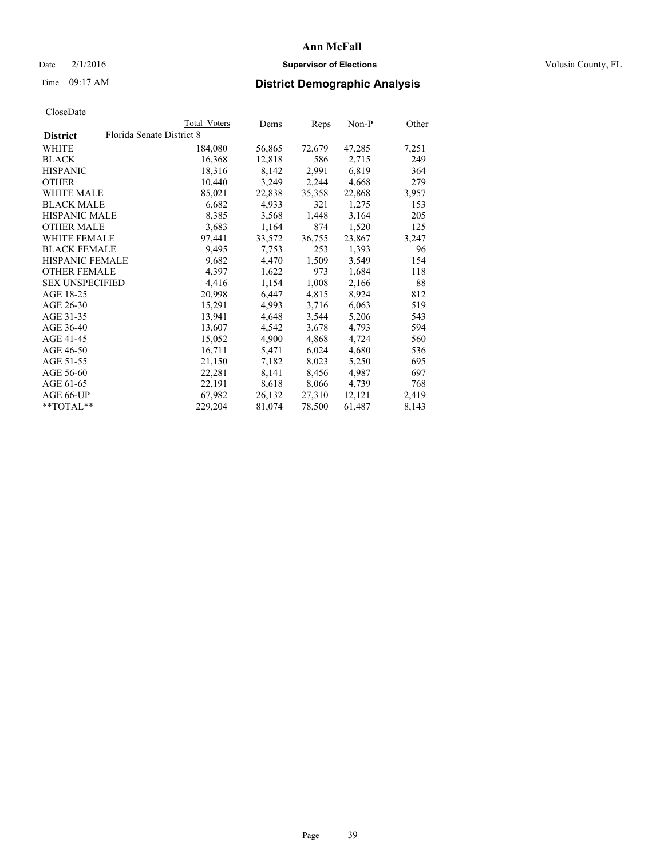## Date  $2/1/2016$  **Supervisor of Elections Supervisor of Elections** Volusia County, FL

# Time 09:17 AM **District Demographic Analysis**

|                        | Total Voters              | Dems   | Reps   | $Non-P$ | Other |
|------------------------|---------------------------|--------|--------|---------|-------|
| <b>District</b>        | Florida Senate District 8 |        |        |         |       |
| WHITE                  | 184,080                   | 56,865 | 72,679 | 47,285  | 7,251 |
| <b>BLACK</b>           | 16,368                    | 12,818 | 586    | 2,715   | 249   |
| <b>HISPANIC</b>        | 18,316                    | 8,142  | 2,991  | 6,819   | 364   |
| <b>OTHER</b>           | 10,440                    | 3,249  | 2,244  | 4,668   | 279   |
| <b>WHITE MALE</b>      | 85,021                    | 22,838 | 35,358 | 22,868  | 3,957 |
| <b>BLACK MALE</b>      | 6,682                     | 4,933  | 321    | 1,275   | 153   |
| <b>HISPANIC MALE</b>   | 8,385                     | 3,568  | 1,448  | 3,164   | 205   |
| <b>OTHER MALE</b>      | 3,683                     | 1,164  | 874    | 1,520   | 125   |
| <b>WHITE FEMALE</b>    | 97,441                    | 33,572 | 36,755 | 23,867  | 3,247 |
| <b>BLACK FEMALE</b>    | 9,495                     | 7,753  | 253    | 1,393   | 96    |
| HISPANIC FEMALE        | 9,682                     | 4,470  | 1,509  | 3,549   | 154   |
| <b>OTHER FEMALE</b>    | 4,397                     | 1,622  | 973    | 1,684   | 118   |
| <b>SEX UNSPECIFIED</b> | 4,416                     | 1,154  | 1,008  | 2,166   | 88    |
| AGE 18-25              | 20,998                    | 6,447  | 4,815  | 8,924   | 812   |
| AGE 26-30              | 15,291                    | 4,993  | 3,716  | 6,063   | 519   |
| AGE 31-35              | 13,941                    | 4,648  | 3,544  | 5,206   | 543   |
| AGE 36-40              | 13,607                    | 4,542  | 3,678  | 4,793   | 594   |
| AGE 41-45              | 15,052                    | 4,900  | 4,868  | 4,724   | 560   |
| AGE 46-50              | 16,711                    | 5,471  | 6,024  | 4,680   | 536   |
| AGE 51-55              | 21,150                    | 7,182  | 8,023  | 5,250   | 695   |
| AGE 56-60              | 22,281                    | 8,141  | 8,456  | 4,987   | 697   |
| AGE 61-65              | 22,191                    | 8,618  | 8,066  | 4,739   | 768   |
| AGE 66-UP              | 67,982                    | 26,132 | 27,310 | 12,121  | 2,419 |
| $*$ $TOTAI.**$         | 229,204                   | 81,074 | 78,500 | 61,487  | 8,143 |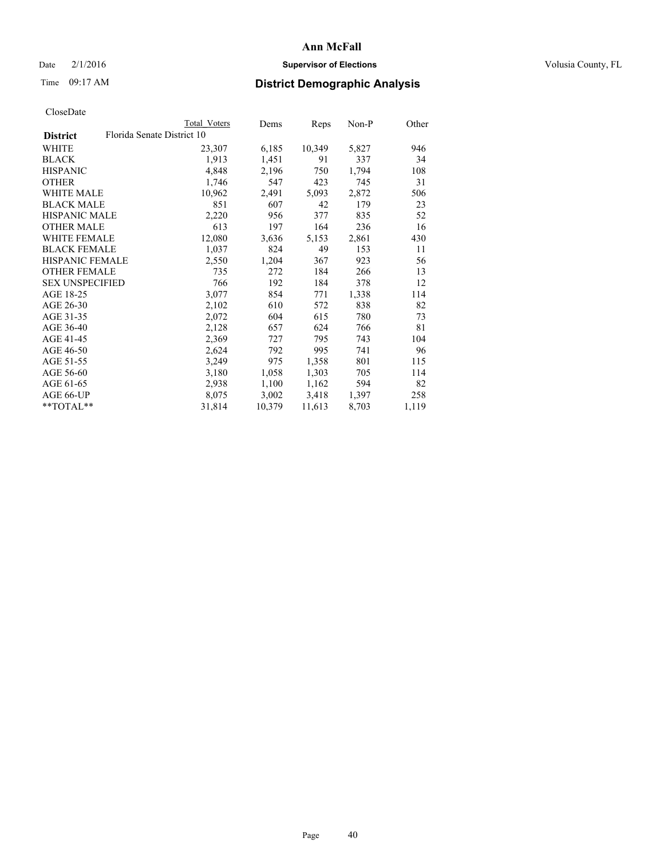## Date  $2/1/2016$  **Supervisor of Elections Supervisor of Elections** Volusia County, FL

| CloseDate |
|-----------|
|-----------|

|                        | <b>Total Voters</b>        | Dems   | Reps   | Non-P | Other |
|------------------------|----------------------------|--------|--------|-------|-------|
| <b>District</b>        | Florida Senate District 10 |        |        |       |       |
| WHITE                  | 23,307                     | 6,185  | 10,349 | 5,827 | 946   |
| <b>BLACK</b>           | 1,913                      | 1,451  | 91     | 337   | 34    |
| <b>HISPANIC</b>        | 4,848                      | 2,196  | 750    | 1,794 | 108   |
| <b>OTHER</b>           | 1,746                      | 547    | 423    | 745   | 31    |
| WHITE MALE             | 10,962                     | 2,491  | 5,093  | 2,872 | 506   |
| <b>BLACK MALE</b>      | 851                        | 607    | 42     | 179   | 23    |
| <b>HISPANIC MALE</b>   | 2,220                      | 956    | 377    | 835   | 52    |
| <b>OTHER MALE</b>      | 613                        | 197    | 164    | 236   | 16    |
| <b>WHITE FEMALE</b>    | 12,080                     | 3,636  | 5,153  | 2,861 | 430   |
| <b>BLACK FEMALE</b>    | 1,037                      | 824    | 49     | 153   | 11    |
| <b>HISPANIC FEMALE</b> | 2,550                      | 1,204  | 367    | 923   | 56    |
| <b>OTHER FEMALE</b>    | 735                        | 272    | 184    | 266   | 13    |
| <b>SEX UNSPECIFIED</b> | 766                        | 192    | 184    | 378   | 12    |
| AGE 18-25              | 3,077                      | 854    | 771    | 1,338 | 114   |
| AGE 26-30              | 2,102                      | 610    | 572    | 838   | 82    |
| AGE 31-35              | 2,072                      | 604    | 615    | 780   | 73    |
| AGE 36-40              | 2,128                      | 657    | 624    | 766   | 81    |
| AGE 41-45              | 2,369                      | 727    | 795    | 743   | 104   |
| AGE 46-50              | 2,624                      | 792    | 995    | 741   | 96    |
| AGE 51-55              | 3,249                      | 975    | 1,358  | 801   | 115   |
| AGE 56-60              | 3,180                      | 1,058  | 1,303  | 705   | 114   |
| AGE 61-65              | 2,938                      | 1,100  | 1,162  | 594   | 82    |
| AGE 66-UP              | 8,075                      | 3,002  | 3,418  | 1,397 | 258   |
| $*$ TOTAL $*$          | 31,814                     | 10,379 | 11,613 | 8,703 | 1,119 |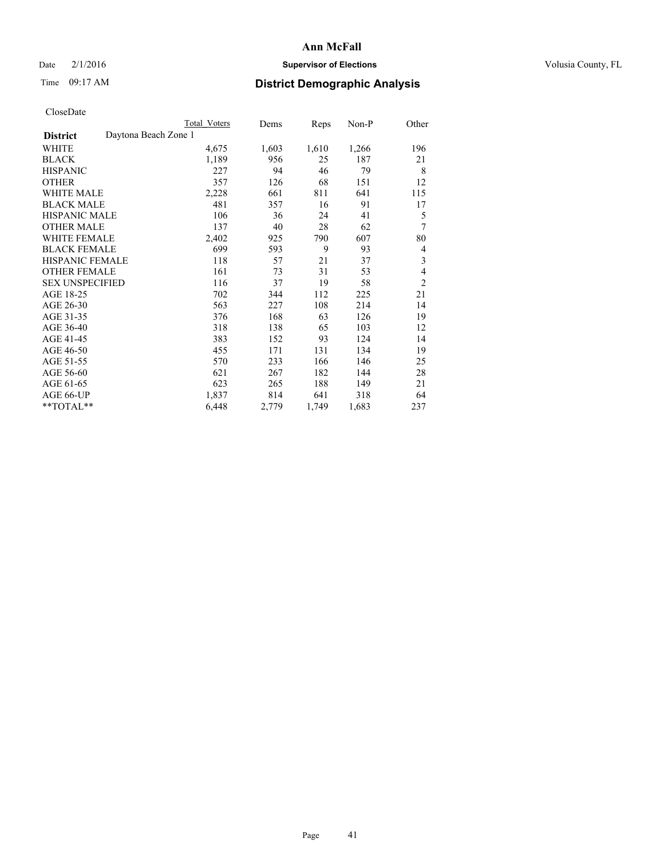## Date  $2/1/2016$  **Supervisor of Elections Supervisor of Elections** Volusia County, FL

# Time 09:17 AM **District Demographic Analysis**

|                                         | <b>Total Voters</b> | Dems  | Reps  | Non-P | Other          |
|-----------------------------------------|---------------------|-------|-------|-------|----------------|
| Daytona Beach Zone 1<br><b>District</b> |                     |       |       |       |                |
| WHITE                                   | 4,675               | 1,603 | 1,610 | 1,266 | 196            |
| <b>BLACK</b>                            | 1,189               | 956   | 25    | 187   | 21             |
| <b>HISPANIC</b>                         | 227                 | 94    | 46    | 79    | 8              |
| <b>OTHER</b>                            | 357                 | 126   | 68    | 151   | 12             |
| WHITE MALE                              | 2,228               | 661   | 811   | 641   | 115            |
| <b>BLACK MALE</b>                       | 481                 | 357   | 16    | 91    | 17             |
| HISPANIC MALE                           | 106                 | 36    | 24    | 41    | 5              |
| <b>OTHER MALE</b>                       | 137                 | 40    | 28    | 62    | 7              |
| WHITE FEMALE                            | 2,402               | 925   | 790   | 607   | 80             |
| <b>BLACK FEMALE</b>                     | 699                 | 593   | 9     | 93    | 4              |
| <b>HISPANIC FEMALE</b>                  | 118                 | 57    | 21    | 37    | 3              |
| <b>OTHER FEMALE</b>                     | 161                 | 73    | 31    | 53    | 4              |
| <b>SEX UNSPECIFIED</b>                  | 116                 | 37    | 19    | 58    | $\overline{c}$ |
| AGE 18-25                               | 702                 | 344   | 112   | 225   | 21             |
| AGE 26-30                               | 563                 | 227   | 108   | 214   | 14             |
| AGE 31-35                               | 376                 | 168   | 63    | 126   | 19             |
| AGE 36-40                               | 318                 | 138   | 65    | 103   | 12             |
| AGE 41-45                               | 383                 | 152   | 93    | 124   | 14             |
| AGE 46-50                               | 455                 | 171   | 131   | 134   | 19             |
| AGE 51-55                               | 570                 | 233   | 166   | 146   | 25             |
| AGE 56-60                               | 621                 | 267   | 182   | 144   | 28             |
| AGE 61-65                               | 623                 | 265   | 188   | 149   | 21             |
| AGE 66-UP                               | 1,837               | 814   | 641   | 318   | 64             |
| **TOTAL**                               | 6,448               | 2,779 | 1,749 | 1,683 | 237            |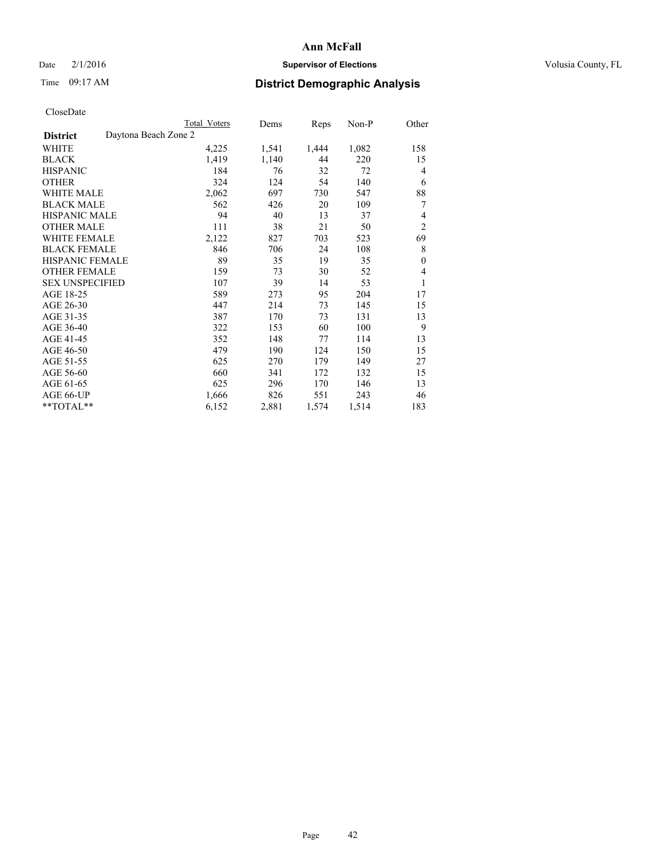## Date  $2/1/2016$  **Supervisor of Elections Supervisor of Elections** Volusia County, FL

# Time 09:17 AM **District Demographic Analysis**

|                                         | <b>Total Voters</b> | Dems  | <b>Reps</b> | Non-P | Other          |
|-----------------------------------------|---------------------|-------|-------------|-------|----------------|
| Daytona Beach Zone 2<br><b>District</b> |                     |       |             |       |                |
| WHITE                                   | 4,225               | 1,541 | 1,444       | 1,082 | 158            |
| <b>BLACK</b>                            | 1,419               | 1,140 | 44          | 220   | 15             |
| <b>HISPANIC</b>                         | 184                 | 76    | 32          | 72    | 4              |
| OTHER                                   | 324                 | 124   | 54          | 140   | 6              |
| <b>WHITE MALE</b>                       | 2,062               | 697   | 730         | 547   | 88             |
| <b>BLACK MALE</b>                       | 562                 | 426   | 20          | 109   | 7              |
| <b>HISPANIC MALE</b>                    | 94                  | 40    | 13          | 37    | 4              |
| <b>OTHER MALE</b>                       | 111                 | 38    | 21          | 50    | $\overline{c}$ |
| <b>WHITE FEMALE</b>                     | 2,122               | 827   | 703         | 523   | 69             |
| <b>BLACK FEMALE</b>                     | 846                 | 706   | 24          | 108   | 8              |
| <b>HISPANIC FEMALE</b>                  | 89                  | 35    | 19          | 35    | $\mathbf{0}$   |
| <b>OTHER FEMALE</b>                     | 159                 | 73    | 30          | 52    | 4              |
| <b>SEX UNSPECIFIED</b>                  | 107                 | 39    | 14          | 53    | 1              |
| AGE 18-25                               | 589                 | 273   | 95          | 204   | 17             |
| AGE 26-30                               | 447                 | 214   | 73          | 145   | 15             |
| AGE 31-35                               | 387                 | 170   | 73          | 131   | 13             |
| AGE 36-40                               | 322                 | 153   | 60          | 100   | 9              |
| AGE 41-45                               | 352                 | 148   | 77          | 114   | 13             |
| AGE 46-50                               | 479                 | 190   | 124         | 150   | 15             |
| AGE 51-55                               | 625                 | 270   | 179         | 149   | 27             |
| AGE 56-60                               | 660                 | 341   | 172         | 132   | 15             |
| AGE 61-65                               | 625                 | 296   | 170         | 146   | 13             |
| AGE 66-UP                               | 1,666               | 826   | 551         | 243   | 46             |
| **TOTAL**                               | 6,152               | 2,881 | 1,574       | 1,514 | 183            |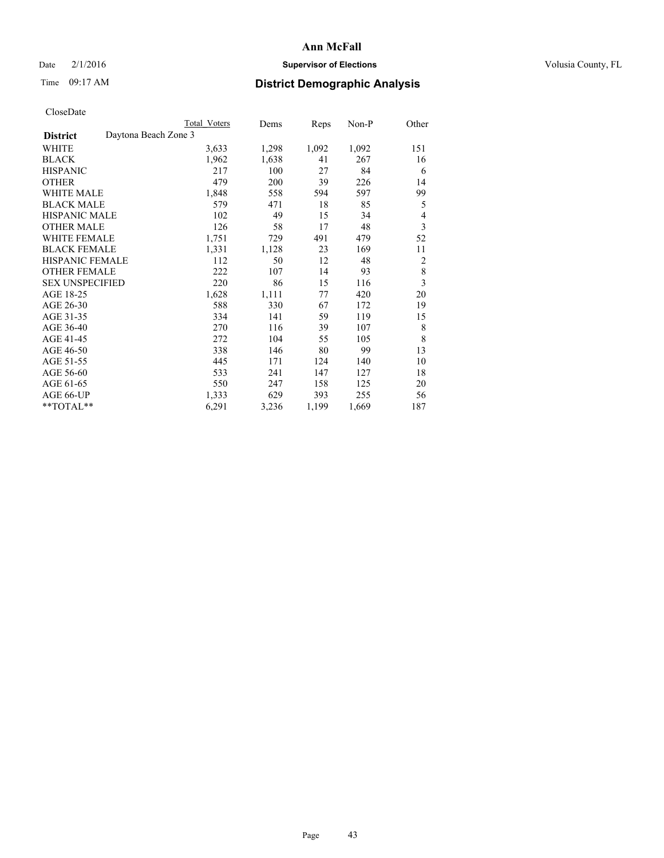## Date  $2/1/2016$  **Supervisor of Elections Supervisor of Elections** Volusia County, FL

# Time 09:17 AM **District Demographic Analysis**

|                                         | <b>Total Voters</b> | Dems  | Reps  | Non-P | Other                   |
|-----------------------------------------|---------------------|-------|-------|-------|-------------------------|
| Daytona Beach Zone 3<br><b>District</b> |                     |       |       |       |                         |
| WHITE                                   | 3,633               | 1,298 | 1,092 | 1,092 | 151                     |
| <b>BLACK</b>                            | 1,962               | 1,638 | 41    | 267   | 16                      |
| <b>HISPANIC</b>                         | 217                 | 100   | 27    | 84    | 6                       |
| <b>OTHER</b>                            | 479                 | 200   | 39    | 226   | 14                      |
| WHITE MALE                              | 1,848               | 558   | 594   | 597   | 99                      |
| <b>BLACK MALE</b>                       | 579                 | 471   | 18    | 85    | 5                       |
| HISPANIC MALE                           | 102                 | 49    | 15    | 34    | 4                       |
| <b>OTHER MALE</b>                       | 126                 | 58    | 17    | 48    | 3                       |
| WHITE FEMALE                            | 1,751               | 729   | 491   | 479   | 52                      |
| <b>BLACK FEMALE</b>                     | 1,331               | 1,128 | 23    | 169   | 11                      |
| <b>HISPANIC FEMALE</b>                  | 112                 | 50    | 12    | 48    | $\overline{c}$          |
| <b>OTHER FEMALE</b>                     | 222                 | 107   | 14    | 93    | $\,$ 8 $\,$             |
| <b>SEX UNSPECIFIED</b>                  | 220                 | 86    | 15    | 116   | $\overline{\mathbf{3}}$ |
| AGE 18-25                               | 1,628               | 1,111 | 77    | 420   | 20                      |
| AGE 26-30                               | 588                 | 330   | 67    | 172   | 19                      |
| AGE 31-35                               | 334                 | 141   | 59    | 119   | 15                      |
| AGE 36-40                               | 270                 | 116   | 39    | 107   | 8                       |
| AGE 41-45                               | 272                 | 104   | 55    | 105   | 8                       |
| AGE 46-50                               | 338                 | 146   | 80    | 99    | 13                      |
| AGE 51-55                               | 445                 | 171   | 124   | 140   | 10                      |
| AGE 56-60                               | 533                 | 241   | 147   | 127   | 18                      |
| AGE 61-65                               | 550                 | 247   | 158   | 125   | 20                      |
| AGE 66-UP                               | 1,333               | 629   | 393   | 255   | 56                      |
| **TOTAL**                               | 6,291               | 3,236 | 1,199 | 1,669 | 187                     |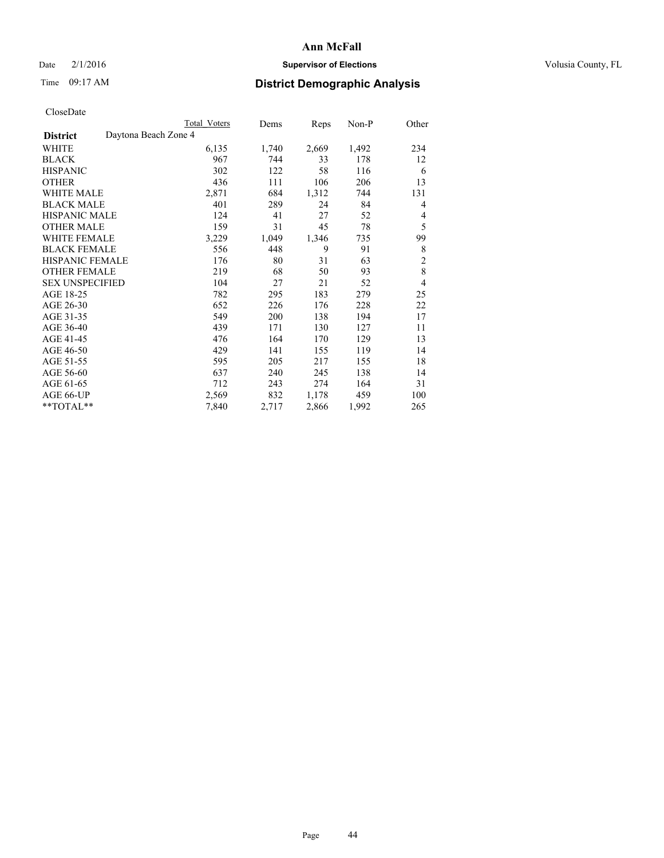## Date  $2/1/2016$  **Supervisor of Elections Supervisor of Elections** Volusia County, FL

# Time 09:17 AM **District Demographic Analysis**

|                                         | <b>Total Voters</b> | Dems  | Reps  | Non-P | Other          |
|-----------------------------------------|---------------------|-------|-------|-------|----------------|
| Daytona Beach Zone 4<br><b>District</b> |                     |       |       |       |                |
| WHITE                                   | 6,135               | 1,740 | 2,669 | 1,492 | 234            |
| <b>BLACK</b>                            | 967                 | 744   | 33    | 178   | 12             |
| <b>HISPANIC</b>                         | 302                 | 122   | 58    | 116   | 6              |
| <b>OTHER</b>                            | 436                 | 111   | 106   | 206   | 13             |
| <b>WHITE MALE</b>                       | 2,871               | 684   | 1,312 | 744   | 131            |
| <b>BLACK MALE</b>                       | 401                 | 289   | 24    | 84    | 4              |
| <b>HISPANIC MALE</b>                    | 124                 | 41    | 27    | 52    | 4              |
| <b>OTHER MALE</b>                       | 159                 | 31    | 45    | 78    | 5              |
| WHITE FEMALE                            | 3,229               | 1,049 | 1,346 | 735   | 99             |
| <b>BLACK FEMALE</b>                     | 556                 | 448   | 9     | 91    | 8              |
| <b>HISPANIC FEMALE</b>                  | 176                 | 80    | 31    | 63    | $\overline{c}$ |
| <b>OTHER FEMALE</b>                     | 219                 | 68    | 50    | 93    | 8              |
| <b>SEX UNSPECIFIED</b>                  | 104                 | 27    | 21    | 52    | 4              |
| AGE 18-25                               | 782                 | 295   | 183   | 279   | 25             |
| AGE 26-30                               | 652                 | 226   | 176   | 228   | 22             |
| AGE 31-35                               | 549                 | 200   | 138   | 194   | 17             |
| AGE 36-40                               | 439                 | 171   | 130   | 127   | 11             |
| AGE 41-45                               | 476                 | 164   | 170   | 129   | 13             |
| AGE 46-50                               | 429                 | 141   | 155   | 119   | 14             |
| AGE 51-55                               | 595                 | 205   | 217   | 155   | 18             |
| AGE 56-60                               | 637                 | 240   | 245   | 138   | 14             |
| AGE 61-65                               | 712                 | 243   | 274   | 164   | 31             |
| AGE 66-UP                               | 2,569               | 832   | 1,178 | 459   | 100            |
| **TOTAL**                               | 7,840               | 2,717 | 2,866 | 1,992 | 265            |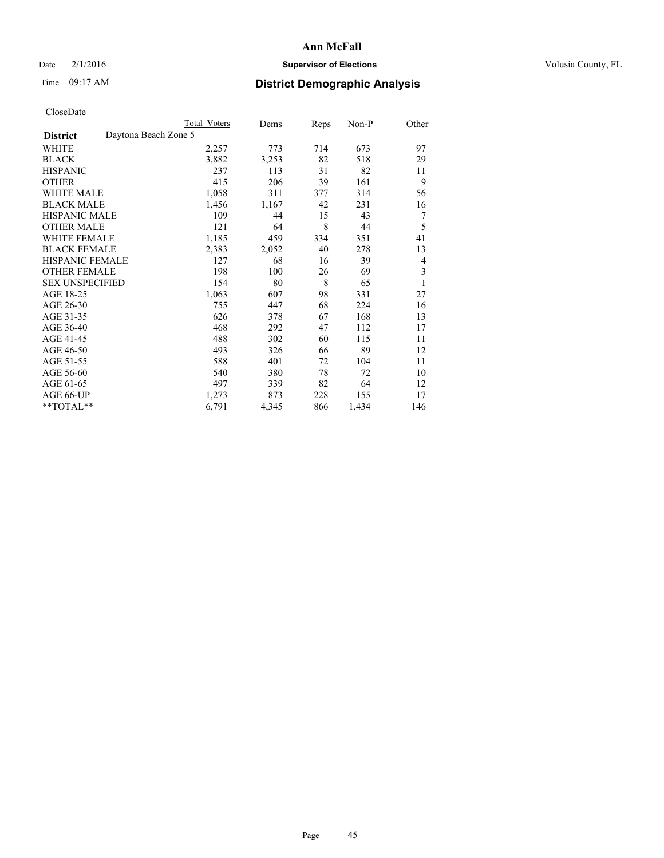## Date  $2/1/2016$  **Supervisor of Elections Supervisor of Elections** Volusia County, FL

# Time 09:17 AM **District Demographic Analysis**

|                                         | Total Voters | Dems  | Reps | Non-P | Other |
|-----------------------------------------|--------------|-------|------|-------|-------|
| Daytona Beach Zone 5<br><b>District</b> |              |       |      |       |       |
| WHITE                                   | 2,257        | 773   | 714  | 673   | 97    |
| <b>BLACK</b>                            | 3,882        | 3,253 | 82   | 518   | 29    |
| <b>HISPANIC</b>                         | 237          | 113   | 31   | 82    | 11    |
| <b>OTHER</b>                            | 415          | 206   | 39   | 161   | 9     |
| <b>WHITE MALE</b>                       | 1,058        | 311   | 377  | 314   | 56    |
| <b>BLACK MALE</b>                       | 1,456        | 1,167 | 42   | 231   | 16    |
| HISPANIC MALE                           | 109          | 44    | 15   | 43    | 7     |
| <b>OTHER MALE</b>                       | 121          | 64    | 8    | 44    | 5     |
| <b>WHITE FEMALE</b>                     | 1,185        | 459   | 334  | 351   | 41    |
| <b>BLACK FEMALE</b>                     | 2,383        | 2,052 | 40   | 278   | 13    |
| <b>HISPANIC FEMALE</b>                  | 127          | 68    | 16   | 39    | 4     |
| <b>OTHER FEMALE</b>                     | 198          | 100   | 26   | 69    | 3     |
| <b>SEX UNSPECIFIED</b>                  | 154          | 80    | 8    | 65    | 1     |
| AGE 18-25                               | 1,063        | 607   | 98   | 331   | 27    |
| AGE 26-30                               | 755          | 447   | 68   | 224   | 16    |
| AGE 31-35                               | 626          | 378   | 67   | 168   | 13    |
| AGE 36-40                               | 468          | 292   | 47   | 112   | 17    |
| AGE 41-45                               | 488          | 302   | 60   | 115   | 11    |
| AGE 46-50                               | 493          | 326   | 66   | 89    | 12    |
| AGE 51-55                               | 588          | 401   | 72   | 104   | 11    |
| AGE 56-60                               | 540          | 380   | 78   | 72    | 10    |
| AGE 61-65                               | 497          | 339   | 82   | 64    | 12    |
| AGE 66-UP                               | 1,273        | 873   | 228  | 155   | 17    |
| **TOTAL**                               | 6,791        | 4,345 | 866  | 1,434 | 146   |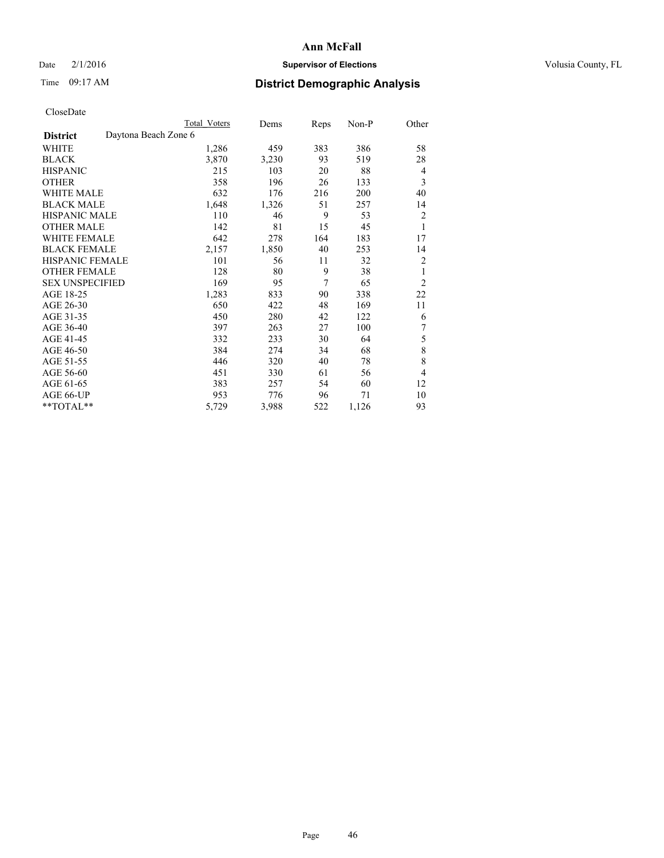## Date  $2/1/2016$  **Supervisor of Elections Supervisor of Elections** Volusia County, FL

|                        |                      | <b>Total Voters</b> | Dems  | Reps | $Non-P$ | Other          |
|------------------------|----------------------|---------------------|-------|------|---------|----------------|
| <b>District</b>        | Daytona Beach Zone 6 |                     |       |      |         |                |
| WHITE                  |                      | 1,286               | 459   | 383  | 386     | 58             |
| <b>BLACK</b>           |                      | 3,870               | 3,230 | 93   | 519     | 28             |
| <b>HISPANIC</b>        |                      | 215                 | 103   | 20   | 88      | $\overline{4}$ |
| <b>OTHER</b>           |                      | 358                 | 196   | 26   | 133     | 3              |
| <b>WHITE MALE</b>      |                      | 632                 | 176   | 216  | 200     | 40             |
| <b>BLACK MALE</b>      |                      | 1,648               | 1,326 | 51   | 257     | 14             |
| <b>HISPANIC MALE</b>   |                      | 110                 | 46    | 9    | 53      | $\overline{c}$ |
| <b>OTHER MALE</b>      |                      | 142                 | 81    | 15   | 45      | 1              |
| WHITE FEMALE           |                      | 642                 | 278   | 164  | 183     | 17             |
| <b>BLACK FEMALE</b>    |                      | 2,157               | 1,850 | 40   | 253     | 14             |
| HISPANIC FEMALE        |                      | 101                 | 56    | 11   | 32      | $\overline{2}$ |
| <b>OTHER FEMALE</b>    |                      | 128                 | 80    | 9    | 38      | 1              |
| <b>SEX UNSPECIFIED</b> |                      | 169                 | 95    | 7    | 65      | $\overline{2}$ |
| AGE 18-25              |                      | 1,283               | 833   | 90   | 338     | 22             |
| AGE 26-30              |                      | 650                 | 422   | 48   | 169     | 11             |
| AGE 31-35              |                      | 450                 | 280   | 42   | 122     | 6              |
| AGE 36-40              |                      | 397                 | 263   | 27   | 100     | 7              |
| AGE 41-45              |                      | 332                 | 233   | 30   | 64      | 5              |
| AGE 46-50              |                      | 384                 | 274   | 34   | 68      | 8              |
| AGE 51-55              |                      | 446                 | 320   | 40   | 78      | 8              |
| AGE 56-60              |                      | 451                 | 330   | 61   | 56      | $\overline{4}$ |
| AGE 61-65              |                      | 383                 | 257   | 54   | 60      | 12             |
| AGE 66-UP              |                      | 953                 | 776   | 96   | 71      | 10             |
| **TOTAL**              |                      | 5,729               | 3,988 | 522  | 1,126   | 93             |
|                        |                      |                     |       |      |         |                |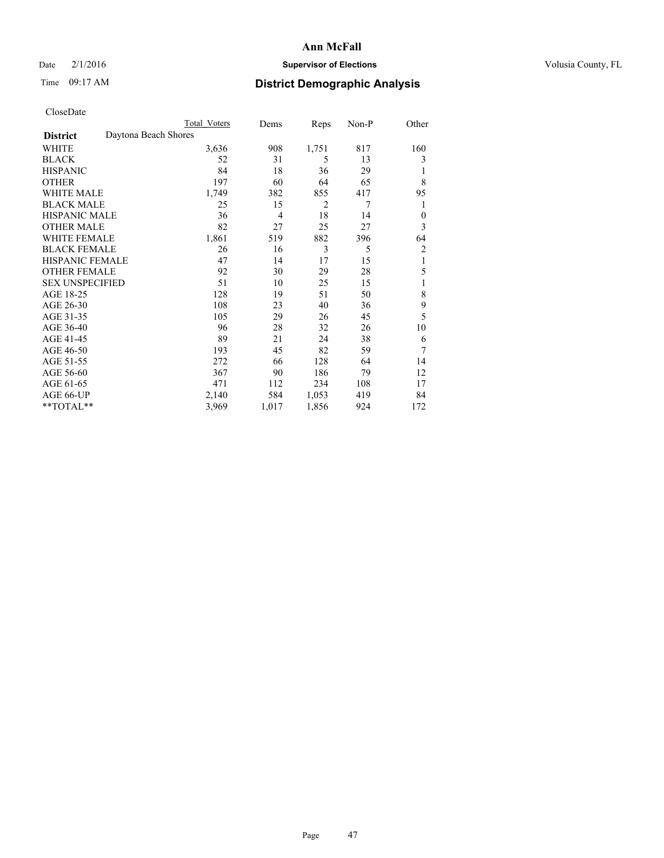## Date  $2/1/2016$  **Supervisor of Elections Supervisor of Elections** Volusia County, FL

# Time 09:17 AM **District Demographic Analysis**

|                        |                      | Total Voters | Dems  | Reps  | Non-P | Other        |
|------------------------|----------------------|--------------|-------|-------|-------|--------------|
| <b>District</b>        | Daytona Beach Shores |              |       |       |       |              |
| WHITE                  |                      | 3,636        | 908   | 1,751 | 817   | 160          |
| <b>BLACK</b>           |                      | 52           | 31    | 5     | 13    | 3            |
| <b>HISPANIC</b>        |                      | 84           | 18    | 36    | 29    | 1            |
| <b>OTHER</b>           |                      | 197          | 60    | 64    | 65    | 8            |
| WHITE MALE             |                      | 1,749        | 382   | 855   | 417   | 95           |
| <b>BLACK MALE</b>      |                      | 25           | 15    | 2     | 7     | 1            |
| <b>HISPANIC MALE</b>   |                      | 36           | 4     | 18    | 14    | $\mathbf{0}$ |
| <b>OTHER MALE</b>      |                      | 82           | 27    | 25    | 27    | 3            |
| <b>WHITE FEMALE</b>    |                      | 1,861        | 519   | 882   | 396   | 64           |
| <b>BLACK FEMALE</b>    |                      | 26           | 16    | 3     | 5     | 2            |
| <b>HISPANIC FEMALE</b> |                      | 47           | 14    | 17    | 15    | 1            |
| <b>OTHER FEMALE</b>    |                      | 92           | 30    | 29    | 28    | 5            |
| <b>SEX UNSPECIFIED</b> |                      | 51           | 10    | 25    | 15    | 1            |
| AGE 18-25              |                      | 128          | 19    | 51    | 50    | 8            |
| AGE 26-30              |                      | 108          | 23    | 40    | 36    | 9            |
| AGE 31-35              |                      | 105          | 29    | 26    | 45    | 5            |
| AGE 36-40              |                      | 96           | 28    | 32    | 26    | 10           |
| AGE 41-45              |                      | 89           | 21    | 24    | 38    | 6            |
| AGE 46-50              |                      | 193          | 45    | 82    | 59    | 7            |
| AGE 51-55              |                      | 272          | 66    | 128   | 64    | 14           |
| AGE 56-60              |                      | 367          | 90    | 186   | 79    | 12           |
| AGE 61-65              |                      | 471          | 112   | 234   | 108   | 17           |
| AGE 66-UP              |                      | 2,140        | 584   | 1,053 | 419   | 84           |
| **TOTAL**              |                      | 3,969        | 1,017 | 1,856 | 924   | 172          |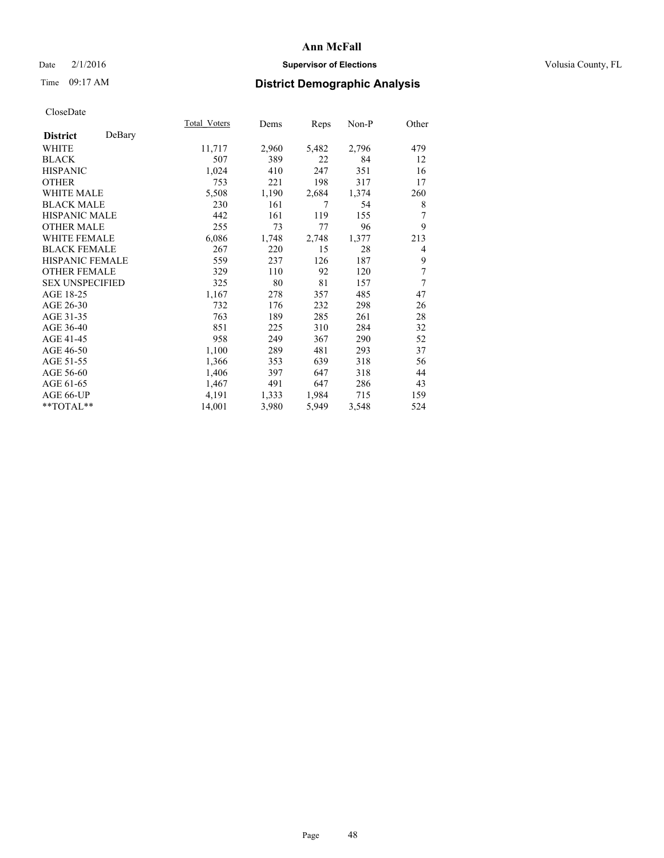## Date  $2/1/2016$  **Supervisor of Elections Supervisor of Elections** Volusia County, FL

| CloseDate |
|-----------|
|-----------|

|                        |        | Total Voters | Dems  | Reps  | Non-P | Other |
|------------------------|--------|--------------|-------|-------|-------|-------|
| <b>District</b>        | DeBary |              |       |       |       |       |
| WHITE                  |        | 11,717       | 2,960 | 5,482 | 2,796 | 479   |
| <b>BLACK</b>           |        | 507          | 389   | 22    | 84    | 12    |
| <b>HISPANIC</b>        |        | 1,024        | 410   | 247   | 351   | 16    |
| <b>OTHER</b>           |        | 753          | 221   | 198   | 317   | 17    |
| <b>WHITE MALE</b>      |        | 5,508        | 1,190 | 2,684 | 1,374 | 260   |
| <b>BLACK MALE</b>      |        | 230          | 161   | 7     | 54    | 8     |
| <b>HISPANIC MALE</b>   |        | 442          | 161   | 119   | 155   | 7     |
| <b>OTHER MALE</b>      |        | 255          | 73    | 77    | 96    | 9     |
| <b>WHITE FEMALE</b>    |        | 6,086        | 1,748 | 2,748 | 1,377 | 213   |
| <b>BLACK FEMALE</b>    |        | 267          | 220   | 15    | 28    | 4     |
| <b>HISPANIC FEMALE</b> |        | 559          | 237   | 126   | 187   | 9     |
| <b>OTHER FEMALE</b>    |        | 329          | 110   | 92    | 120   | 7     |
| <b>SEX UNSPECIFIED</b> |        | 325          | 80    | 81    | 157   | 7     |
| AGE 18-25              |        | 1,167        | 278   | 357   | 485   | 47    |
| AGE 26-30              |        | 732          | 176   | 232   | 298   | 26    |
| AGE 31-35              |        | 763          | 189   | 285   | 261   | 28    |
| AGE 36-40              |        | 851          | 225   | 310   | 284   | 32    |
| AGE 41-45              |        | 958          | 249   | 367   | 290   | 52    |
| AGE 46-50              |        | 1,100        | 289   | 481   | 293   | 37    |
| AGE 51-55              |        | 1,366        | 353   | 639   | 318   | 56    |
| AGE 56-60              |        | 1,406        | 397   | 647   | 318   | 44    |
| AGE 61-65              |        | 1,467        | 491   | 647   | 286   | 43    |
| AGE 66-UP              |        | 4,191        | 1,333 | 1,984 | 715   | 159   |
| **TOTAL**              |        | 14,001       | 3,980 | 5,949 | 3,548 | 524   |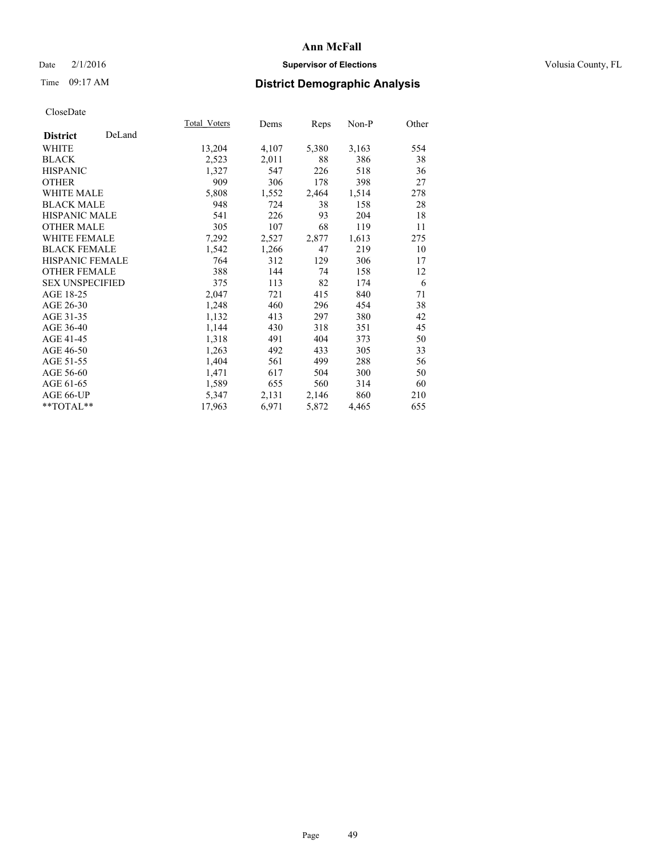## Date  $2/1/2016$  **Supervisor of Elections Supervisor of Elections** Volusia County, FL

# Time 09:17 AM **District Demographic Analysis**

|                        |        | Total Voters | Dems  | <u>Reps</u> | Non-P | Other |
|------------------------|--------|--------------|-------|-------------|-------|-------|
| <b>District</b>        | DeLand |              |       |             |       |       |
| WHITE                  |        | 13,204       | 4,107 | 5,380       | 3,163 | 554   |
| <b>BLACK</b>           |        | 2,523        | 2,011 | 88          | 386   | 38    |
| <b>HISPANIC</b>        |        | 1,327        | 547   | 226         | 518   | 36    |
| <b>OTHER</b>           |        | 909          | 306   | 178         | 398   | 27    |
| WHITE MALE             |        | 5,808        | 1,552 | 2,464       | 1,514 | 278   |
| <b>BLACK MALE</b>      |        | 948          | 724   | 38          | 158   | 28    |
| <b>HISPANIC MALE</b>   |        | 541          | 226   | 93          | 204   | 18    |
| <b>OTHER MALE</b>      |        | 305          | 107   | 68          | 119   | 11    |
| <b>WHITE FEMALE</b>    |        | 7,292        | 2,527 | 2,877       | 1,613 | 275   |
| <b>BLACK FEMALE</b>    |        | 1,542        | 1,266 | 47          | 219   | 10    |
| <b>HISPANIC FEMALE</b> |        | 764          | 312   | 129         | 306   | 17    |
| <b>OTHER FEMALE</b>    |        | 388          | 144   | 74          | 158   | 12    |
| <b>SEX UNSPECIFIED</b> |        | 375          | 113   | 82          | 174   | 6     |
| AGE 18-25              |        | 2,047        | 721   | 415         | 840   | 71    |
| AGE 26-30              |        | 1,248        | 460   | 296         | 454   | 38    |
| AGE 31-35              |        | 1,132        | 413   | 297         | 380   | 42    |
| AGE 36-40              |        | 1,144        | 430   | 318         | 351   | 45    |
| AGE 41-45              |        | 1,318        | 491   | 404         | 373   | 50    |
| AGE 46-50              |        | 1,263        | 492   | 433         | 305   | 33    |
| AGE 51-55              |        | 1,404        | 561   | 499         | 288   | 56    |
| AGE 56-60              |        | 1,471        | 617   | 504         | 300   | 50    |
| AGE 61-65              |        | 1,589        | 655   | 560         | 314   | 60    |
| AGE 66-UP              |        | 5,347        | 2,131 | 2,146       | 860   | 210   |
| **TOTAL**              |        | 17,963       | 6,971 | 5,872       | 4,465 | 655   |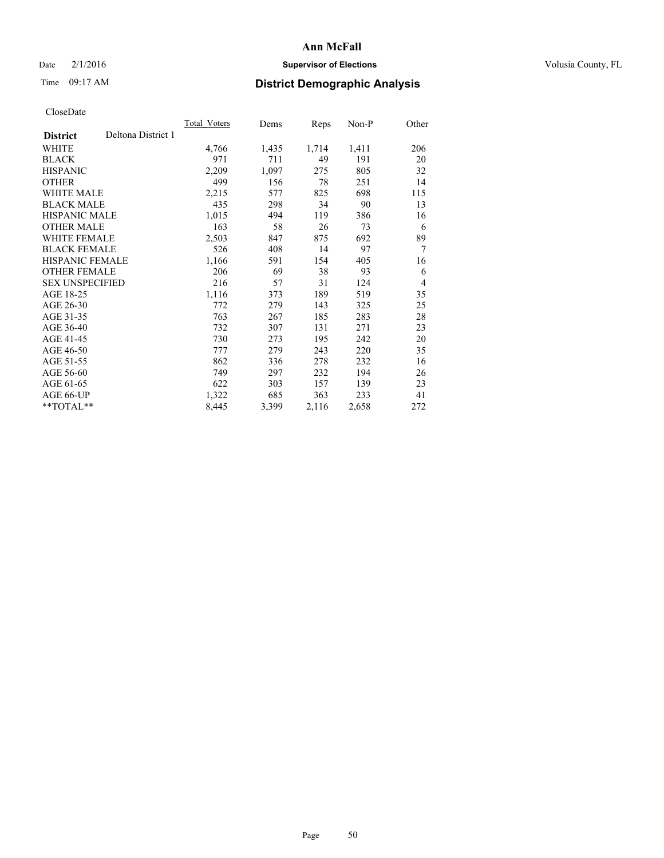## Date  $2/1/2016$  **Supervisor of Elections Supervisor of Elections** Volusia County, FL

# Time 09:17 AM **District Demographic Analysis**

|                        |                    | Total Voters | Dems  | Reps  | Non-P | Other          |
|------------------------|--------------------|--------------|-------|-------|-------|----------------|
| <b>District</b>        | Deltona District 1 |              |       |       |       |                |
| WHITE                  |                    | 4,766        | 1,435 | 1,714 | 1,411 | 206            |
| <b>BLACK</b>           |                    | 971          | 711   | 49    | 191   | 20             |
| <b>HISPANIC</b>        |                    | 2,209        | 1,097 | 275   | 805   | 32             |
| <b>OTHER</b>           |                    | 499          | 156   | 78    | 251   | 14             |
| WHITE MALE             |                    | 2,215        | 577   | 825   | 698   | 115            |
| <b>BLACK MALE</b>      |                    | 435          | 298   | 34    | 90    | 13             |
| <b>HISPANIC MALE</b>   |                    | 1,015        | 494   | 119   | 386   | 16             |
| <b>OTHER MALE</b>      |                    | 163          | 58    | 26    | 73    | 6              |
| WHITE FEMALE           |                    | 2,503        | 847   | 875   | 692   | 89             |
| <b>BLACK FEMALE</b>    |                    | 526          | 408   | 14    | 97    | 7              |
| <b>HISPANIC FEMALE</b> |                    | 1,166        | 591   | 154   | 405   | 16             |
| <b>OTHER FEMALE</b>    |                    | 206          | 69    | 38    | 93    | 6              |
| <b>SEX UNSPECIFIED</b> |                    | 216          | 57    | 31    | 124   | $\overline{4}$ |
| AGE 18-25              |                    | 1,116        | 373   | 189   | 519   | 35             |
| AGE 26-30              |                    | 772          | 279   | 143   | 325   | 25             |
| AGE 31-35              |                    | 763          | 267   | 185   | 283   | 28             |
| AGE 36-40              |                    | 732          | 307   | 131   | 271   | 23             |
| AGE 41-45              |                    | 730          | 273   | 195   | 242   | 20             |
| AGE 46-50              |                    | 777          | 279   | 243   | 220   | 35             |
| AGE 51-55              |                    | 862          | 336   | 278   | 232   | 16             |
| AGE 56-60              |                    | 749          | 297   | 232   | 194   | 26             |
| AGE 61-65              |                    | 622          | 303   | 157   | 139   | 23             |
| AGE 66-UP              |                    | 1,322        | 685   | 363   | 233   | 41             |
| **TOTAL**              |                    | 8,445        | 3,399 | 2,116 | 2,658 | 272            |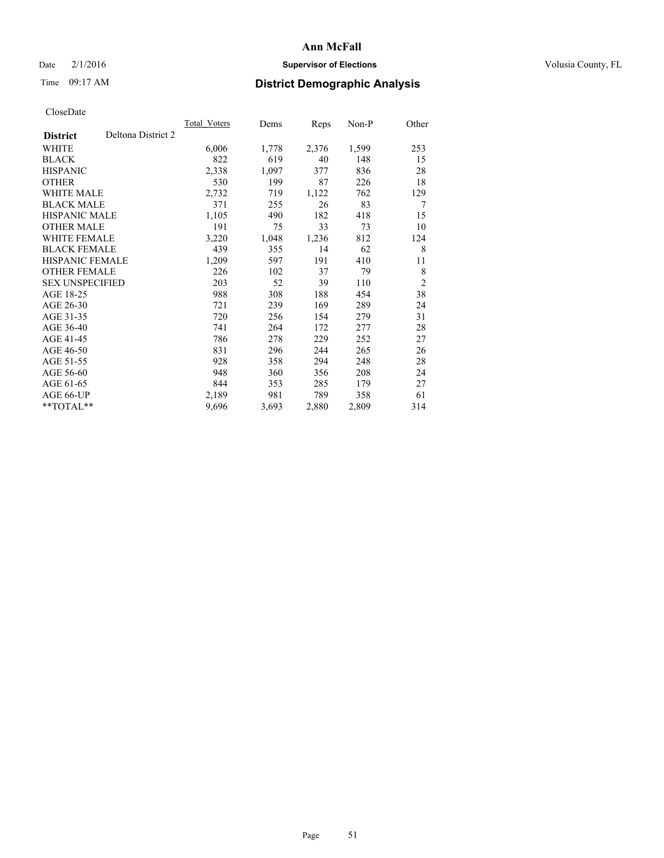## Date  $2/1/2016$  **Supervisor of Elections Supervisor of Elections** Volusia County, FL

# Time 09:17 AM **District Demographic Analysis**

|                        |                    | Total Voters | Dems  | <b>Reps</b> | Non-P | Other          |
|------------------------|--------------------|--------------|-------|-------------|-------|----------------|
| <b>District</b>        | Deltona District 2 |              |       |             |       |                |
| WHITE                  |                    | 6,006        | 1,778 | 2,376       | 1,599 | 253            |
| <b>BLACK</b>           |                    | 822          | 619   | 40          | 148   | 15             |
| <b>HISPANIC</b>        |                    | 2,338        | 1,097 | 377         | 836   | 28             |
| <b>OTHER</b>           |                    | 530          | 199   | 87          | 226   | 18             |
| WHITE MALE             |                    | 2,732        | 719   | 1,122       | 762   | 129            |
| <b>BLACK MALE</b>      |                    | 371          | 255   | 26          | 83    | 7              |
| <b>HISPANIC MALE</b>   |                    | 1,105        | 490   | 182         | 418   | 15             |
| OTHER MALE             |                    | 191          | 75    | 33          | 73    | 10             |
| <b>WHITE FEMALE</b>    |                    | 3,220        | 1,048 | 1,236       | 812   | 124            |
| <b>BLACK FEMALE</b>    |                    | 439          | 355   | 14          | 62    | 8              |
| <b>HISPANIC FEMALE</b> |                    | 1,209        | 597   | 191         | 410   | 11             |
| <b>OTHER FEMALE</b>    |                    | 226          | 102   | 37          | 79    | 8              |
| <b>SEX UNSPECIFIED</b> |                    | 203          | 52    | 39          | 110   | $\overline{2}$ |
| AGE 18-25              |                    | 988          | 308   | 188         | 454   | 38             |
| AGE 26-30              |                    | 721          | 239   | 169         | 289   | 24             |
| AGE 31-35              |                    | 720          | 256   | 154         | 279   | 31             |
| AGE 36-40              |                    | 741          | 264   | 172         | 277   | 28             |
| AGE 41-45              |                    | 786          | 278   | 229         | 252   | 27             |
| AGE 46-50              |                    | 831          | 296   | 244         | 265   | 26             |
| AGE 51-55              |                    | 928          | 358   | 294         | 248   | 28             |
| AGE 56-60              |                    | 948          | 360   | 356         | 208   | 24             |
| AGE 61-65              |                    | 844          | 353   | 285         | 179   | 27             |
| AGE 66-UP              |                    | 2,189        | 981   | 789         | 358   | 61             |
| **TOTAL**              |                    | 9,696        | 3,693 | 2,880       | 2,809 | 314            |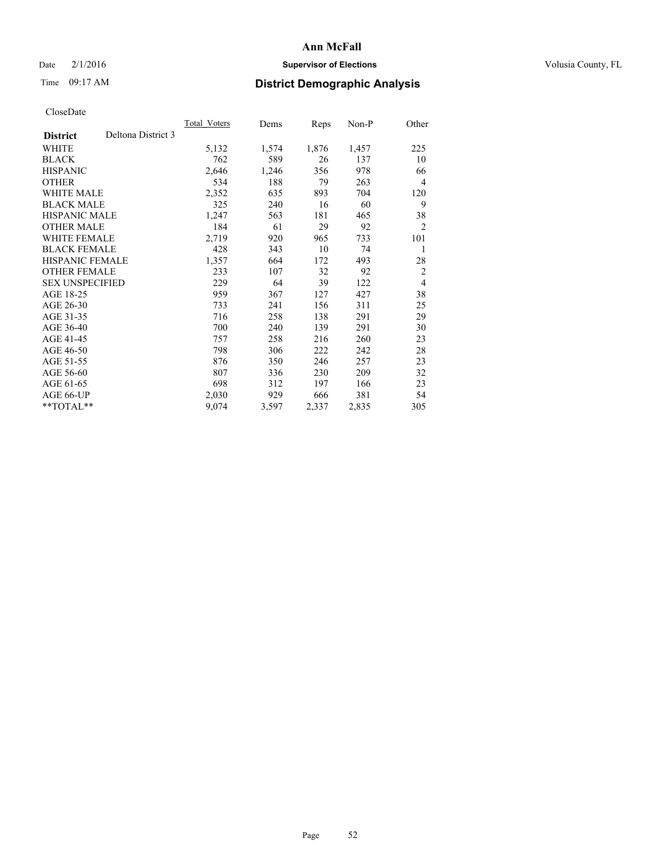# Date  $2/1/2016$  **Supervisor of Elections** Volusia County, FL

# Time 09:17 AM **District Demographic Analysis**

|                        |                    | Total Voters | Dems  | Reps  | Non-P | Other          |
|------------------------|--------------------|--------------|-------|-------|-------|----------------|
| <b>District</b>        | Deltona District 3 |              |       |       |       |                |
| WHITE                  |                    | 5,132        | 1,574 | 1,876 | 1,457 | 225            |
| <b>BLACK</b>           |                    | 762          | 589   | 26    | 137   | 10             |
| <b>HISPANIC</b>        |                    | 2,646        | 1,246 | 356   | 978   | 66             |
| <b>OTHER</b>           |                    | 534          | 188   | 79    | 263   | $\overline{4}$ |
| WHITE MALE             |                    | 2,352        | 635   | 893   | 704   | 120            |
| <b>BLACK MALE</b>      |                    | 325          | 240   | 16    | 60    | 9              |
| <b>HISPANIC MALE</b>   |                    | 1,247        | 563   | 181   | 465   | 38             |
| OTHER MALE             |                    | 184          | 61    | 29    | 92    | $\overline{c}$ |
| <b>WHITE FEMALE</b>    |                    | 2,719        | 920   | 965   | 733   | 101            |
| <b>BLACK FEMALE</b>    |                    | 428          | 343   | 10    | 74    | 1              |
| <b>HISPANIC FEMALE</b> |                    | 1,357        | 664   | 172   | 493   | 28             |
| <b>OTHER FEMALE</b>    |                    | 233          | 107   | 32    | 92    | $\overline{2}$ |
| <b>SEX UNSPECIFIED</b> |                    | 229          | 64    | 39    | 122   | $\overline{4}$ |
| AGE 18-25              |                    | 959          | 367   | 127   | 427   | 38             |
| AGE 26-30              |                    | 733          | 241   | 156   | 311   | 25             |
| AGE 31-35              |                    | 716          | 258   | 138   | 291   | 29             |
| AGE 36-40              |                    | 700          | 240   | 139   | 291   | 30             |
| AGE 41-45              |                    | 757          | 258   | 216   | 260   | 23             |
| AGE 46-50              |                    | 798          | 306   | 222   | 242   | 28             |
| AGE 51-55              |                    | 876          | 350   | 246   | 257   | 23             |
| AGE 56-60              |                    | 807          | 336   | 230   | 209   | 32             |
| AGE 61-65              |                    | 698          | 312   | 197   | 166   | 23             |
| AGE 66-UP              |                    | 2,030        | 929   | 666   | 381   | 54             |
| **TOTAL**              |                    | 9,074        | 3,597 | 2,337 | 2,835 | 305            |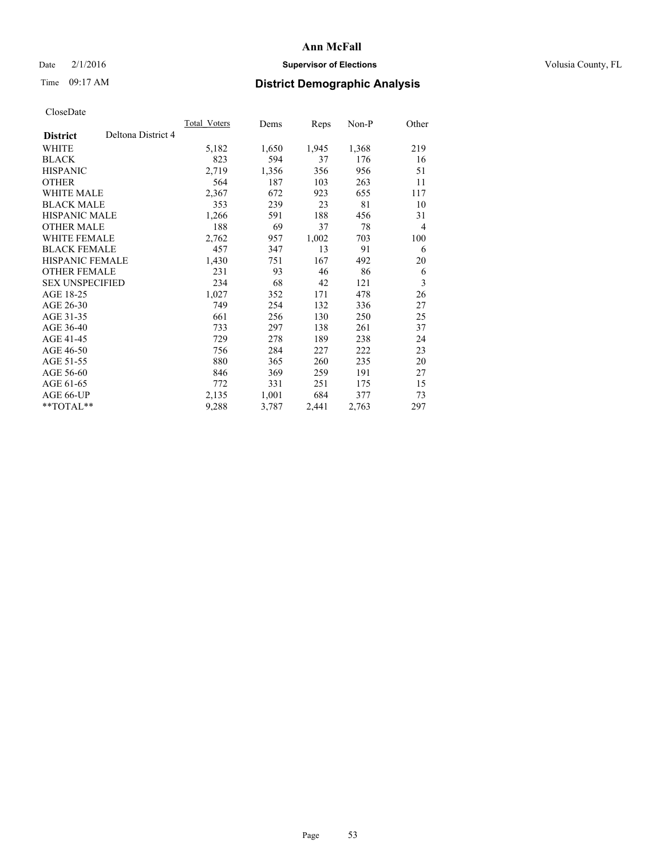## Date  $2/1/2016$  **Supervisor of Elections Supervisor of Elections** Volusia County, FL

# Time 09:17 AM **District Demographic Analysis**

|                        |                    | Total Voters | Dems  | Reps  | Non-P | Other          |
|------------------------|--------------------|--------------|-------|-------|-------|----------------|
| <b>District</b>        | Deltona District 4 |              |       |       |       |                |
| WHITE                  |                    | 5,182        | 1,650 | 1,945 | 1,368 | 219            |
| <b>BLACK</b>           |                    | 823          | 594   | 37    | 176   | 16             |
| <b>HISPANIC</b>        |                    | 2,719        | 1,356 | 356   | 956   | 51             |
| <b>OTHER</b>           |                    | 564          | 187   | 103   | 263   | 11             |
| WHITE MALE             |                    | 2,367        | 672   | 923   | 655   | 117            |
| <b>BLACK MALE</b>      |                    | 353          | 239   | 23    | 81    | 10             |
| <b>HISPANIC MALE</b>   |                    | 1,266        | 591   | 188   | 456   | 31             |
| <b>OTHER MALE</b>      |                    | 188          | 69    | 37    | 78    | $\overline{4}$ |
| <b>WHITE FEMALE</b>    |                    | 2,762        | 957   | 1,002 | 703   | 100            |
| <b>BLACK FEMALE</b>    |                    | 457          | 347   | 13    | 91    | 6              |
| <b>HISPANIC FEMALE</b> |                    | 1,430        | 751   | 167   | 492   | 20             |
| <b>OTHER FEMALE</b>    |                    | 231          | 93    | 46    | 86    | 6              |
| <b>SEX UNSPECIFIED</b> |                    | 234          | 68    | 42    | 121   | 3              |
| AGE 18-25              |                    | 1,027        | 352   | 171   | 478   | 26             |
| AGE 26-30              |                    | 749          | 254   | 132   | 336   | 27             |
| AGE 31-35              |                    | 661          | 256   | 130   | 250   | 25             |
| AGE 36-40              |                    | 733          | 297   | 138   | 261   | 37             |
| AGE 41-45              |                    | 729          | 278   | 189   | 238   | 24             |
| AGE 46-50              |                    | 756          | 284   | 227   | 222   | 23             |
| AGE 51-55              |                    | 880          | 365   | 260   | 235   | 20             |
| AGE 56-60              |                    | 846          | 369   | 259   | 191   | 27             |
| AGE 61-65              |                    | 772          | 331   | 251   | 175   | 15             |
| AGE 66-UP              |                    | 2,135        | 1,001 | 684   | 377   | 73             |
| **TOTAL**              |                    | 9,288        | 3,787 | 2,441 | 2,763 | 297            |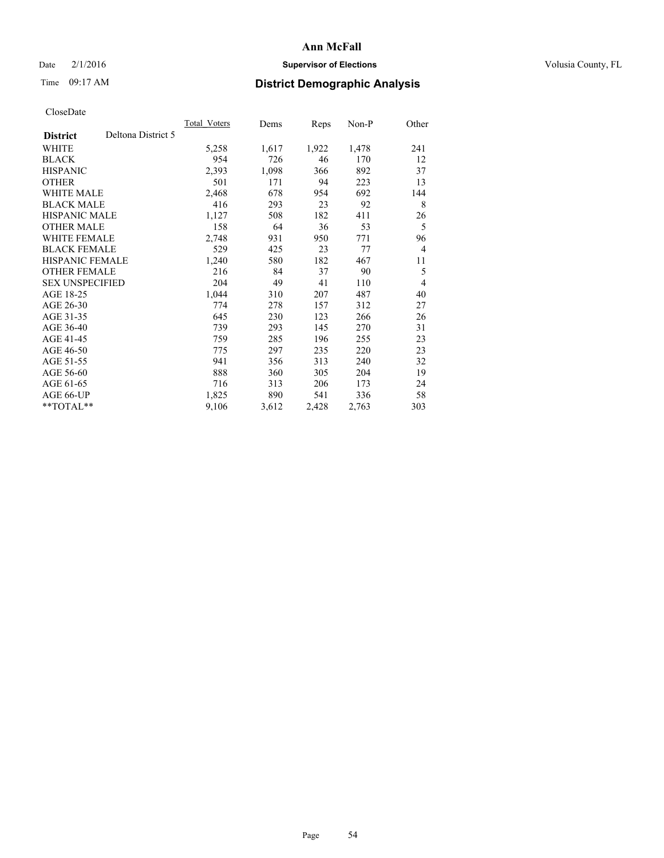## Date  $2/1/2016$  **Supervisor of Elections Supervisor of Elections** Volusia County, FL

# Time 09:17 AM **District Demographic Analysis**

|                                       | Total Voters | Dems  | <b>Reps</b> | Non-P | Other          |
|---------------------------------------|--------------|-------|-------------|-------|----------------|
| Deltona District 5<br><b>District</b> |              |       |             |       |                |
| WHITE                                 | 5,258        | 1,617 | 1,922       | 1,478 | 241            |
| <b>BLACK</b>                          | 954          | 726   | 46          | 170   | 12             |
| <b>HISPANIC</b>                       | 2,393        | 1,098 | 366         | 892   | 37             |
| <b>OTHER</b>                          | 501          | 171   | 94          | 223   | 13             |
| <b>WHITE MALE</b>                     | 2,468        | 678   | 954         | 692   | 144            |
| <b>BLACK MALE</b>                     | 416          | 293   | 23          | 92    | 8              |
| <b>HISPANIC MALE</b>                  | 1,127        | 508   | 182         | 411   | 26             |
| <b>OTHER MALE</b>                     | 158          | 64    | 36          | 53    | 5              |
| <b>WHITE FEMALE</b>                   | 2,748        | 931   | 950         | 771   | 96             |
| <b>BLACK FEMALE</b>                   | 529          | 425   | 23          | 77    | $\overline{4}$ |
| <b>HISPANIC FEMALE</b>                | 1,240        | 580   | 182         | 467   | 11             |
| <b>OTHER FEMALE</b>                   | 216          | 84    | 37          | 90    | 5              |
| <b>SEX UNSPECIFIED</b>                | 204          | 49    | 41          | 110   | $\overline{4}$ |
| AGE 18-25                             | 1,044        | 310   | 207         | 487   | 40             |
| AGE 26-30                             | 774          | 278   | 157         | 312   | 27             |
| AGE 31-35                             | 645          | 230   | 123         | 266   | 26             |
| AGE 36-40                             | 739          | 293   | 145         | 270   | 31             |
| AGE 41-45                             | 759          | 285   | 196         | 255   | 23             |
| AGE 46-50                             | 775          | 297   | 235         | 220   | 23             |
| AGE 51-55                             | 941          | 356   | 313         | 240   | 32             |
| AGE 56-60                             | 888          | 360   | 305         | 204   | 19             |
| AGE 61-65                             | 716          | 313   | 206         | 173   | 24             |
| AGE 66-UP                             | 1,825        | 890   | 541         | 336   | 58             |
| **TOTAL**                             | 9,106        | 3,612 | 2,428       | 2,763 | 303            |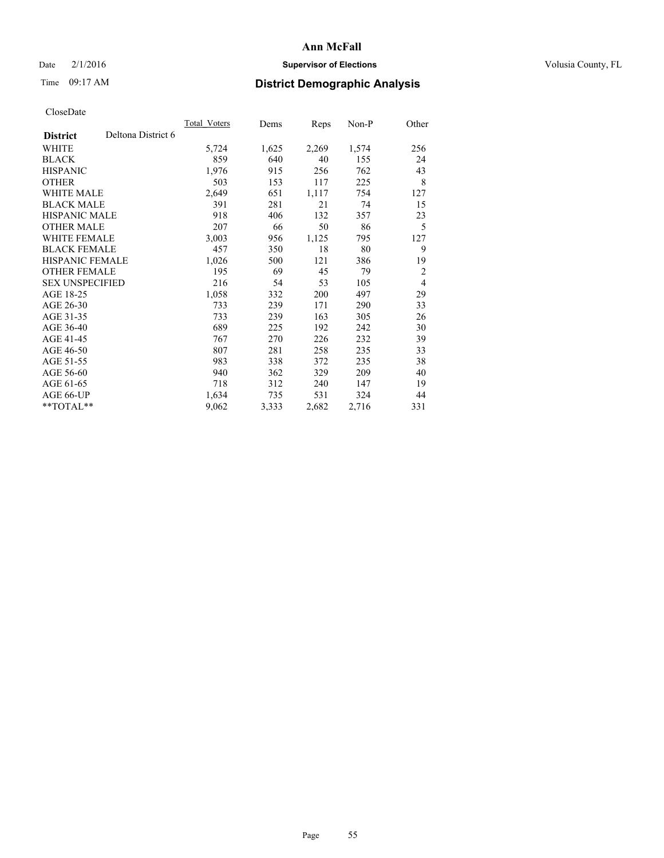## Date  $2/1/2016$  **Supervisor of Elections Supervisor of Elections** Volusia County, FL

# Time 09:17 AM **District Demographic Analysis**

|                        |                    | Total Voters | Dems  | Reps  | Non-P | Other          |
|------------------------|--------------------|--------------|-------|-------|-------|----------------|
| <b>District</b>        | Deltona District 6 |              |       |       |       |                |
| WHITE                  |                    | 5,724        | 1,625 | 2,269 | 1,574 | 256            |
| <b>BLACK</b>           |                    | 859          | 640   | 40    | 155   | 24             |
| <b>HISPANIC</b>        |                    | 1,976        | 915   | 256   | 762   | 43             |
| <b>OTHER</b>           |                    | 503          | 153   | 117   | 225   | 8              |
| WHITE MALE             |                    | 2,649        | 651   | 1,117 | 754   | 127            |
| <b>BLACK MALE</b>      |                    | 391          | 281   | 21    | 74    | 15             |
| <b>HISPANIC MALE</b>   |                    | 918          | 406   | 132   | 357   | 23             |
| <b>OTHER MALE</b>      |                    | 207          | 66    | 50    | 86    | 5              |
| WHITE FEMALE           |                    | 3,003        | 956   | 1,125 | 795   | 127            |
| <b>BLACK FEMALE</b>    |                    | 457          | 350   | 18    | 80    | 9              |
| <b>HISPANIC FEMALE</b> |                    | 1,026        | 500   | 121   | 386   | 19             |
| <b>OTHER FEMALE</b>    |                    | 195          | 69    | 45    | 79    | $\overline{2}$ |
| <b>SEX UNSPECIFIED</b> |                    | 216          | 54    | 53    | 105   | $\overline{4}$ |
| AGE 18-25              |                    | 1,058        | 332   | 200   | 497   | 29             |
| AGE 26-30              |                    | 733          | 239   | 171   | 290   | 33             |
| AGE 31-35              |                    | 733          | 239   | 163   | 305   | 26             |
| AGE 36-40              |                    | 689          | 225   | 192   | 242   | 30             |
| AGE 41-45              |                    | 767          | 270   | 226   | 232   | 39             |
| AGE 46-50              |                    | 807          | 281   | 258   | 235   | 33             |
| AGE 51-55              |                    | 983          | 338   | 372   | 235   | 38             |
| AGE 56-60              |                    | 940          | 362   | 329   | 209   | 40             |
| AGE 61-65              |                    | 718          | 312   | 240   | 147   | 19             |
| AGE 66-UP              |                    | 1,634        | 735   | 531   | 324   | 44             |
| **TOTAL**              |                    | 9,062        | 3,333 | 2,682 | 2,716 | 331            |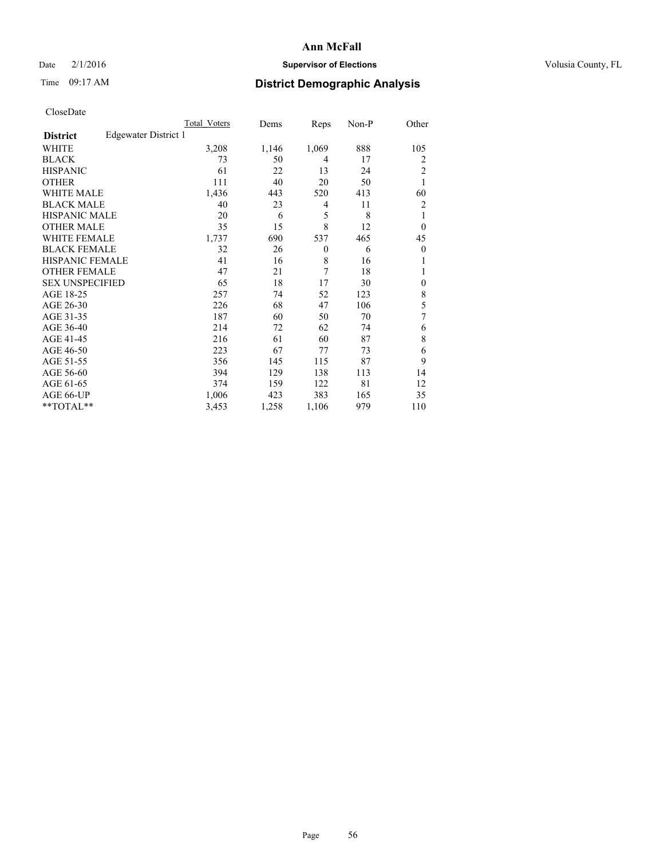## Date  $2/1/2016$  **Supervisor of Elections Supervisor of Elections** Volusia County, FL

# Time 09:17 AM **District Demographic Analysis**

|                        |                      | Total Voters | Dems  | Reps     | Non-P | Other          |
|------------------------|----------------------|--------------|-------|----------|-------|----------------|
| <b>District</b>        | Edgewater District 1 |              |       |          |       |                |
| WHITE                  |                      | 3,208        | 1,146 | 1,069    | 888   | 105            |
| <b>BLACK</b>           |                      | 73           | 50    | 4        | 17    | 2              |
| <b>HISPANIC</b>        |                      | 61           | 22    | 13       | 24    | 2              |
| <b>OTHER</b>           |                      | 111          | 40    | 20       | 50    | 1              |
| <b>WHITE MALE</b>      |                      | 1,436        | 443   | 520      | 413   | 60             |
| <b>BLACK MALE</b>      |                      | 40           | 23    | 4        | 11    | $\overline{2}$ |
| <b>HISPANIC MALE</b>   |                      | 20           | 6     | 5        | 8     | 1              |
| <b>OTHER MALE</b>      |                      | 35           | 15    | 8        | 12    | $\overline{0}$ |
| <b>WHITE FEMALE</b>    |                      | 1,737        | 690   | 537      | 465   | 45             |
| <b>BLACK FEMALE</b>    |                      | 32           | 26    | $\theta$ | 6     | $\overline{0}$ |
| <b>HISPANIC FEMALE</b> |                      | 41           | 16    | 8        | 16    |                |
| <b>OTHER FEMALE</b>    |                      | 47           | 21    | 7        | 18    |                |
| <b>SEX UNSPECIFIED</b> |                      | 65           | 18    | 17       | 30    | $\theta$       |
| AGE 18-25              |                      | 257          | 74    | 52       | 123   | 8              |
| AGE 26-30              |                      | 226          | 68    | 47       | 106   | 5              |
| AGE 31-35              |                      | 187          | 60    | 50       | 70    | 7              |
| AGE 36-40              |                      | 214          | 72    | 62       | 74    | 6              |
| AGE 41-45              |                      | 216          | 61    | 60       | 87    | 8              |
| AGE 46-50              |                      | 223          | 67    | 77       | 73    | 6              |
| AGE 51-55              |                      | 356          | 145   | 115      | 87    | 9              |
| AGE 56-60              |                      | 394          | 129   | 138      | 113   | 14             |
| AGE 61-65              |                      | 374          | 159   | 122      | 81    | 12             |
| AGE 66-UP              |                      | 1,006        | 423   | 383      | 165   | 35             |
| **TOTAL**              |                      | 3,453        | 1,258 | 1,106    | 979   | 110            |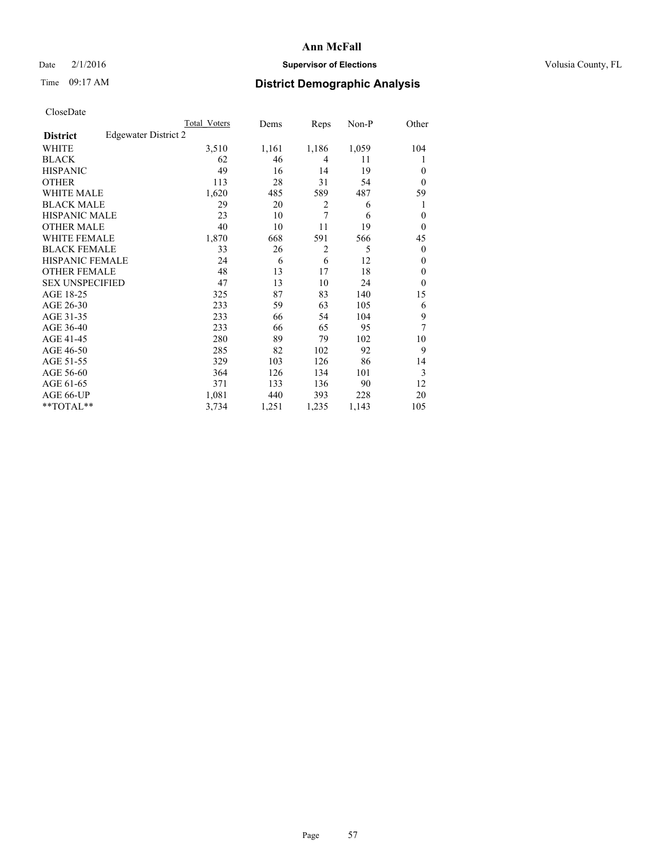## Date  $2/1/2016$  **Supervisor of Elections Supervisor of Elections** Volusia County, FL

# Time 09:17 AM **District Demographic Analysis**

|                        |                      | Total Voters | Dems  | Reps           | Non-P | Other        |
|------------------------|----------------------|--------------|-------|----------------|-------|--------------|
| <b>District</b>        | Edgewater District 2 |              |       |                |       |              |
| WHITE                  |                      | 3,510        | 1,161 | 1,186          | 1,059 | 104          |
| <b>BLACK</b>           |                      | 62           | 46    | 4              | 11    | 1            |
| <b>HISPANIC</b>        |                      | 49           | 16    | 14             | 19    | $\theta$     |
| <b>OTHER</b>           |                      | 113          | 28    | 31             | 54    | $\Omega$     |
| WHITE MALE             |                      | 1,620        | 485   | 589            | 487   | 59           |
| <b>BLACK MALE</b>      |                      | 29           | 20    | $\overline{2}$ | 6     | 1            |
| <b>HISPANIC MALE</b>   |                      | 23           | 10    | 7              | 6     | $\theta$     |
| <b>OTHER MALE</b>      |                      | 40           | 10    | 11             | 19    | $\theta$     |
| <b>WHITE FEMALE</b>    |                      | 1,870        | 668   | 591            | 566   | 45           |
| <b>BLACK FEMALE</b>    |                      | 33           | 26    | $\overline{2}$ | 5     | $\theta$     |
| <b>HISPANIC FEMALE</b> |                      | 24           | 6     | 6              | 12    | $\theta$     |
| <b>OTHER FEMALE</b>    |                      | 48           | 13    | 17             | 18    | $\theta$     |
| <b>SEX UNSPECIFIED</b> |                      | 47           | 13    | 10             | 24    | $\mathbf{0}$ |
| AGE 18-25              |                      | 325          | 87    | 83             | 140   | 15           |
| AGE 26-30              |                      | 233          | 59    | 63             | 105   | 6            |
| AGE 31-35              |                      | 233          | 66    | 54             | 104   | 9            |
| AGE 36-40              |                      | 233          | 66    | 65             | 95    | 7            |
| AGE 41-45              |                      | 280          | 89    | 79             | 102   | 10           |
| AGE 46-50              |                      | 285          | 82    | 102            | 92    | 9            |
| AGE 51-55              |                      | 329          | 103   | 126            | 86    | 14           |
| AGE 56-60              |                      | 364          | 126   | 134            | 101   | 3            |
| AGE 61-65              |                      | 371          | 133   | 136            | 90    | 12           |
| AGE 66-UP              |                      | 1,081        | 440   | 393            | 228   | 20           |
| **TOTAL**              |                      | 3,734        | 1,251 | 1,235          | 1,143 | 105          |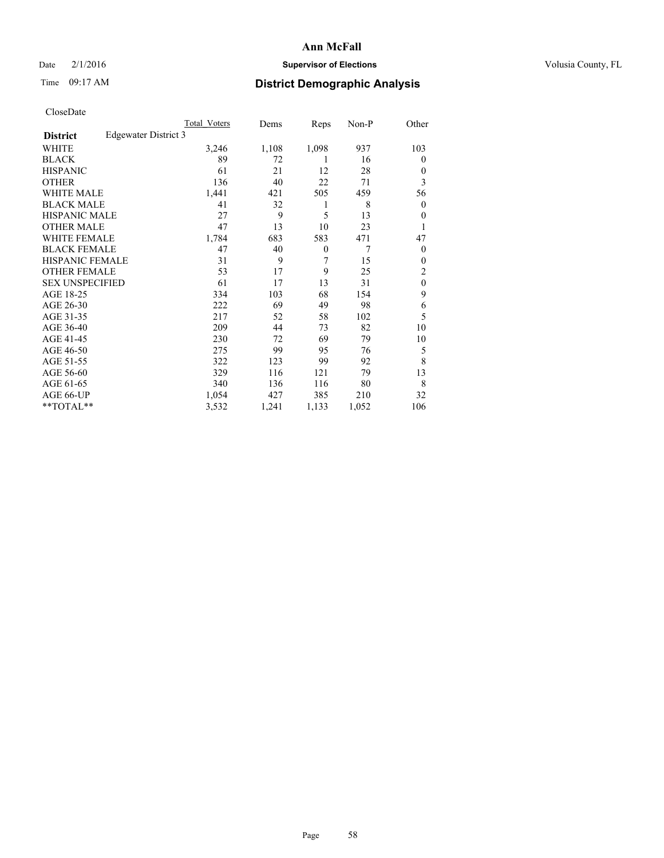## Date  $2/1/2016$  **Supervisor of Elections Supervisor of Elections** Volusia County, FL

# Time 09:17 AM **District Demographic Analysis**

|                        |                      | Total Voters | Dems  | Reps     | Non-P | Other            |
|------------------------|----------------------|--------------|-------|----------|-------|------------------|
| <b>District</b>        | Edgewater District 3 |              |       |          |       |                  |
| WHITE                  |                      | 3,246        | 1,108 | 1,098    | 937   | 103              |
| <b>BLACK</b>           |                      | 89           | 72    | 1        | 16    | $\theta$         |
| <b>HISPANIC</b>        |                      | 61           | 21    | 12       | 28    | $\theta$         |
| <b>OTHER</b>           |                      | 136          | 40    | 22       | 71    | 3                |
| WHITE MALE             |                      | 1,441        | 421   | 505      | 459   | 56               |
| <b>BLACK MALE</b>      |                      | 41           | 32    | 1        | 8     | $\boldsymbol{0}$ |
| <b>HISPANIC MALE</b>   |                      | 27           | 9     | 5        | 13    | $\mathbf{0}$     |
| <b>OTHER MALE</b>      |                      | 47           | 13    | 10       | 23    | 1                |
| <b>WHITE FEMALE</b>    |                      | 1,784        | 683   | 583      | 471   | 47               |
| <b>BLACK FEMALE</b>    |                      | 47           | 40    | $\theta$ | 7     | $\theta$         |
| <b>HISPANIC FEMALE</b> |                      | 31           | 9     | 7        | 15    | $\theta$         |
| <b>OTHER FEMALE</b>    |                      | 53           | 17    | 9        | 25    | 2                |
| <b>SEX UNSPECIFIED</b> |                      | 61           | 17    | 13       | 31    | $\mathbf{0}$     |
| AGE 18-25              |                      | 334          | 103   | 68       | 154   | 9                |
| AGE 26-30              |                      | 222          | 69    | 49       | 98    | 6                |
| AGE 31-35              |                      | 217          | 52    | 58       | 102   | 5                |
| AGE 36-40              |                      | 209          | 44    | 73       | 82    | 10               |
| AGE 41-45              |                      | 230          | 72    | 69       | 79    | 10               |
| AGE 46-50              |                      | 275          | 99    | 95       | 76    | 5                |
| AGE 51-55              |                      | 322          | 123   | 99       | 92    | 8                |
| AGE 56-60              |                      | 329          | 116   | 121      | 79    | 13               |
| AGE 61-65              |                      | 340          | 136   | 116      | 80    | 8                |
| AGE 66-UP              |                      | 1,054        | 427   | 385      | 210   | 32               |
| **TOTAL**              |                      | 3,532        | 1,241 | 1,133    | 1,052 | 106              |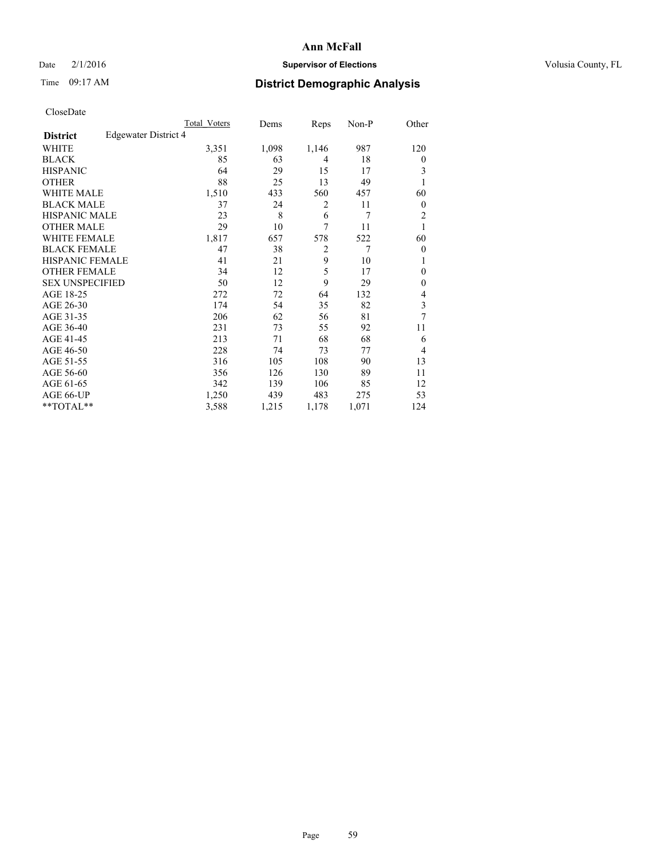# Date  $2/1/2016$  **Supervisor of Elections** Volusia County, FL

# Time 09:17 AM **District Demographic Analysis**

|                        |                      | Total Voters | Dems  | Reps           | Non-P          | Other          |
|------------------------|----------------------|--------------|-------|----------------|----------------|----------------|
| <b>District</b>        | Edgewater District 4 |              |       |                |                |                |
| WHITE                  |                      | 3,351        | 1,098 | 1,146          | 987            | 120            |
| <b>BLACK</b>           |                      | 85           | 63    | 4              | 18             | $\theta$       |
| <b>HISPANIC</b>        |                      | 64           | 29    | 15             | 17             | 3              |
| <b>OTHER</b>           |                      | 88           | 25    | 13             | 49             | 1              |
| <b>WHITE MALE</b>      |                      | 1,510        | 433   | 560            | 457            | 60             |
| <b>BLACK MALE</b>      |                      | 37           | 24    | $\overline{2}$ | 11             | $\overline{0}$ |
| <b>HISPANIC MALE</b>   |                      | 23           | 8     | 6              | 7              | 2              |
| <b>OTHER MALE</b>      |                      | 29           | 10    | 7              | 11             | 1              |
| <b>WHITE FEMALE</b>    |                      | 1,817        | 657   | 578            | 522            | 60             |
| <b>BLACK FEMALE</b>    |                      | 47           | 38    | $\overline{2}$ | $\overline{7}$ | $\theta$       |
| <b>HISPANIC FEMALE</b> |                      | 41           | 21    | 9              | 10             | 1              |
| <b>OTHER FEMALE</b>    |                      | 34           | 12    | 5              | 17             | $\theta$       |
| <b>SEX UNSPECIFIED</b> |                      | 50           | 12    | 9              | 29             | $\mathbf{0}$   |
| AGE 18-25              |                      | 272          | 72    | 64             | 132            | 4              |
| AGE 26-30              |                      | 174          | 54    | 35             | 82             | 3              |
| AGE 31-35              |                      | 206          | 62    | 56             | 81             | $\overline{7}$ |
| AGE 36-40              |                      | 231          | 73    | 55             | 92             | 11             |
| AGE 41-45              |                      | 213          | 71    | 68             | 68             | 6              |
| AGE 46-50              |                      | 228          | 74    | 73             | 77             | 4              |
| AGE 51-55              |                      | 316          | 105   | 108            | 90             | 13             |
| AGE 56-60              |                      | 356          | 126   | 130            | 89             | 11             |
| AGE 61-65              |                      | 342          | 139   | 106            | 85             | 12             |
| AGE 66-UP              |                      | 1,250        | 439   | 483            | 275            | 53             |
| **TOTAL**              |                      | 3,588        | 1,215 | 1,178          | 1,071          | 124            |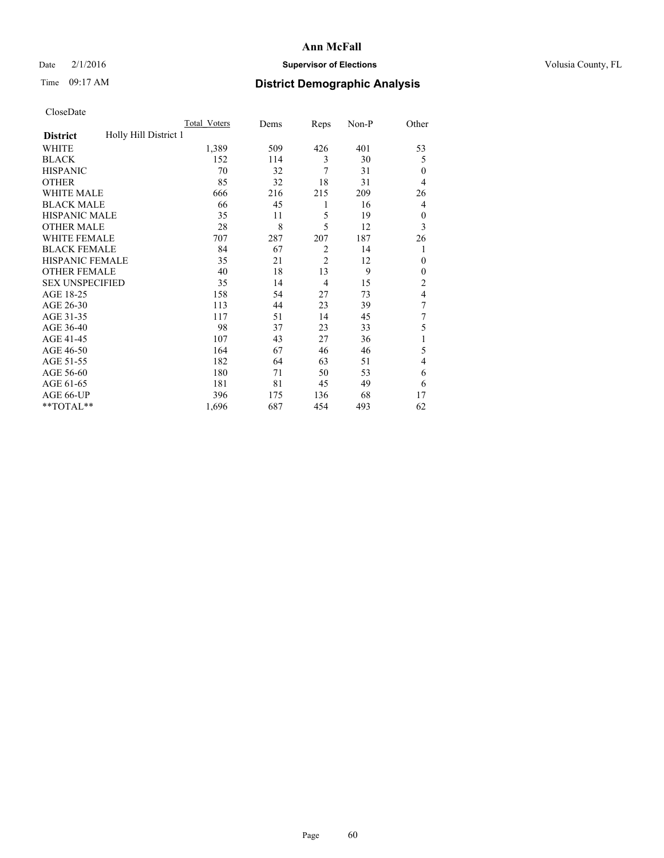## Date  $2/1/2016$  **Supervisor of Elections Supervisor of Elections** Volusia County, FL

# Time 09:17 AM **District Demographic Analysis**

|                        |                       | <b>Total Voters</b> | Dems | Reps           | Non-P | Other          |
|------------------------|-----------------------|---------------------|------|----------------|-------|----------------|
| <b>District</b>        | Holly Hill District 1 |                     |      |                |       |                |
| WHITE                  |                       | 1,389               | 509  | 426            | 401   | 53             |
| <b>BLACK</b>           |                       | 152                 | 114  | 3              | 30    | 5              |
| <b>HISPANIC</b>        |                       | 70                  | 32   | 7              | 31    | $\Omega$       |
| <b>OTHER</b>           |                       | 85                  | 32   | 18             | 31    | 4              |
| WHITE MALE             |                       | 666                 | 216  | 215            | 209   | 26             |
| <b>BLACK MALE</b>      |                       | 66                  | 45   | 1              | 16    | 4              |
| <b>HISPANIC MALE</b>   |                       | 35                  | 11   | 5              | 19    | $\mathbf{0}$   |
| <b>OTHER MALE</b>      |                       | 28                  | 8    | 5              | 12    | 3              |
| WHITE FEMALE           |                       | 707                 | 287  | 207            | 187   | 26             |
| <b>BLACK FEMALE</b>    |                       | 84                  | 67   | $\overline{2}$ | 14    | 1              |
| <b>HISPANIC FEMALE</b> |                       | 35                  | 21   | $\overline{2}$ | 12    | $\Omega$       |
| <b>OTHER FEMALE</b>    |                       | 40                  | 18   | 13             | 9     | $\Omega$       |
| <b>SEX UNSPECIFIED</b> |                       | 35                  | 14   | 4              | 15    | $\overline{c}$ |
| AGE 18-25              |                       | 158                 | 54   | 27             | 73    | $\overline{4}$ |
| AGE 26-30              |                       | 113                 | 44   | 23             | 39    | 7              |
| AGE 31-35              |                       | 117                 | 51   | 14             | 45    | 7              |
| AGE 36-40              |                       | 98                  | 37   | 23             | 33    | 5              |
| AGE 41-45              |                       | 107                 | 43   | 27             | 36    |                |
| AGE 46-50              |                       | 164                 | 67   | 46             | 46    | 5              |
| AGE 51-55              |                       | 182                 | 64   | 63             | 51    | 4              |
| AGE 56-60              |                       | 180                 | 71   | 50             | 53    | 6              |
| AGE 61-65              |                       | 181                 | 81   | 45             | 49    | 6              |
| AGE 66-UP              |                       | 396                 | 175  | 136            | 68    | 17             |
| **TOTAL**              |                       | 1,696               | 687  | 454            | 493   | 62             |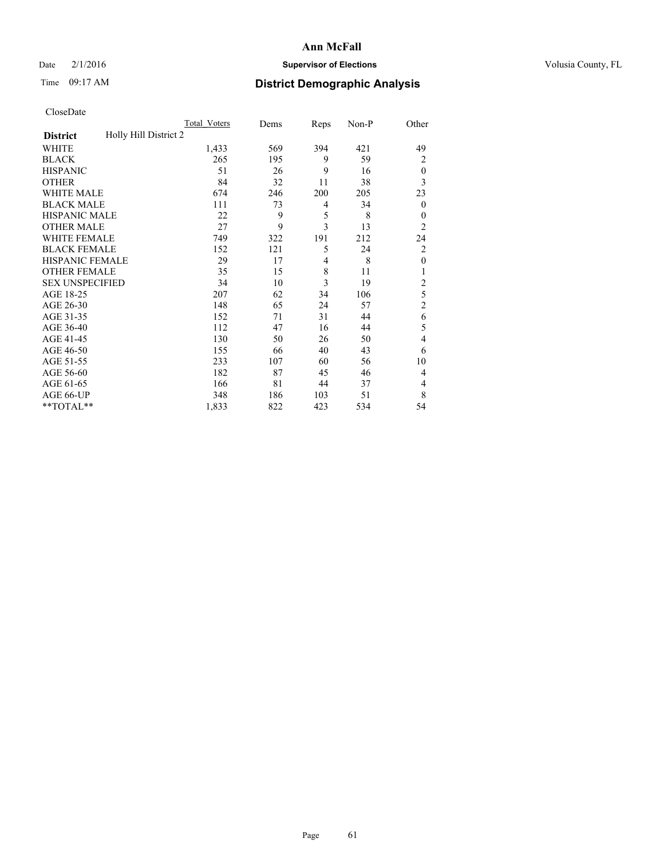# Date  $2/1/2016$  **Supervisor of Elections** Volusia County, FL

# Time 09:17 AM **District Demographic Analysis**

|                        |                       | Total Voters | Dems | Reps | Non-P | Other          |
|------------------------|-----------------------|--------------|------|------|-------|----------------|
| <b>District</b>        | Holly Hill District 2 |              |      |      |       |                |
| WHITE                  |                       | 1,433        | 569  | 394  | 421   | 49             |
| <b>BLACK</b>           |                       | 265          | 195  | 9    | 59    | $\overline{2}$ |
| <b>HISPANIC</b>        |                       | 51           | 26   | 9    | 16    | $\theta$       |
| <b>OTHER</b>           |                       | 84           | 32   | 11   | 38    | 3              |
| WHITE MALE             |                       | 674          | 246  | 200  | 205   | 23             |
| <b>BLACK MALE</b>      |                       | 111          | 73   | 4    | 34    | $\mathbf{0}$   |
| <b>HISPANIC MALE</b>   |                       | 22           | 9    | 5    | 8     | $\mathbf{0}$   |
| <b>OTHER MALE</b>      |                       | 27           | 9    | 3    | 13    | $\overline{2}$ |
| WHITE FEMALE           |                       | 749          | 322  | 191  | 212   | 24             |
| <b>BLACK FEMALE</b>    |                       | 152          | 121  | 5    | 24    | $\overline{c}$ |
| <b>HISPANIC FEMALE</b> |                       | 29           | 17   | 4    | 8     | $\mathbf{0}$   |
| <b>OTHER FEMALE</b>    |                       | 35           | 15   | 8    | 11    | 1              |
| <b>SEX UNSPECIFIED</b> |                       | 34           | 10   | 3    | 19    | $\overline{c}$ |
| AGE 18-25              |                       | 207          | 62   | 34   | 106   | 5              |
| AGE 26-30              |                       | 148          | 65   | 24   | 57    | $\overline{c}$ |
| AGE 31-35              |                       | 152          | 71   | 31   | 44    | 6              |
| AGE 36-40              |                       | 112          | 47   | 16   | 44    | 5              |
| AGE 41-45              |                       | 130          | 50   | 26   | 50    | 4              |
| AGE 46-50              |                       | 155          | 66   | 40   | 43    | 6              |
| AGE 51-55              |                       | 233          | 107  | 60   | 56    | 10             |
| AGE 56-60              |                       | 182          | 87   | 45   | 46    | 4              |
| AGE 61-65              |                       | 166          | 81   | 44   | 37    | 4              |
| AGE 66-UP              |                       | 348          | 186  | 103  | 51    | 8              |
| **TOTAL**              |                       | 1,833        | 822  | 423  | 534   | 54             |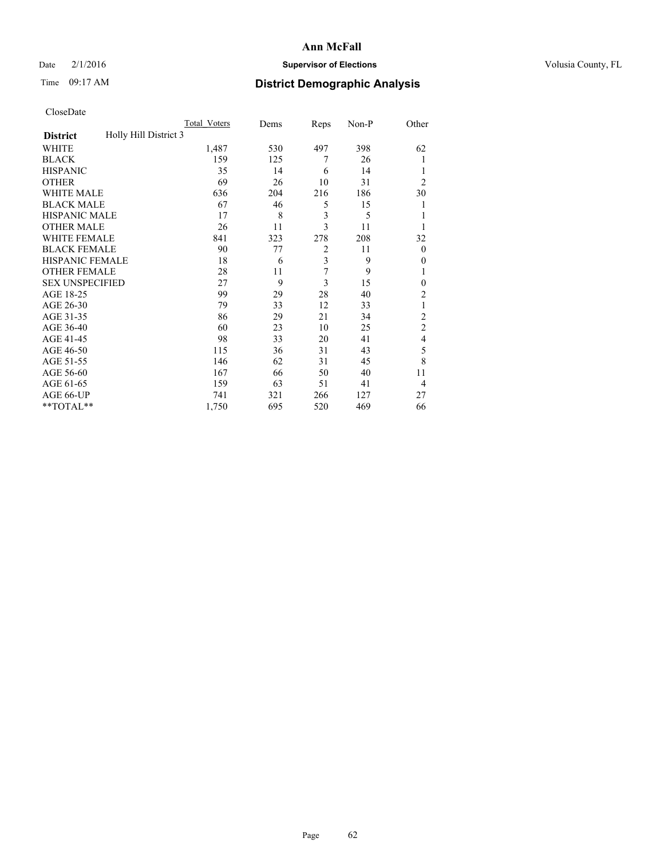## Date  $2/1/2016$  **Supervisor of Elections Supervisor of Elections** Volusia County, FL

# Time 09:17 AM **District Demographic Analysis**

|                        | <b>Total Voters</b>   | Dems | Reps           | Non-P | Other          |
|------------------------|-----------------------|------|----------------|-------|----------------|
| <b>District</b>        | Holly Hill District 3 |      |                |       |                |
| WHITE                  | 1,487                 | 530  | 497            | 398   | 62             |
| <b>BLACK</b>           | 159                   | 125  | 7              | 26    |                |
| <b>HISPANIC</b>        | 35                    | 14   | 6              | 14    |                |
| <b>OTHER</b>           | 69                    | 26   | 10             | 31    | $\overline{2}$ |
| WHITE MALE             | 636                   | 204  | 216            | 186   | 30             |
| <b>BLACK MALE</b>      | 67                    | 46   | 5              | 15    |                |
| <b>HISPANIC MALE</b>   | 17                    | 8    | 3              | 5     |                |
| <b>OTHER MALE</b>      | 26                    | 11   | 3              | 11    |                |
| WHITE FEMALE           | 841                   | 323  | 278            | 208   | 32             |
| <b>BLACK FEMALE</b>    | 90                    | 77   | $\overline{2}$ | 11    | $\theta$       |
| <b>HISPANIC FEMALE</b> | 18                    | 6    | 3              | 9     | 0              |
| <b>OTHER FEMALE</b>    | 28                    | 11   | 7              | 9     |                |
| <b>SEX UNSPECIFIED</b> | 27                    | 9    | 3              | 15    | $\mathbf{0}$   |
| AGE 18-25              | 99                    | 29   | 28             | 40    | $\overline{c}$ |
| AGE 26-30              | 79                    | 33   | 12             | 33    | 1              |
| AGE 31-35              | 86                    | 29   | 21             | 34    | $\overline{c}$ |
| AGE 36-40              | 60                    | 23   | 10             | 25    | $\overline{c}$ |
| AGE 41-45              | 98                    | 33   | 20             | 41    | 4              |
| AGE 46-50              | 115                   | 36   | 31             | 43    | 5              |
| AGE 51-55              | 146                   | 62   | 31             | 45    | 8              |
| AGE 56-60              | 167                   | 66   | 50             | 40    | 11             |
| AGE 61-65              | 159                   | 63   | 51             | 41    | $\overline{4}$ |
| AGE 66-UP              | 741                   | 321  | 266            | 127   | 27             |
| **TOTAL**              | 1,750                 | 695  | 520            | 469   | 66             |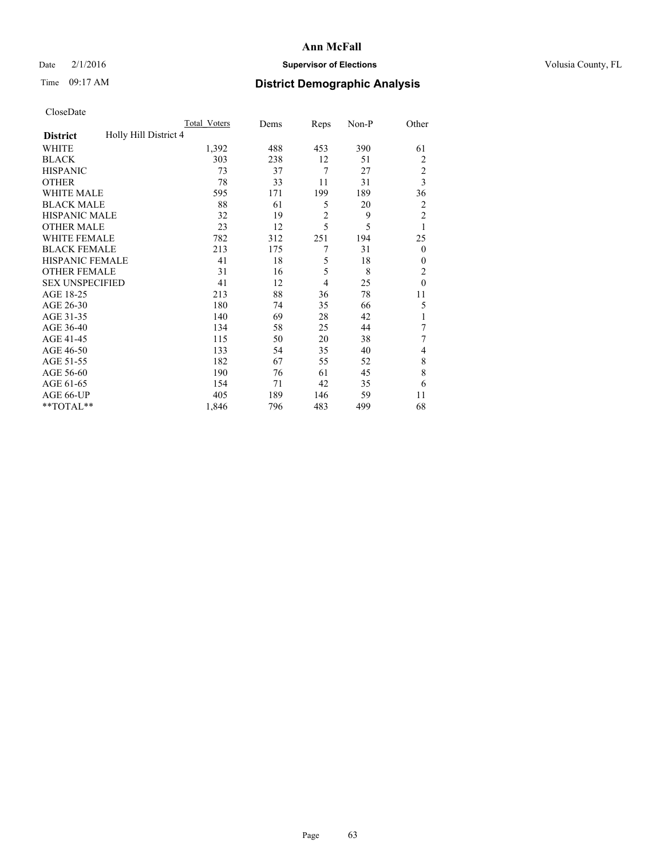## Date  $2/1/2016$  **Supervisor of Elections Supervisor of Elections** Volusia County, FL

# Time 09:17 AM **District Demographic Analysis**

|                                          | <b>Total Voters</b> | Dems | Reps           | Non-P | Other          |
|------------------------------------------|---------------------|------|----------------|-------|----------------|
| Holly Hill District 4<br><b>District</b> |                     |      |                |       |                |
| WHITE                                    | 1,392               | 488  | 453            | 390   | 61             |
| <b>BLACK</b>                             | 303                 | 238  | 12             | 51    | 2              |
| <b>HISPANIC</b>                          | 73                  | 37   | 7              | 27    | $\overline{c}$ |
| <b>OTHER</b>                             | 78                  | 33   | 11             | 31    | 3              |
| <b>WHITE MALE</b>                        | 595                 | 171  | 199            | 189   | 36             |
| <b>BLACK MALE</b>                        | 88                  | 61   | 5              | 20    | $\overline{2}$ |
| <b>HISPANIC MALE</b>                     | 32                  | 19   | $\overline{2}$ | 9     | $\overline{2}$ |
| <b>OTHER MALE</b>                        | 23                  | 12   | 5              | 5     | 1              |
| WHITE FEMALE                             | 782                 | 312  | 251            | 194   | 25             |
| <b>BLACK FEMALE</b>                      | 213                 | 175  | 7              | 31    | $\overline{0}$ |
| <b>HISPANIC FEMALE</b>                   | 41                  | 18   | 5              | 18    | $\Omega$       |
| <b>OTHER FEMALE</b>                      | 31                  | 16   | 5              | 8     | $\overline{c}$ |
| <b>SEX UNSPECIFIED</b>                   | 41                  | 12   | $\overline{4}$ | 25    | $\mathbf{0}$   |
| AGE 18-25                                | 213                 | 88   | 36             | 78    | 11             |
| AGE 26-30                                | 180                 | 74   | 35             | 66    | 5              |
| AGE 31-35                                | 140                 | 69   | 28             | 42    | 1              |
| AGE 36-40                                | 134                 | 58   | 25             | 44    | 7              |
| AGE 41-45                                | 115                 | 50   | 20             | 38    | 7              |
| AGE 46-50                                | 133                 | 54   | 35             | 40    | $\overline{4}$ |
| AGE 51-55                                | 182                 | 67   | 55             | 52    | 8              |
| AGE 56-60                                | 190                 | 76   | 61             | 45    | 8              |
| AGE 61-65                                | 154                 | 71   | 42             | 35    | 6              |
| AGE 66-UP                                | 405                 | 189  | 146            | 59    | 11             |
| **TOTAL**                                | 1,846               | 796  | 483            | 499   | 68             |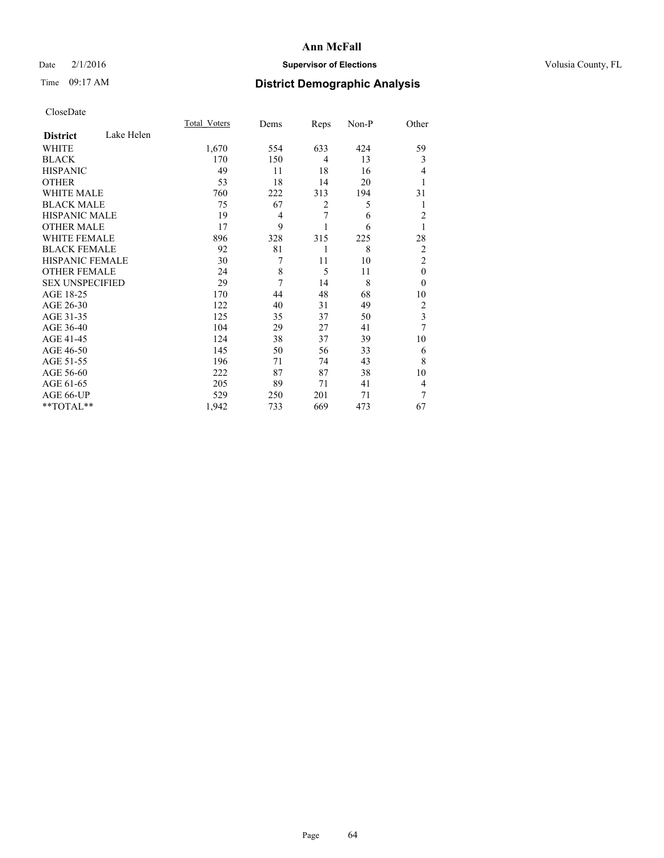## Date  $2/1/2016$  **Supervisor of Elections Supervisor of Elections** Volusia County, FL

# Time 09:17 AM **District Demographic Analysis**

|                        |            | <b>Total Voters</b> | Dems | Reps           | Non-P | Other                   |
|------------------------|------------|---------------------|------|----------------|-------|-------------------------|
| <b>District</b>        | Lake Helen |                     |      |                |       |                         |
| WHITE                  |            | 1,670               | 554  | 633            | 424   | 59                      |
| <b>BLACK</b>           |            | 170                 | 150  | $\overline{4}$ | 13    | 3                       |
| <b>HISPANIC</b>        |            | 49                  | 11   | 18             | 16    | 4                       |
| <b>OTHER</b>           |            | 53                  | 18   | 14             | 20    |                         |
| WHITE MALE             |            | 760                 | 222  | 313            | 194   | 31                      |
| <b>BLACK MALE</b>      |            | 75                  | 67   | $\overline{2}$ | 5     | 1                       |
| <b>HISPANIC MALE</b>   |            | 19                  | 4    | 7              | 6     | $\overline{c}$          |
| <b>OTHER MALE</b>      |            | 17                  | 9    |                | 6     | 1                       |
| WHITE FEMALE           |            | 896                 | 328  | 315            | 225   | 28                      |
| <b>BLACK FEMALE</b>    |            | 92                  | 81   | 1              | 8     | $\overline{2}$          |
| <b>HISPANIC FEMALE</b> |            | 30                  | 7    | 11             | 10    | $\overline{2}$          |
| <b>OTHER FEMALE</b>    |            | 24                  | 8    | 5              | 11    | $\theta$                |
| <b>SEX UNSPECIFIED</b> |            | 29                  | 7    | 14             | 8     | $\theta$                |
| AGE 18-25              |            | 170                 | 44   | 48             | 68    | 10                      |
| AGE 26-30              |            | 122                 | 40   | 31             | 49    | $\overline{2}$          |
| AGE 31-35              |            | 125                 | 35   | 37             | 50    | $\overline{\mathbf{3}}$ |
| AGE 36-40              |            | 104                 | 29   | 27             | 41    | 7                       |
| AGE 41-45              |            | 124                 | 38   | 37             | 39    | 10                      |
| AGE 46-50              |            | 145                 | 50   | 56             | 33    | 6                       |
| AGE 51-55              |            | 196                 | 71   | 74             | 43    | 8                       |
| AGE 56-60              |            | 222                 | 87   | 87             | 38    | 10                      |
| AGE 61-65              |            | 205                 | 89   | 71             | 41    | 4                       |
| AGE 66-UP              |            | 529                 | 250  | 201            | 71    | 7                       |
| **TOTAL**              |            | 1,942               | 733  | 669            | 473   | 67                      |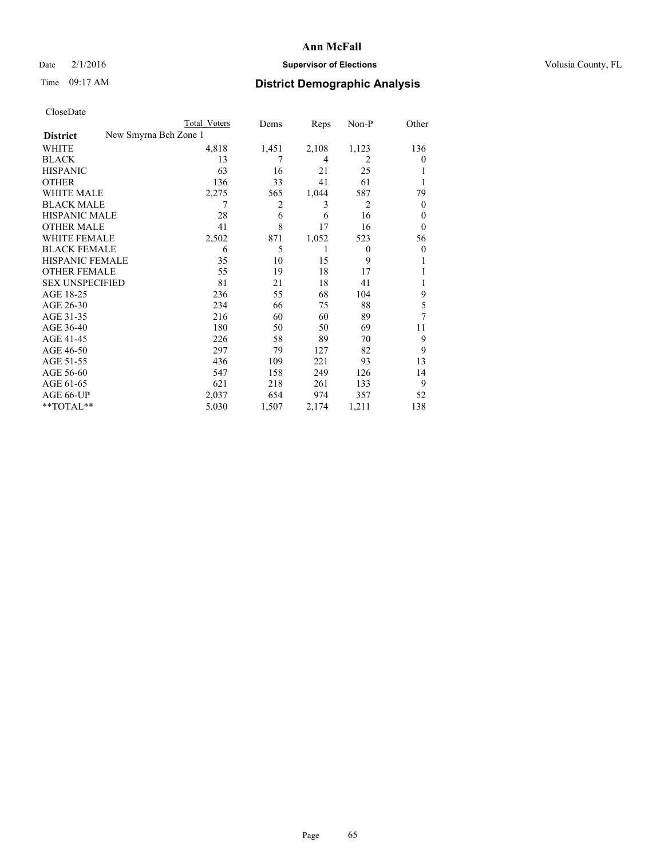## Date  $2/1/2016$  **Supervisor of Elections Supervisor of Elections** Volusia County, FL

| CloseDate |
|-----------|
|-----------|

| <b>Total Voters</b> | Dems                  | Reps  | Non-P    | Other          |
|---------------------|-----------------------|-------|----------|----------------|
|                     |                       |       |          |                |
| 4,818               | 1,451                 | 2,108 | 1,123    | 136            |
| 13                  | 7                     | 4     | 2        | $\theta$       |
| 63                  | 16                    | 21    | 25       |                |
| 136                 | 33                    | 41    | 61       |                |
| 2,275               | 565                   | 1,044 | 587      | 79             |
| 7                   | 2                     | 3     | 2        | $\overline{0}$ |
| 28                  | 6                     | 6     | 16       | $\theta$       |
| 41                  | 8                     | 17    | 16       | $\theta$       |
| 2,502               | 871                   | 1,052 | 523      | 56             |
| 6                   | 5                     | 1     | $\theta$ | $\theta$       |
| 35                  | 10                    | 15    | 9        |                |
| 55                  | 19                    | 18    | 17       |                |
| 81                  | 21                    | 18    | 41       | 1              |
| 236                 | 55                    | 68    | 104      | 9              |
| 234                 | 66                    | 75    | 88       | 5              |
| 216                 | 60                    | 60    | 89       | 7              |
| 180                 | 50                    | 50    | 69       | 11             |
| 226                 | 58                    | 89    | 70       | 9              |
| 297                 | 79                    | 127   | 82       | 9              |
| 436                 | 109                   | 221   | 93       | 13             |
| 547                 | 158                   | 249   | 126      | 14             |
| 621                 | 218                   | 261   | 133      | 9              |
| 2,037               | 654                   | 974   | 357      | 52             |
| 5,030               | 1,507                 | 2,174 | 1,211    | 138            |
|                     | New Smyrna Bch Zone 1 |       |          |                |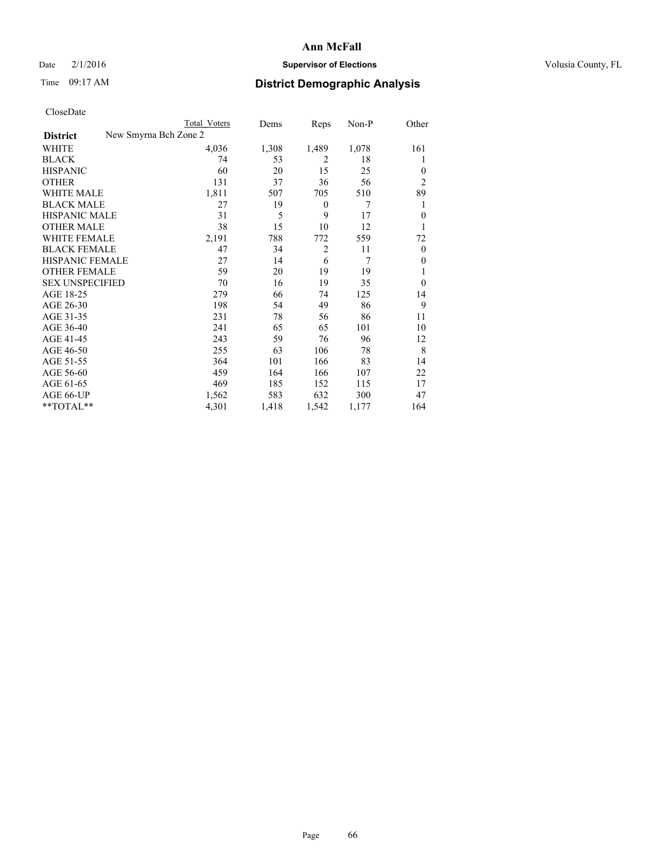## Date  $2/1/2016$  **Supervisor of Elections Supervisor of Elections** Volusia County, FL

| CloseDate |
|-----------|
|-----------|

|                                          | Total Voters | Dems  | Reps             | Non-P | Other          |
|------------------------------------------|--------------|-------|------------------|-------|----------------|
| New Smyrna Bch Zone 2<br><b>District</b> |              |       |                  |       |                |
| WHITE                                    | 4,036        | 1,308 | 1,489            | 1,078 | 161            |
| <b>BLACK</b>                             | 74           | 53    | $\overline{2}$   | 18    | 1              |
| <b>HISPANIC</b>                          | 60           | 20    | 15               | 25    | $\theta$       |
| <b>OTHER</b>                             | 131          | 37    | 36               | 56    | $\overline{2}$ |
| <b>WHITE MALE</b>                        | 1,811        | 507   | 705              | 510   | 89             |
| <b>BLACK MALE</b>                        | 27           | 19    | $\boldsymbol{0}$ | 7     | 1              |
| <b>HISPANIC MALE</b>                     | 31           | 5     | 9                | 17    | $\mathbf{0}$   |
| <b>OTHER MALE</b>                        | 38           | 15    | 10               | 12    | 1              |
| <b>WHITE FEMALE</b>                      | 2,191        | 788   | 772              | 559   | 72             |
| <b>BLACK FEMALE</b>                      | 47           | 34    | $\overline{c}$   | 11    | $\mathbf{0}$   |
| HISPANIC FEMALE                          | 27           | 14    | 6                | 7     | $\Omega$       |
| <b>OTHER FEMALE</b>                      | 59           | 20    | 19               | 19    |                |
| <b>SEX UNSPECIFIED</b>                   | 70           | 16    | 19               | 35    | $\theta$       |
| AGE 18-25                                | 279          | 66    | 74               | 125   | 14             |
| AGE 26-30                                | 198          | 54    | 49               | 86    | 9              |
| AGE 31-35                                | 231          | 78    | 56               | 86    | 11             |
| AGE 36-40                                | 241          | 65    | 65               | 101   | 10             |
| AGE 41-45                                | 243          | 59    | 76               | 96    | 12             |
| AGE 46-50                                | 255          | 63    | 106              | 78    | 8              |
| AGE 51-55                                | 364          | 101   | 166              | 83    | 14             |
| AGE 56-60                                | 459          | 164   | 166              | 107   | 22             |
| AGE 61-65                                | 469          | 185   | 152              | 115   | 17             |
| AGE 66-UP                                | 1,562        | 583   | 632              | 300   | 47             |
| **TOTAL**                                | 4,301        | 1,418 | 1,542            | 1,177 | 164            |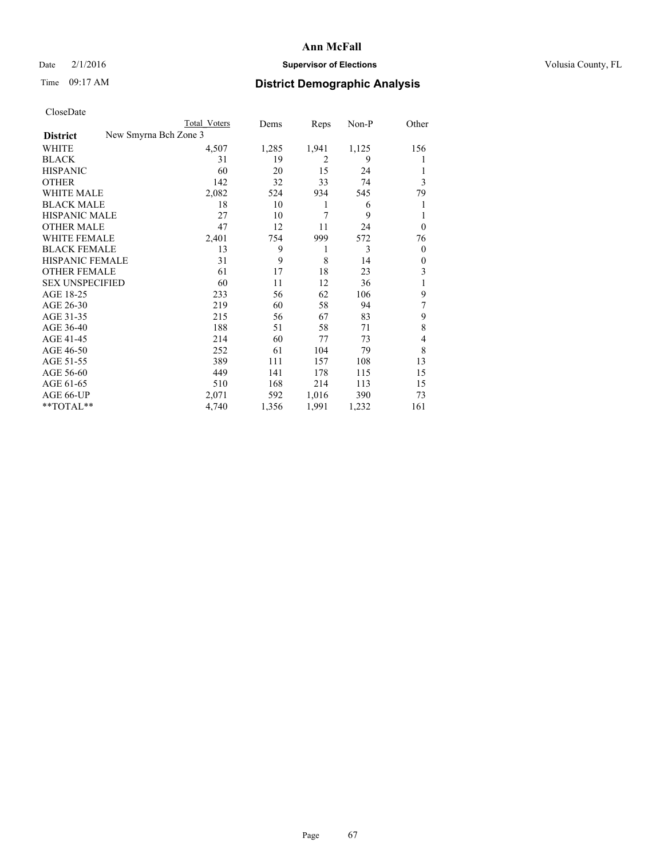## Date  $2/1/2016$  **Supervisor of Elections Supervisor of Elections** Volusia County, FL

| <b>Total Voters</b> | Dems                  | Reps  | Non-P | Other            |
|---------------------|-----------------------|-------|-------|------------------|
|                     |                       |       |       |                  |
| 4,507               | 1,285                 | 1,941 | 1,125 | 156              |
| 31                  | 19                    | 2     | 9     | 1                |
| 60                  | 20                    | 15    | 24    |                  |
| 142                 | 32                    | 33    | 74    | 3                |
| 2,082               | 524                   | 934   | 545   | 79               |
| 18                  | 10                    | 1     | 6     | 1                |
| 27                  | 10                    | 7     | 9     | 1                |
| 47                  | 12                    | 11    | 24    | $\mathbf{0}$     |
| 2,401               | 754                   | 999   | 572   | 76               |
| 13                  | 9                     | 1     | 3     | $\theta$         |
| 31                  | 9                     | 8     | 14    | $\boldsymbol{0}$ |
| 61                  | 17                    | 18    | 23    | 3                |
| 60                  | 11                    | 12    | 36    | 1                |
| 233                 | 56                    | 62    | 106   | 9                |
| 219                 | 60                    | 58    | 94    | 7                |
| 215                 | 56                    | 67    | 83    | 9                |
| 188                 | 51                    | 58    | 71    | 8                |
| 214                 | 60                    | 77    | 73    | 4                |
| 252                 | 61                    | 104   | 79    | 8                |
| 389                 | 111                   | 157   | 108   | 13               |
| 449                 | 141                   | 178   | 115   | 15               |
| 510                 | 168                   | 214   | 113   | 15               |
| 2,071               | 592                   | 1,016 | 390   | 73               |
| 4,740               | 1,356                 | 1,991 | 1,232 | 161              |
|                     | New Smyrna Bch Zone 3 |       |       |                  |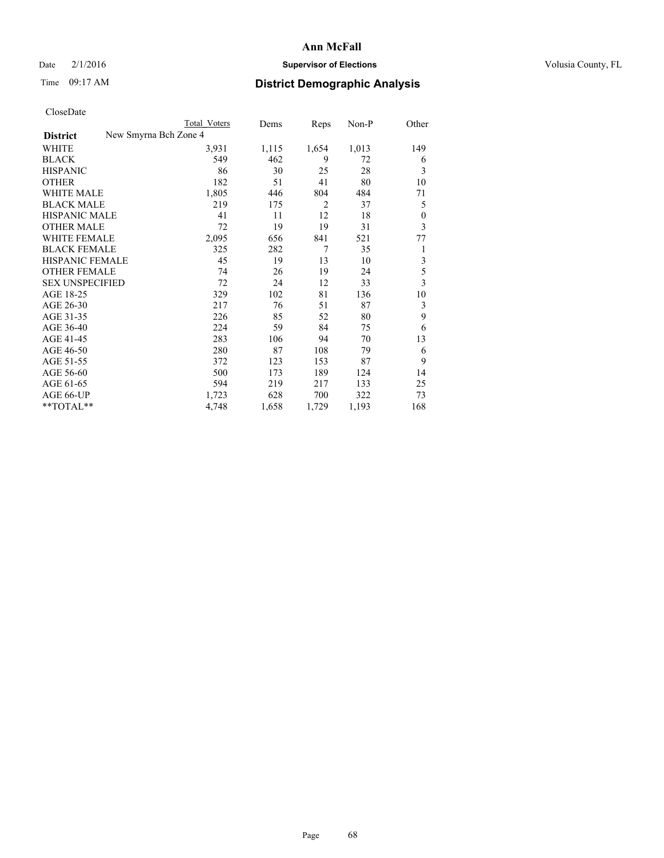# Date  $2/1/2016$  **Supervisor of Elections** Volusia County, FL

|                                          | <b>Total Voters</b> | Dems  | Reps           | Non-P | Other                   |
|------------------------------------------|---------------------|-------|----------------|-------|-------------------------|
| New Smyrna Bch Zone 4<br><b>District</b> |                     |       |                |       |                         |
| WHITE                                    | 3,931               | 1,115 | 1,654          | 1,013 | 149                     |
| <b>BLACK</b>                             | 549                 | 462   | 9              | 72    | 6                       |
| <b>HISPANIC</b>                          | 86                  | 30    | 25             | 28    | 3                       |
| <b>OTHER</b>                             | 182                 | 51    | 41             | 80    | 10                      |
| WHITE MALE                               | 1,805               | 446   | 804            | 484   | 71                      |
| <b>BLACK MALE</b>                        | 219                 | 175   | $\overline{2}$ | 37    | 5                       |
| <b>HISPANIC MALE</b>                     | 41                  | 11    | 12             | 18    | $\mathbf{0}$            |
| <b>OTHER MALE</b>                        | 72                  | 19    | 19             | 31    | 3                       |
| WHITE FEMALE                             | 2,095               | 656   | 841            | 521   | 77                      |
| <b>BLACK FEMALE</b>                      | 325                 | 282   | 7              | 35    | 1                       |
| <b>HISPANIC FEMALE</b>                   | 45                  | 19    | 13             | 10    | $\overline{\mathbf{3}}$ |
| <b>OTHER FEMALE</b>                      | 74                  | 26    | 19             | 24    | 5                       |
| <b>SEX UNSPECIFIED</b>                   | 72                  | 24    | 12             | 33    | $\overline{\mathbf{3}}$ |
| AGE 18-25                                | 329                 | 102   | 81             | 136   | 10                      |
| AGE 26-30                                | 217                 | 76    | 51             | 87    | 3                       |
| AGE 31-35                                | 226                 | 85    | 52             | 80    | 9                       |
| AGE 36-40                                | 224                 | 59    | 84             | 75    | 6                       |
| AGE 41-45                                | 283                 | 106   | 94             | 70    | 13                      |
| AGE 46-50                                | 280                 | 87    | 108            | 79    | 6                       |
| AGE 51-55                                | 372                 | 123   | 153            | 87    | 9                       |
| AGE 56-60                                | 500                 | 173   | 189            | 124   | 14                      |
| AGE 61-65                                | 594                 | 219   | 217            | 133   | 25                      |
| AGE 66-UP                                | 1,723               | 628   | 700            | 322   | 73                      |
| **TOTAL**                                | 4,748               | 1,658 | 1,729          | 1,193 | 168                     |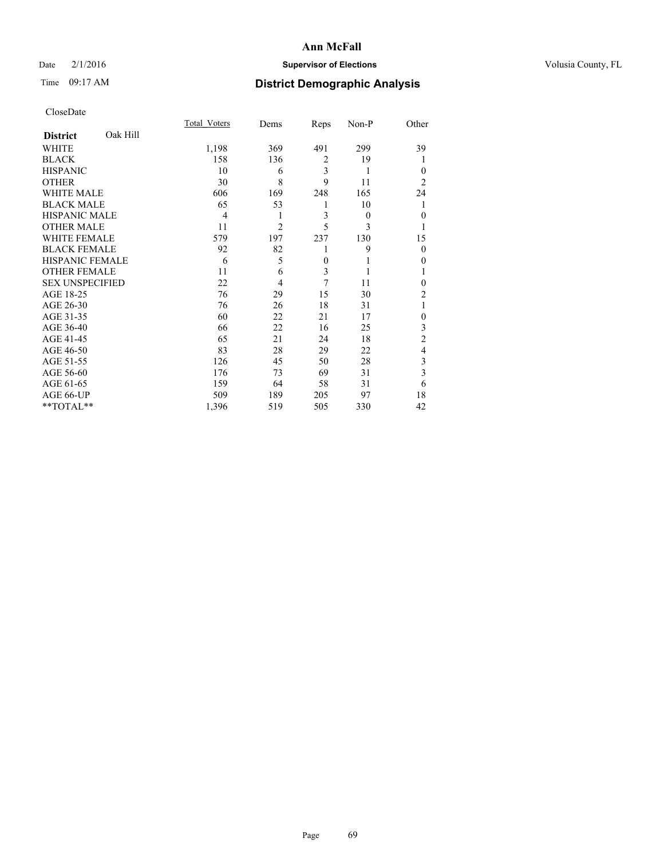## Date  $2/1/2016$  **Supervisor of Elections Supervisor of Elections** Volusia County, FL

# Time 09:17 AM **District Demographic Analysis**

|                        |          | <b>Total Voters</b> | Dems           | Reps           | Non-P    | Other            |
|------------------------|----------|---------------------|----------------|----------------|----------|------------------|
| <b>District</b>        | Oak Hill |                     |                |                |          |                  |
| WHITE                  |          | 1,198               | 369            | 491            | 299      | 39               |
| <b>BLACK</b>           |          | 158                 | 136            | $\overline{2}$ | 19       |                  |
| <b>HISPANIC</b>        |          | 10                  | 6              | 3              | 1        | $\theta$         |
| <b>OTHER</b>           |          | 30                  | 8              | 9              | 11       | $\overline{2}$   |
| WHITE MALE             |          | 606                 | 169            | 248            | 165      | 24               |
| <b>BLACK MALE</b>      |          | 65                  | 53             | 1              | 10       |                  |
| <b>HISPANIC MALE</b>   |          | 4                   | 1              | 3              | $\theta$ | $\mathbf{0}$     |
| <b>OTHER MALE</b>      |          | 11                  | $\overline{2}$ | 5              | 3        | 1                |
| <b>WHITE FEMALE</b>    |          | 579                 | 197            | 237            | 130      | 15               |
| <b>BLACK FEMALE</b>    |          | 92                  | 82             | 1              | 9        | $\theta$         |
| HISPANIC FEMALE        |          | 6                   | 5              | $\overline{0}$ |          | 0                |
| <b>OTHER FEMALE</b>    |          | 11                  | 6              | 3              |          |                  |
| <b>SEX UNSPECIFIED</b> |          | 22                  | 4              | 7              | 11       | $\theta$         |
| AGE 18-25              |          | 76                  | 29             | 15             | 30       | $\overline{2}$   |
| AGE 26-30              |          | 76                  | 26             | 18             | 31       | 1                |
| AGE 31-35              |          | 60                  | 22             | 21             | 17       | $\boldsymbol{0}$ |
| AGE 36-40              |          | 66                  | 22             | 16             | 25       | 3                |
| AGE 41-45              |          | 65                  | 21             | 24             | 18       | $\overline{c}$   |
| AGE 46-50              |          | 83                  | 28             | 29             | 22       | 4                |
| AGE 51-55              |          | 126                 | 45             | 50             | 28       | 3                |
| AGE 56-60              |          | 176                 | 73             | 69             | 31       | 3                |
| AGE 61-65              |          | 159                 | 64             | 58             | 31       | 6                |
| AGE 66-UP              |          | 509                 | 189            | 205            | 97       | 18               |
| **TOTAL**              |          | 1,396               | 519            | 505            | 330      | 42               |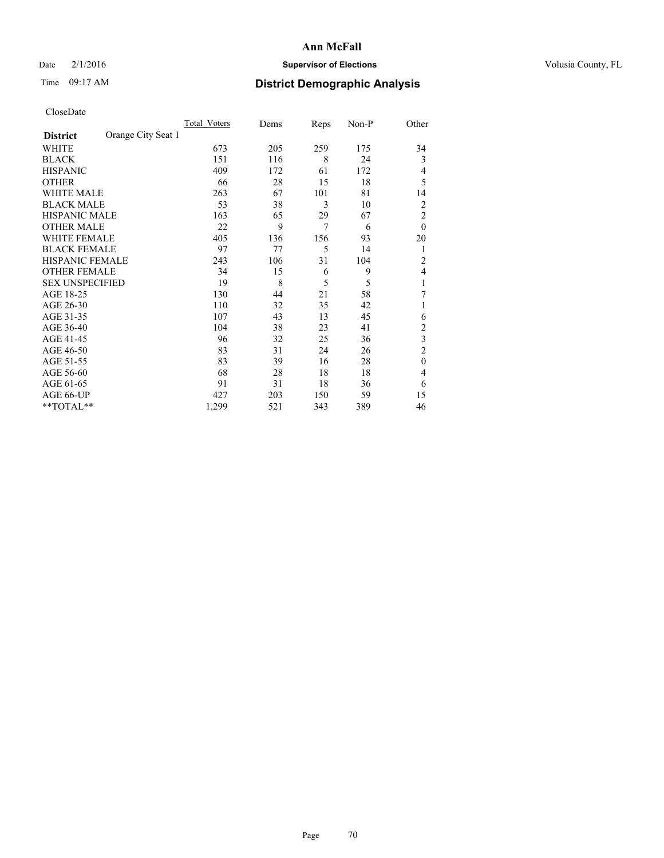## Date  $2/1/2016$  **Supervisor of Elections Supervisor of Elections** Volusia County, FL

# Time 09:17 AM **District Demographic Analysis**

|                        |                    | <b>Total Voters</b> | Dems | Reps | Non-P | Other          |
|------------------------|--------------------|---------------------|------|------|-------|----------------|
| <b>District</b>        | Orange City Seat 1 |                     |      |      |       |                |
| WHITE                  |                    | 673                 | 205  | 259  | 175   | 34             |
| <b>BLACK</b>           |                    | 151                 | 116  | 8    | 24    | 3              |
| <b>HISPANIC</b>        |                    | 409                 | 172  | 61   | 172   | 4              |
| <b>OTHER</b>           |                    | 66                  | 28   | 15   | 18    | 5              |
| WHITE MALE             |                    | 263                 | 67   | 101  | 81    | 14             |
| <b>BLACK MALE</b>      |                    | 53                  | 38   | 3    | 10    | $\overline{2}$ |
| <b>HISPANIC MALE</b>   |                    | 163                 | 65   | 29   | 67    | $\overline{c}$ |
| <b>OTHER MALE</b>      |                    | 22                  | 9    | 7    | 6     | $\mathbf{0}$   |
| <b>WHITE FEMALE</b>    |                    | 405                 | 136  | 156  | 93    | 20             |
| <b>BLACK FEMALE</b>    |                    | 97                  | 77   | 5    | 14    | 1              |
| <b>HISPANIC FEMALE</b> |                    | 243                 | 106  | 31   | 104   | $\overline{c}$ |
| <b>OTHER FEMALE</b>    |                    | 34                  | 15   | 6    | 9     | 4              |
| <b>SEX UNSPECIFIED</b> |                    | 19                  | 8    | 5    | 5     | 1              |
| AGE 18-25              |                    | 130                 | 44   | 21   | 58    | 7              |
| AGE 26-30              |                    | 110                 | 32   | 35   | 42    | 1              |
| AGE 31-35              |                    | 107                 | 43   | 13   | 45    | 6              |
| AGE 36-40              |                    | 104                 | 38   | 23   | 41    | $\overline{c}$ |
| AGE 41-45              |                    | 96                  | 32   | 25   | 36    | 3              |
| AGE 46-50              |                    | 83                  | 31   | 24   | 26    | $\overline{2}$ |
| AGE 51-55              |                    | 83                  | 39   | 16   | 28    | $\theta$       |
| AGE 56-60              |                    | 68                  | 28   | 18   | 18    | 4              |
| AGE 61-65              |                    | 91                  | 31   | 18   | 36    | 6              |
| AGE 66-UP              |                    | 427                 | 203  | 150  | 59    | 15             |
| **TOTAL**              |                    | 1,299               | 521  | 343  | 389   | 46             |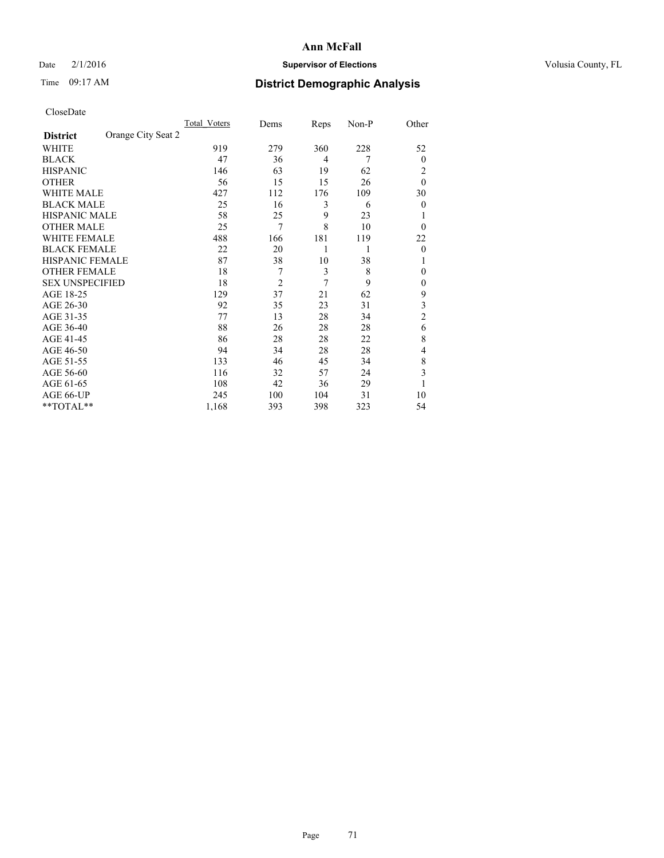## Date  $2/1/2016$  **Supervisor of Elections Supervisor of Elections** Volusia County, FL

# Time 09:17 AM **District Demographic Analysis**

|                        |                    | Total Voters | Dems           | Reps           | Non-P | Other          |
|------------------------|--------------------|--------------|----------------|----------------|-------|----------------|
| <b>District</b>        | Orange City Seat 2 |              |                |                |       |                |
| WHITE                  |                    | 919          | 279            | 360            | 228   | 52             |
| <b>BLACK</b>           |                    | 47           | 36             | $\overline{4}$ | 7     | $\overline{0}$ |
| <b>HISPANIC</b>        |                    | 146          | 63             | 19             | 62    | 2              |
| <b>OTHER</b>           |                    | 56           | 15             | 15             | 26    | $\theta$       |
| WHITE MALE             |                    | 427          | 112            | 176            | 109   | 30             |
| <b>BLACK MALE</b>      |                    | 25           | 16             | 3              | 6     | $\overline{0}$ |
| <b>HISPANIC MALE</b>   |                    | 58           | 25             | 9              | 23    |                |
| <b>OTHER MALE</b>      |                    | 25           | 7              | 8              | 10    | $\theta$       |
| WHITE FEMALE           |                    | 488          | 166            | 181            | 119   | 22             |
| <b>BLACK FEMALE</b>    |                    | 22           | 20             | 1              | 1     | $\theta$       |
| <b>HISPANIC FEMALE</b> |                    | 87           | 38             | 10             | 38    | 1              |
| <b>OTHER FEMALE</b>    |                    | 18           | 7              | 3              | 8     | $\theta$       |
| <b>SEX UNSPECIFIED</b> |                    | 18           | $\overline{2}$ | 7              | 9     | $\mathbf{0}$   |
| AGE 18-25              |                    | 129          | 37             | 21             | 62    | 9              |
| AGE 26-30              |                    | 92           | 35             | 23             | 31    | 3              |
| AGE 31-35              |                    | 77           | 13             | 28             | 34    | $\overline{c}$ |
| AGE 36-40              |                    | 88           | 26             | 28             | 28    | 6              |
| AGE 41-45              |                    | 86           | 28             | 28             | 22    | 8              |
| AGE 46-50              |                    | 94           | 34             | 28             | 28    | 4              |
| AGE 51-55              |                    | 133          | 46             | 45             | 34    | 8              |
| AGE 56-60              |                    | 116          | 32             | 57             | 24    | 3              |
| AGE 61-65              |                    | 108          | 42             | 36             | 29    | 1              |
| AGE 66-UP              |                    | 245          | 100            | 104            | 31    | 10             |
| **TOTAL**              |                    | 1,168        | 393            | 398            | 323   | 54             |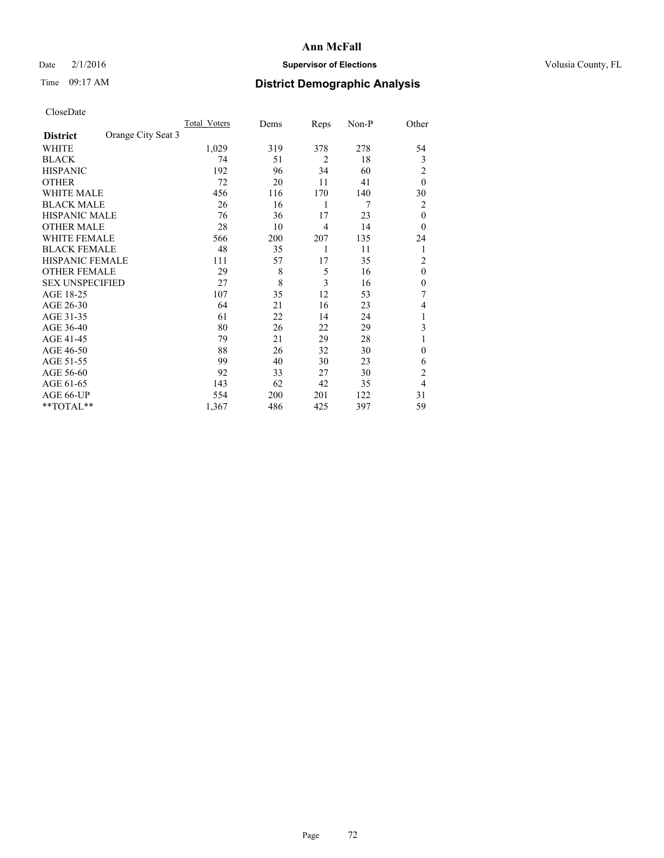## Date  $2/1/2016$  **Supervisor of Elections Supervisor of Elections** Volusia County, FL

# Time 09:17 AM **District Demographic Analysis**

|                        |                    | <b>Total Voters</b> | Dems | Reps           | Non-P | Other          |
|------------------------|--------------------|---------------------|------|----------------|-------|----------------|
| <b>District</b>        | Orange City Seat 3 |                     |      |                |       |                |
| WHITE                  |                    | 1,029               | 319  | 378            | 278   | 54             |
| <b>BLACK</b>           |                    | 74                  | 51   | $\overline{2}$ | 18    | 3              |
| <b>HISPANIC</b>        |                    | 192                 | 96   | 34             | 60    | $\overline{c}$ |
| <b>OTHER</b>           |                    | 72                  | 20   | 11             | 41    | $\theta$       |
| WHITE MALE             |                    | 456                 | 116  | 170            | 140   | 30             |
| <b>BLACK MALE</b>      |                    | 26                  | 16   | 1              | 7     | 2              |
| <b>HISPANIC MALE</b>   |                    | 76                  | 36   | 17             | 23    | $\theta$       |
| <b>OTHER MALE</b>      |                    | 28                  | 10   | $\overline{4}$ | 14    | $\theta$       |
| WHITE FEMALE           |                    | 566                 | 200  | 207            | 135   | 24             |
| <b>BLACK FEMALE</b>    |                    | 48                  | 35   | 1              | 11    | 1              |
| <b>HISPANIC FEMALE</b> |                    | 111                 | 57   | 17             | 35    | $\overline{c}$ |
| <b>OTHER FEMALE</b>    |                    | 29                  | 8    | 5              | 16    | $\theta$       |
| <b>SEX UNSPECIFIED</b> |                    | 27                  | 8    | 3              | 16    | $\theta$       |
| AGE 18-25              |                    | 107                 | 35   | 12             | 53    | 7              |
| AGE 26-30              |                    | 64                  | 21   | 16             | 23    | 4              |
| AGE 31-35              |                    | 61                  | 22   | 14             | 24    | 1              |
| AGE 36-40              |                    | 80                  | 26   | 22             | 29    | 3              |
| AGE 41-45              |                    | 79                  | 21   | 29             | 28    |                |
| AGE 46-50              |                    | 88                  | 26   | 32             | 30    | $\Omega$       |
| AGE 51-55              |                    | 99                  | 40   | 30             | 23    | 6              |
| AGE 56-60              |                    | 92                  | 33   | 27             | 30    | $\overline{2}$ |
| AGE 61-65              |                    | 143                 | 62   | 42             | 35    | 4              |
| AGE 66-UP              |                    | 554                 | 200  | 201            | 122   | 31             |
| **TOTAL**              |                    | 1,367               | 486  | 425            | 397   | 59             |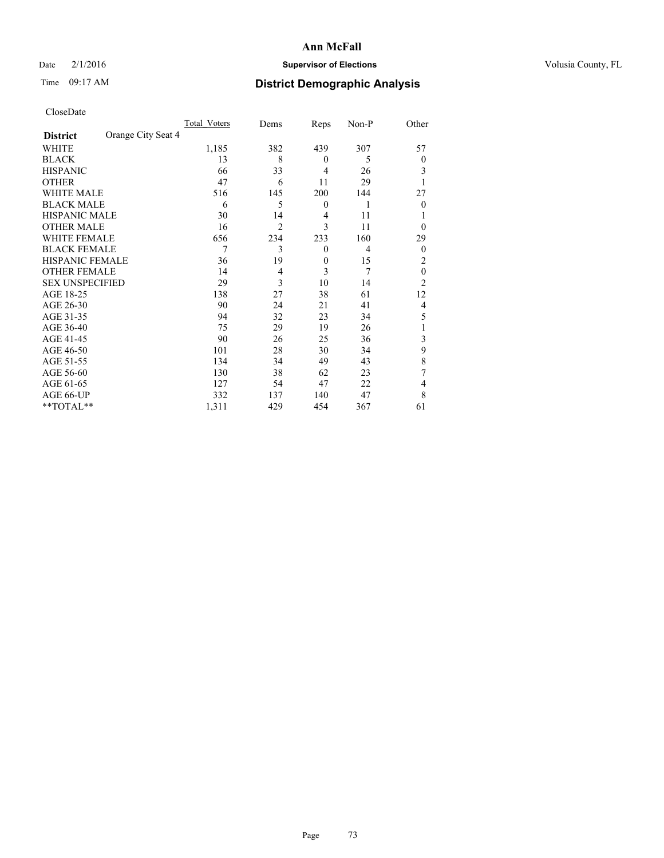# Date  $2/1/2016$  **Supervisor of Elections Supervisor of Elections** Volusia County, FL

# Time 09:17 AM **District Demographic Analysis**

|                        |                    | Total Voters | Dems           | Reps             | Non-P          | Other          |
|------------------------|--------------------|--------------|----------------|------------------|----------------|----------------|
| <b>District</b>        | Orange City Seat 4 |              |                |                  |                |                |
| WHITE                  |                    | 1,185        | 382            | 439              | 307            | 57             |
| <b>BLACK</b>           |                    | 13           | 8              | $\theta$         | 5              | $\Omega$       |
| <b>HISPANIC</b>        |                    | 66           | 33             | $\overline{4}$   | 26             | 3              |
| <b>OTHER</b>           |                    | 47           | 6              | 11               | 29             |                |
| WHITE MALE             |                    | 516          | 145            | 200              | 144            | 27             |
| <b>BLACK MALE</b>      |                    | 6            | 5              | $\boldsymbol{0}$ | 1              | $\Omega$       |
| <b>HISPANIC MALE</b>   |                    | 30           | 14             | 4                | 11             |                |
| <b>OTHER MALE</b>      |                    | 16           | $\overline{2}$ | 3                | 11             | $\Omega$       |
| <b>WHITE FEMALE</b>    |                    | 656          | 234            | 233              | 160            | 29             |
| <b>BLACK FEMALE</b>    |                    | 7            | 3              | $\theta$         | $\overline{4}$ | $\overline{0}$ |
| <b>HISPANIC FEMALE</b> |                    | 36           | 19             | $\theta$         | 15             | 2              |
| <b>OTHER FEMALE</b>    |                    | 14           | $\overline{4}$ | 3                | 7              | $\theta$       |
| <b>SEX UNSPECIFIED</b> |                    | 29           | 3              | 10               | 14             | $\overline{2}$ |
| AGE 18-25              |                    | 138          | 27             | 38               | 61             | 12             |
| AGE 26-30              |                    | 90           | 24             | 21               | 41             | 4              |
| AGE 31-35              |                    | 94           | 32             | 23               | 34             | 5              |
| AGE 36-40              |                    | 75           | 29             | 19               | 26             |                |
| AGE 41-45              |                    | 90           | 26             | 25               | 36             | 3              |
| AGE 46-50              |                    | 101          | 28             | 30               | 34             | 9              |
| AGE 51-55              |                    | 134          | 34             | 49               | 43             | 8              |
| AGE 56-60              |                    | 130          | 38             | 62               | 23             | 7              |
| AGE 61-65              |                    | 127          | 54             | 47               | 22             | 4              |
| AGE 66-UP              |                    | 332          | 137            | 140              | 47             | 8              |
| **TOTAL**              |                    | 1,311        | 429            | 454              | 367            | 61             |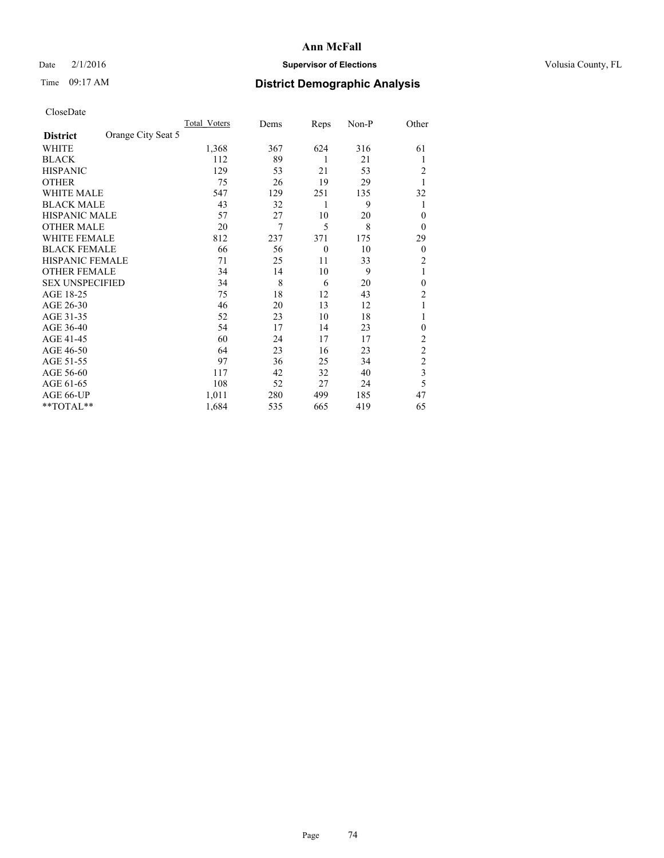# Date  $2/1/2016$  **Supervisor of Elections Supervisor of Elections** Volusia County, FL

# Time 09:17 AM **District Demographic Analysis**

|                        |                    | Total Voters | Dems | Reps     | $Non-P$ | Other            |
|------------------------|--------------------|--------------|------|----------|---------|------------------|
| <b>District</b>        | Orange City Seat 5 |              |      |          |         |                  |
| WHITE                  |                    | 1,368        | 367  | 624      | 316     | 61               |
| <b>BLACK</b>           |                    | 112          | 89   | 1        | 21      | 1                |
| <b>HISPANIC</b>        |                    | 129          | 53   | 21       | 53      | 2                |
| <b>OTHER</b>           |                    | 75           | 26   | 19       | 29      | 1                |
| <b>WHITE MALE</b>      |                    | 547          | 129  | 251      | 135     | 32               |
| <b>BLACK MALE</b>      |                    | 43           | 32   | 1        | 9       | 1                |
| <b>HISPANIC MALE</b>   |                    | 57           | 27   | 10       | 20      | $\theta$         |
| <b>OTHER MALE</b>      |                    | 20           | 7    | 5        | 8       | $\overline{0}$   |
| <b>WHITE FEMALE</b>    |                    | 812          | 237  | 371      | 175     | 29               |
| <b>BLACK FEMALE</b>    |                    | 66           | 56   | $\theta$ | 10      | $\boldsymbol{0}$ |
| HISPANIC FEMALE        |                    | 71           | 25   | 11       | 33      | 2                |
| <b>OTHER FEMALE</b>    |                    | 34           | 14   | 10       | 9       | 1                |
| <b>SEX UNSPECIFIED</b> |                    | 34           | 8    | 6        | 20      | $\theta$         |
| AGE 18-25              |                    | 75           | 18   | 12       | 43      | $\overline{c}$   |
| AGE 26-30              |                    | 46           | 20   | 13       | 12      | 1                |
| AGE 31-35              |                    | 52           | 23   | 10       | 18      | 1                |
| AGE 36-40              |                    | 54           | 17   | 14       | 23      | $\theta$         |
| AGE 41-45              |                    | 60           | 24   | 17       | 17      | 2                |
| AGE 46-50              |                    | 64           | 23   | 16       | 23      | $\overline{c}$   |
| AGE 51-55              |                    | 97           | 36   | 25       | 34      | $\overline{c}$   |
| AGE 56-60              |                    | 117          | 42   | 32       | 40      | 3                |
| AGE 61-65              |                    | 108          | 52   | 27       | 24      | 5                |
| AGE 66-UP              |                    | 1,011        | 280  | 499      | 185     | 47               |
| **TOTAL**              |                    | 1,684        | 535  | 665      | 419     | 65               |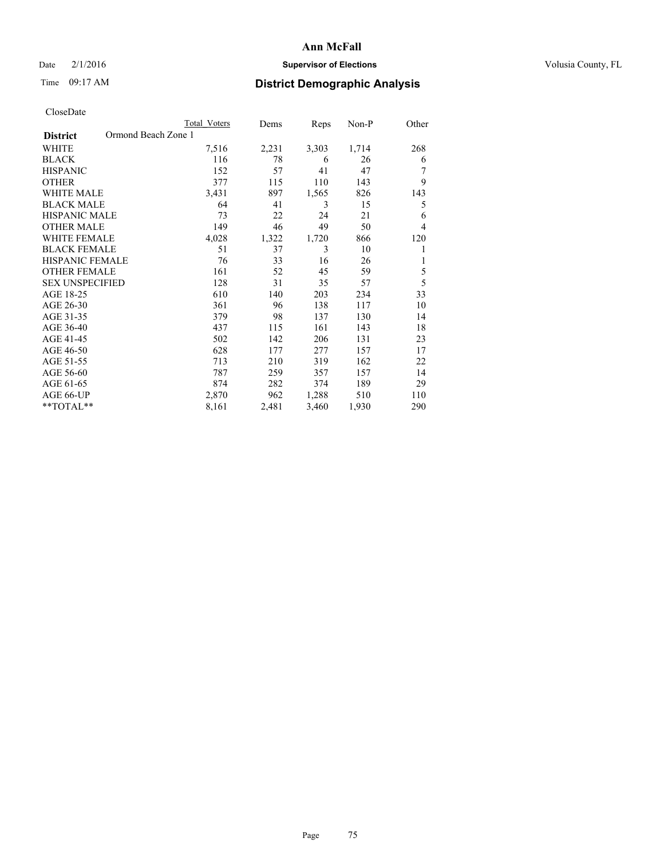# Date  $2/1/2016$  **Supervisor of Elections Supervisor of Elections** Volusia County, FL

# Time 09:17 AM **District Demographic Analysis**

|                                        | <b>Total Voters</b> | Dems  | Reps  | Non-P | Other |
|----------------------------------------|---------------------|-------|-------|-------|-------|
| Ormond Beach Zone 1<br><b>District</b> |                     |       |       |       |       |
| WHITE                                  | 7,516               | 2,231 | 3,303 | 1,714 | 268   |
| <b>BLACK</b>                           | 116                 | 78    | 6     | 26    | 6     |
| <b>HISPANIC</b>                        | 152                 | 57    | 41    | 47    |       |
| <b>OTHER</b>                           | 377                 | 115   | 110   | 143   | 9     |
| <b>WHITE MALE</b>                      | 3,431               | 897   | 1,565 | 826   | 143   |
| <b>BLACK MALE</b>                      | 64                  | 41    | 3     | 15    | 5     |
| <b>HISPANIC MALE</b>                   | 73                  | 22    | 24    | 21    | 6     |
| <b>OTHER MALE</b>                      | 149                 | 46    | 49    | 50    | 4     |
| <b>WHITE FEMALE</b>                    | 4,028               | 1,322 | 1,720 | 866   | 120   |
| <b>BLACK FEMALE</b>                    | 51                  | 37    | 3     | 10    | 1     |
| <b>HISPANIC FEMALE</b>                 | 76                  | 33    | 16    | 26    | 1     |
| <b>OTHER FEMALE</b>                    | 161                 | 52    | 45    | 59    | 5     |
| <b>SEX UNSPECIFIED</b>                 | 128                 | 31    | 35    | 57    | 5     |
| AGE 18-25                              | 610                 | 140   | 203   | 234   | 33    |
| AGE 26-30                              | 361                 | 96    | 138   | 117   | 10    |
| AGE 31-35                              | 379                 | 98    | 137   | 130   | 14    |
| AGE 36-40                              | 437                 | 115   | 161   | 143   | 18    |
| AGE 41-45                              | 502                 | 142   | 206   | 131   | 23    |
| AGE 46-50                              | 628                 | 177   | 277   | 157   | 17    |
| AGE 51-55                              | 713                 | 210   | 319   | 162   | 22    |
| AGE 56-60                              | 787                 | 259   | 357   | 157   | 14    |
| AGE 61-65                              | 874                 | 282   | 374   | 189   | 29    |
| AGE 66-UP                              | 2,870               | 962   | 1,288 | 510   | 110   |
| **TOTAL**                              | 8,161               | 2,481 | 3,460 | 1,930 | 290   |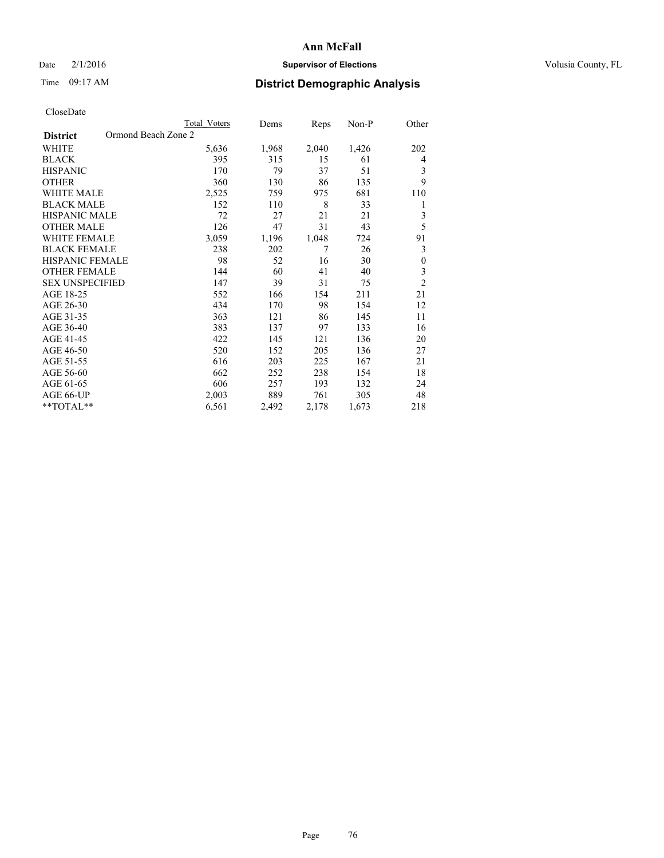# Date  $2/1/2016$  **Supervisor of Elections Supervisor of Elections** Volusia County, FL

# Time 09:17 AM **District Demographic Analysis**

|                                        | <b>Total Voters</b> | Dems  | Reps  | Non-P | Other            |
|----------------------------------------|---------------------|-------|-------|-------|------------------|
| Ormond Beach Zone 2<br><b>District</b> |                     |       |       |       |                  |
| WHITE                                  | 5,636               | 1,968 | 2,040 | 1,426 | 202              |
| <b>BLACK</b>                           | 395                 | 315   | 15    | 61    | 4                |
| <b>HISPANIC</b>                        | 170                 | 79    | 37    | 51    | 3                |
| <b>OTHER</b>                           | 360                 | 130   | 86    | 135   | 9                |
| <b>WHITE MALE</b>                      | 2,525               | 759   | 975   | 681   | 110              |
| <b>BLACK MALE</b>                      | 152                 | 110   | 8     | 33    | 1                |
| <b>HISPANIC MALE</b>                   | 72                  | 27    | 21    | 21    | 3                |
| <b>OTHER MALE</b>                      | 126                 | 47    | 31    | 43    | 5                |
| <b>WHITE FEMALE</b>                    | 3,059               | 1,196 | 1,048 | 724   | 91               |
| <b>BLACK FEMALE</b>                    | 238                 | 202   | 7     | 26    | 3                |
| <b>HISPANIC FEMALE</b>                 | 98                  | 52    | 16    | 30    | $\boldsymbol{0}$ |
| <b>OTHER FEMALE</b>                    | 144                 | 60    | 41    | 40    | 3                |
| <b>SEX UNSPECIFIED</b>                 | 147                 | 39    | 31    | 75    | $\overline{c}$   |
| AGE 18-25                              | 552                 | 166   | 154   | 211   | 21               |
| AGE 26-30                              | 434                 | 170   | 98    | 154   | 12               |
| AGE 31-35                              | 363                 | 121   | 86    | 145   | 11               |
| AGE 36-40                              | 383                 | 137   | 97    | 133   | 16               |
| AGE 41-45                              | 422                 | 145   | 121   | 136   | 20               |
| AGE 46-50                              | 520                 | 152   | 205   | 136   | 27               |
| AGE 51-55                              | 616                 | 203   | 225   | 167   | 21               |
| AGE 56-60                              | 662                 | 252   | 238   | 154   | 18               |
| AGE 61-65                              | 606                 | 257   | 193   | 132   | 24               |
| AGE 66-UP                              | 2,003               | 889   | 761   | 305   | 48               |
| **TOTAL**                              | 6,561               | 2,492 | 2,178 | 1,673 | 218              |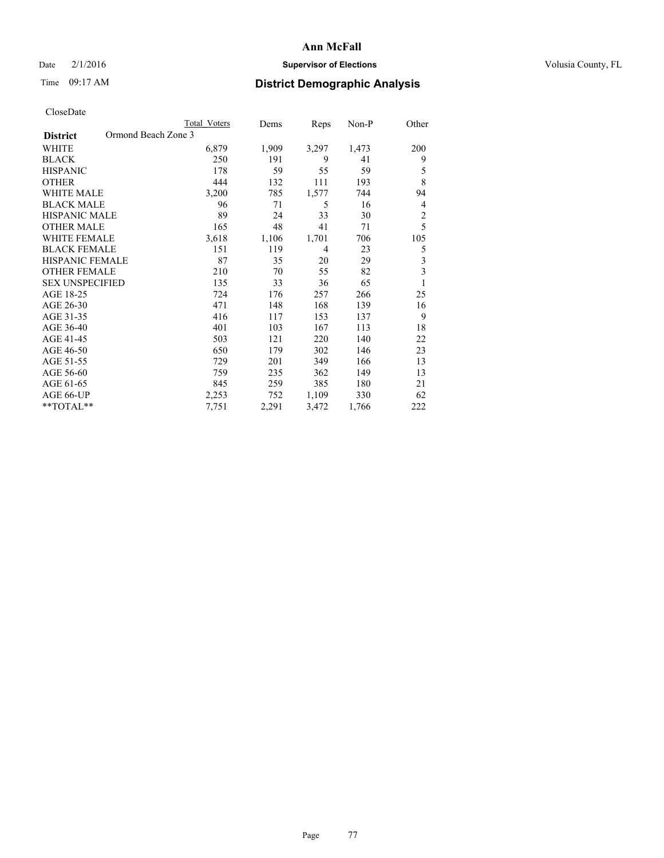# Date  $2/1/2016$  **Supervisor of Elections Supervisor of Elections** Volusia County, FL

# Time 09:17 AM **District Demographic Analysis**

|                                        | <b>Total Voters</b> | Dems  | Reps  | Non-P | Other                   |
|----------------------------------------|---------------------|-------|-------|-------|-------------------------|
| Ormond Beach Zone 3<br><b>District</b> |                     |       |       |       |                         |
| WHITE                                  | 6,879               | 1,909 | 3,297 | 1,473 | 200                     |
| <b>BLACK</b>                           | 250                 | 191   | 9     | 41    | 9                       |
| <b>HISPANIC</b>                        | 178                 | 59    | 55    | 59    | 5                       |
| <b>OTHER</b>                           | 444                 | 132   | 111   | 193   | 8                       |
| <b>WHITE MALE</b>                      | 3,200               | 785   | 1,577 | 744   | 94                      |
| <b>BLACK MALE</b>                      | 96                  | 71    | 5     | 16    | 4                       |
| HISPANIC MALE                          | 89                  | 24    | 33    | 30    | $\overline{c}$          |
| <b>OTHER MALE</b>                      | 165                 | 48    | 41    | 71    | 5                       |
| <b>WHITE FEMALE</b>                    | 3,618               | 1,106 | 1,701 | 706   | 105                     |
| <b>BLACK FEMALE</b>                    | 151                 | 119   | 4     | 23    | 5                       |
| <b>HISPANIC FEMALE</b>                 | 87                  | 35    | 20    | 29    | $\overline{\mathbf{3}}$ |
| <b>OTHER FEMALE</b>                    | 210                 | 70    | 55    | 82    | $\overline{\mathbf{3}}$ |
| <b>SEX UNSPECIFIED</b>                 | 135                 | 33    | 36    | 65    | 1                       |
| AGE 18-25                              | 724                 | 176   | 257   | 266   | 25                      |
| AGE 26-30                              | 471                 | 148   | 168   | 139   | 16                      |
| AGE 31-35                              | 416                 | 117   | 153   | 137   | 9                       |
| AGE 36-40                              | 401                 | 103   | 167   | 113   | 18                      |
| AGE 41-45                              | 503                 | 121   | 220   | 140   | 22                      |
| AGE 46-50                              | 650                 | 179   | 302   | 146   | 23                      |
| AGE 51-55                              | 729                 | 201   | 349   | 166   | 13                      |
| AGE 56-60                              | 759                 | 235   | 362   | 149   | 13                      |
| AGE 61-65                              | 845                 | 259   | 385   | 180   | 21                      |
| AGE 66-UP                              | 2,253               | 752   | 1,109 | 330   | 62                      |
| **TOTAL**                              | 7,751               | 2,291 | 3,472 | 1,766 | 222                     |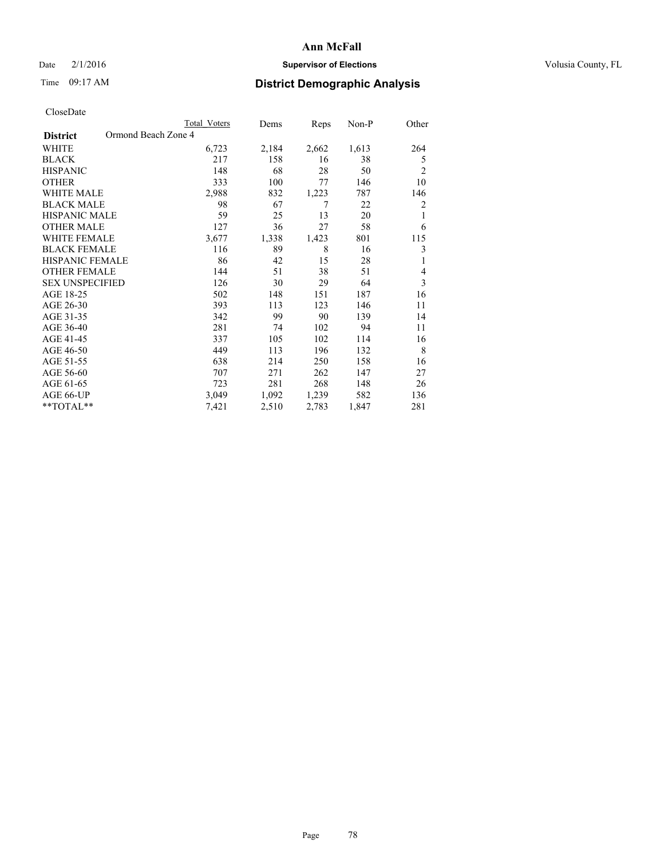# Date  $2/1/2016$  **Supervisor of Elections Supervisor of Elections** Volusia County, FL

# Time 09:17 AM **District Demographic Analysis**

|                                        | <b>Total Voters</b> | Dems  | Reps  | Non-P | Other          |
|----------------------------------------|---------------------|-------|-------|-------|----------------|
| Ormond Beach Zone 4<br><b>District</b> |                     |       |       |       |                |
| WHITE                                  | 6,723               | 2,184 | 2,662 | 1,613 | 264            |
| <b>BLACK</b>                           | 217                 | 158   | 16    | 38    | 5              |
| <b>HISPANIC</b>                        | 148                 | 68    | 28    | 50    | $\overline{2}$ |
| <b>OTHER</b>                           | 333                 | 100   | 77    | 146   | 10             |
| WHITE MALE                             | 2,988               | 832   | 1,223 | 787   | 146            |
| <b>BLACK MALE</b>                      | 98                  | 67    | 7     | 22    | 2              |
| <b>HISPANIC MALE</b>                   | 59                  | 25    | 13    | 20    | 1              |
| <b>OTHER MALE</b>                      | 127                 | 36    | 27    | 58    | 6              |
| <b>WHITE FEMALE</b>                    | 3,677               | 1,338 | 1,423 | 801   | 115            |
| <b>BLACK FEMALE</b>                    | 116                 | 89    | 8     | 16    | 3              |
| <b>HISPANIC FEMALE</b>                 | 86                  | 42    | 15    | 28    | 1              |
| <b>OTHER FEMALE</b>                    | 144                 | 51    | 38    | 51    | 4              |
| <b>SEX UNSPECIFIED</b>                 | 126                 | 30    | 29    | 64    | 3              |
| AGE 18-25                              | 502                 | 148   | 151   | 187   | 16             |
| AGE 26-30                              | 393                 | 113   | 123   | 146   | 11             |
| AGE 31-35                              | 342                 | 99    | 90    | 139   | 14             |
| AGE 36-40                              | 281                 | 74    | 102   | 94    | 11             |
| AGE 41-45                              | 337                 | 105   | 102   | 114   | 16             |
| AGE 46-50                              | 449                 | 113   | 196   | 132   | 8              |
| AGE 51-55                              | 638                 | 214   | 250   | 158   | 16             |
| AGE 56-60                              | 707                 | 271   | 262   | 147   | 27             |
| AGE 61-65                              | 723                 | 281   | 268   | 148   | 26             |
| AGE 66-UP                              | 3,049               | 1,092 | 1,239 | 582   | 136            |
| **TOTAL**                              | 7,421               | 2,510 | 2,783 | 1,847 | 281            |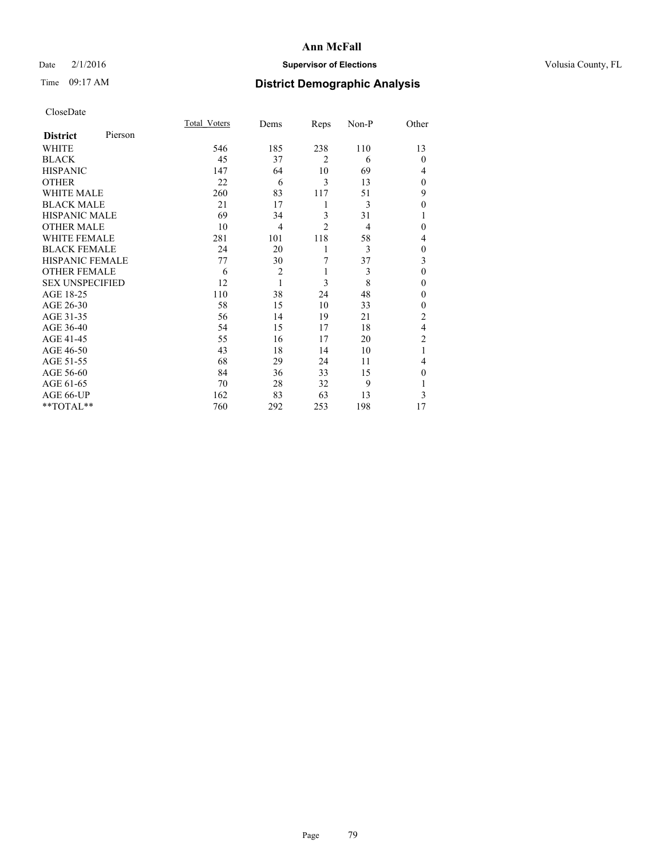# Date  $2/1/2016$  **Supervisor of Elections Supervisor of Elections** Volusia County, FL

# Time 09:17 AM **District Demographic Analysis**

| CloseDate |
|-----------|
|-----------|

|                        |         | Total Voters | Dems           | Reps           | Non-P          | Other          |
|------------------------|---------|--------------|----------------|----------------|----------------|----------------|
| <b>District</b>        | Pierson |              |                |                |                |                |
| WHITE                  |         | 546          | 185            | 238            | 110            | 13             |
| <b>BLACK</b>           |         | 45           | 37             | $\overline{2}$ | 6              | $\theta$       |
| <b>HISPANIC</b>        |         | 147          | 64             | 10             | 69             | 4              |
| <b>OTHER</b>           |         | 22           | 6              | 3              | 13             | $\theta$       |
| WHITE MALE             |         | 260          | 83             | 117            | 51             | 9              |
| <b>BLACK MALE</b>      |         | 21           | 17             | 1              | 3              | $\mathbf{0}$   |
| <b>HISPANIC MALE</b>   |         | 69           | 34             | 3              | 31             | 1              |
| <b>OTHER MALE</b>      |         | 10           | 4              | $\overline{c}$ | $\overline{4}$ | 0              |
| <b>WHITE FEMALE</b>    |         | 281          | 101            | 118            | 58             | 4              |
| <b>BLACK FEMALE</b>    |         | 24           | 20             | 1              | 3              | $\mathbf{0}$   |
| <b>HISPANIC FEMALE</b> |         | 77           | 30             | 7              | 37             | 3              |
| <b>OTHER FEMALE</b>    |         | 6            | $\overline{c}$ | 1              | 3              | $\theta$       |
| <b>SEX UNSPECIFIED</b> |         | 12           | 1              | 3              | 8              | $\mathbf{0}$   |
| AGE 18-25              |         | 110          | 38             | 24             | 48             | $\theta$       |
| AGE 26-30              |         | 58           | 15             | 10             | 33             | $\mathbf{0}$   |
| AGE 31-35              |         | 56           | 14             | 19             | 21             | $\overline{c}$ |
| AGE 36-40              |         | 54           | 15             | 17             | 18             | 4              |
| AGE 41-45              |         | 55           | 16             | 17             | 20             | $\overline{c}$ |
| AGE 46-50              |         | 43           | 18             | 14             | 10             | 1              |
| AGE 51-55              |         | 68           | 29             | 24             | 11             | 4              |
| AGE 56-60              |         | 84           | 36             | 33             | 15             | $\theta$       |
| AGE 61-65              |         | 70           | 28             | 32             | 9              | 1              |
| AGE 66-UP              |         | 162          | 83             | 63             | 13             | 3              |
| **TOTAL**              |         | 760          | 292            | 253            | 198            | 17             |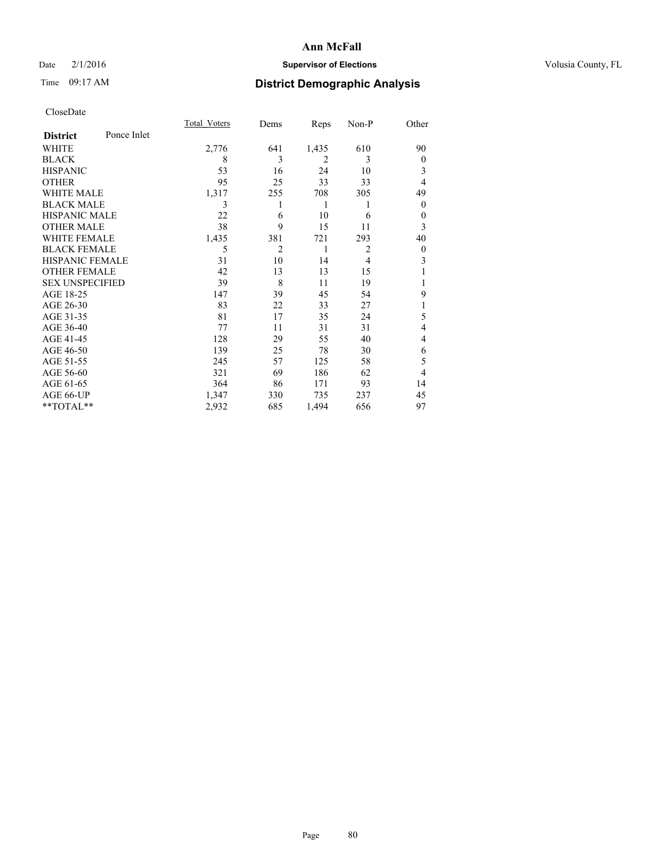# Date  $2/1/2016$  **Supervisor of Elections Supervisor of Elections** Volusia County, FL

# Time 09:17 AM **District Demographic Analysis**

|                        |             | Total Voters | Dems | Reps           | Non-P          | Other            |
|------------------------|-------------|--------------|------|----------------|----------------|------------------|
| <b>District</b>        | Ponce Inlet |              |      |                |                |                  |
| WHITE                  |             | 2,776        | 641  | 1,435          | 610            | 90               |
| <b>BLACK</b>           |             | 8            | 3    | $\overline{2}$ | 3              | $\theta$         |
| <b>HISPANIC</b>        |             | 53           | 16   | 24             | 10             | 3                |
| <b>OTHER</b>           |             | 95           | 25   | 33             | 33             | $\overline{4}$   |
| WHITE MALE             |             | 1,317        | 255  | 708            | 305            | 49               |
| <b>BLACK MALE</b>      |             | 3            |      | 1              | 1              | $\theta$         |
| <b>HISPANIC MALE</b>   |             | 22           | 6    | 10             | 6              | $\theta$         |
| <b>OTHER MALE</b>      |             | 38           | 9    | 15             | 11             | 3                |
| <b>WHITE FEMALE</b>    |             | 1,435        | 381  | 721            | 293            | 40               |
| <b>BLACK FEMALE</b>    |             | 5            | 2    | 1              | $\overline{2}$ | $\boldsymbol{0}$ |
| <b>HISPANIC FEMALE</b> |             | 31           | 10   | 14             | $\overline{4}$ | 3                |
| <b>OTHER FEMALE</b>    |             | 42           | 13   | 13             | 15             |                  |
| <b>SEX UNSPECIFIED</b> |             | 39           | 8    | 11             | 19             |                  |
| AGE 18-25              |             | 147          | 39   | 45             | 54             | 9                |
| AGE 26-30              |             | 83           | 22   | 33             | 27             | 1                |
| AGE 31-35              |             | 81           | 17   | 35             | 24             | 5                |
| AGE 36-40              |             | 77           | 11   | 31             | 31             | 4                |
| AGE 41-45              |             | 128          | 29   | 55             | 40             | 4                |
| AGE 46-50              |             | 139          | 25   | 78             | 30             | 6                |
| AGE 51-55              |             | 245          | 57   | 125            | 58             | 5                |
| AGE 56-60              |             | 321          | 69   | 186            | 62             | 4                |
| AGE 61-65              |             | 364          | 86   | 171            | 93             | 14               |
| AGE 66-UP              |             | 1,347        | 330  | 735            | 237            | 45               |
| **TOTAL**              |             | 2,932        | 685  | 1,494          | 656            | 97               |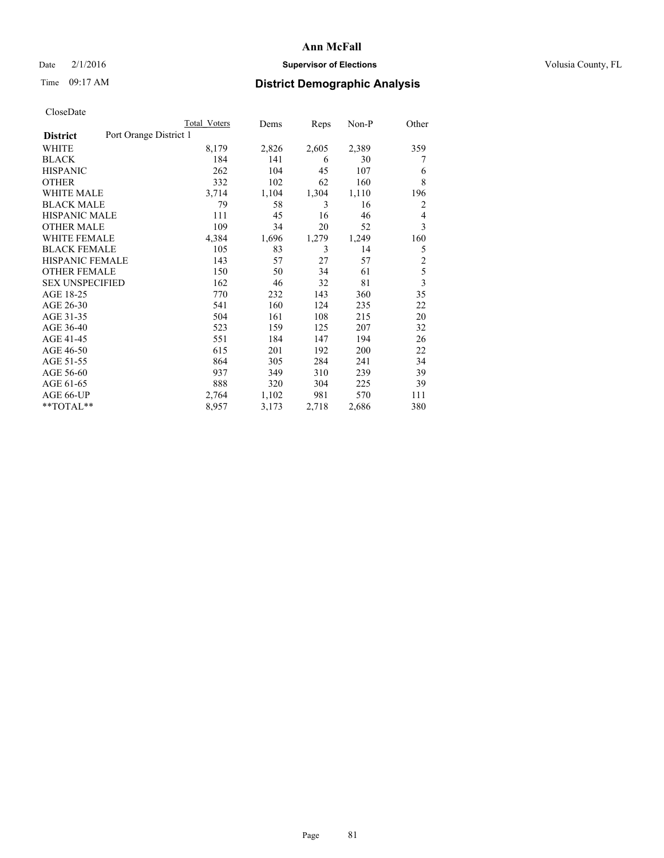# Date  $2/1/2016$  **Supervisor of Elections Supervisor of Elections** Volusia County, FL

# Time 09:17 AM **District Demographic Analysis**

|                        |                        | Total Voters | Dems  | Reps  | $Non-P$ | Other          |
|------------------------|------------------------|--------------|-------|-------|---------|----------------|
| <b>District</b>        | Port Orange District 1 |              |       |       |         |                |
| WHITE                  |                        | 8,179        | 2,826 | 2,605 | 2,389   | 359            |
| <b>BLACK</b>           |                        | 184          | 141   | 6     | 30      | 7              |
| <b>HISPANIC</b>        |                        | 262          | 104   | 45    | 107     | 6              |
| <b>OTHER</b>           |                        | 332          | 102   | 62    | 160     | 8              |
| WHITE MALE             |                        | 3,714        | 1,104 | 1,304 | 1,110   | 196            |
| <b>BLACK MALE</b>      |                        | 79           | 58    | 3     | 16      | 2              |
| <b>HISPANIC MALE</b>   |                        | 111          | 45    | 16    | 46      | 4              |
| <b>OTHER MALE</b>      |                        | 109          | 34    | 20    | 52      | 3              |
| <b>WHITE FEMALE</b>    |                        | 4,384        | 1,696 | 1,279 | 1,249   | 160            |
| <b>BLACK FEMALE</b>    |                        | 105          | 83    | 3     | 14      | 5              |
| HISPANIC FEMALE        |                        | 143          | 57    | 27    | 57      | $\overline{2}$ |
| <b>OTHER FEMALE</b>    |                        | 150          | 50    | 34    | 61      | 5              |
| <b>SEX UNSPECIFIED</b> |                        | 162          | 46    | 32    | 81      | 3              |
| AGE 18-25              |                        | 770          | 232   | 143   | 360     | 35             |
| AGE 26-30              |                        | 541          | 160   | 124   | 235     | 22             |
| AGE 31-35              |                        | 504          | 161   | 108   | 215     | 20             |
| AGE 36-40              |                        | 523          | 159   | 125   | 207     | 32             |
| AGE 41-45              |                        | 551          | 184   | 147   | 194     | 26             |
| AGE 46-50              |                        | 615          | 201   | 192   | 200     | 22             |
| AGE 51-55              |                        | 864          | 305   | 284   | 241     | 34             |
| AGE 56-60              |                        | 937          | 349   | 310   | 239     | 39             |
| AGE 61-65              |                        | 888          | 320   | 304   | 225     | 39             |
| AGE 66-UP              |                        | 2,764        | 1,102 | 981   | 570     | 111            |
| **TOTAL**              |                        | 8,957        | 3,173 | 2,718 | 2,686   | 380            |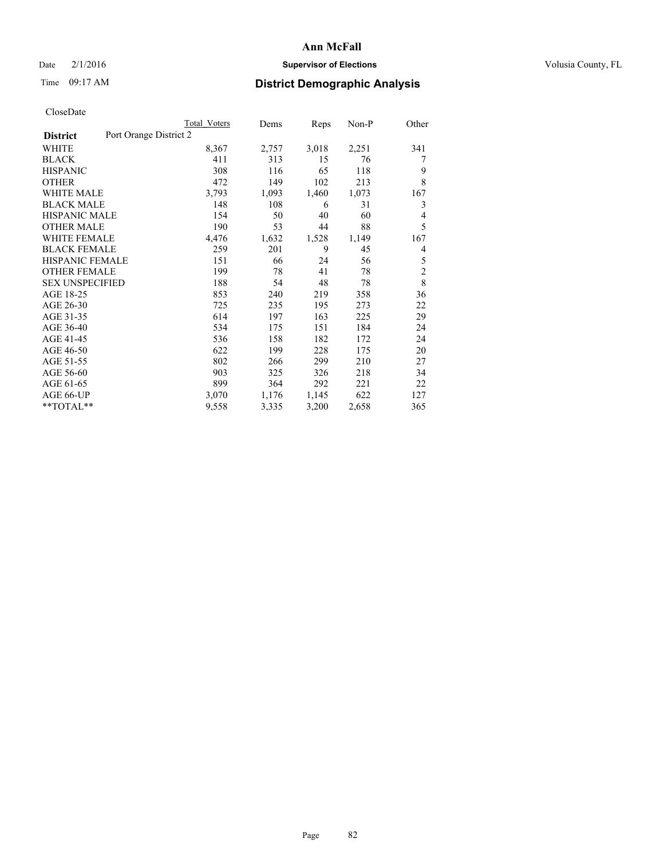# Date  $2/1/2016$  **Supervisor of Elections Supervisor of Elections** Volusia County, FL

# Time 09:17 AM **District Demographic Analysis**

|                        |                        | Total Voters | Dems  | Reps  | Non-P | Other          |
|------------------------|------------------------|--------------|-------|-------|-------|----------------|
| <b>District</b>        | Port Orange District 2 |              |       |       |       |                |
| WHITE                  |                        | 8,367        | 2,757 | 3,018 | 2,251 | 341            |
| <b>BLACK</b>           |                        | 411          | 313   | 15    | 76    | 7              |
| <b>HISPANIC</b>        |                        | 308          | 116   | 65    | 118   | 9              |
| <b>OTHER</b>           |                        | 472          | 149   | 102   | 213   | 8              |
| WHITE MALE             |                        | 3,793        | 1,093 | 1,460 | 1,073 | 167            |
| <b>BLACK MALE</b>      |                        | 148          | 108   | 6     | 31    | 3              |
| <b>HISPANIC MALE</b>   |                        | 154          | 50    | 40    | 60    | 4              |
| <b>OTHER MALE</b>      |                        | 190          | 53    | 44    | 88    | 5              |
| WHITE FEMALE           |                        | 4,476        | 1,632 | 1,528 | 1,149 | 167            |
| <b>BLACK FEMALE</b>    |                        | 259          | 201   | 9     | 45    | 4              |
| HISPANIC FEMALE        |                        | 151          | 66    | 24    | 56    | 5              |
| <b>OTHER FEMALE</b>    |                        | 199          | 78    | 41    | 78    | $\overline{2}$ |
| <b>SEX UNSPECIFIED</b> |                        | 188          | 54    | 48    | 78    | 8              |
| AGE 18-25              |                        | 853          | 240   | 219   | 358   | 36             |
| AGE 26-30              |                        | 725          | 235   | 195   | 273   | 22             |
| AGE 31-35              |                        | 614          | 197   | 163   | 225   | 29             |
| AGE 36-40              |                        | 534          | 175   | 151   | 184   | 24             |
| AGE 41-45              |                        | 536          | 158   | 182   | 172   | 24             |
| AGE 46-50              |                        | 622          | 199   | 228   | 175   | 20             |
| AGE 51-55              |                        | 802          | 266   | 299   | 210   | 27             |
| AGE 56-60              |                        | 903          | 325   | 326   | 218   | 34             |
| AGE 61-65              |                        | 899          | 364   | 292   | 221   | 22             |
| AGE 66-UP              |                        | 3,070        | 1,176 | 1,145 | 622   | 127            |
| **TOTAL**              |                        | 9,558        | 3,335 | 3,200 | 2,658 | 365            |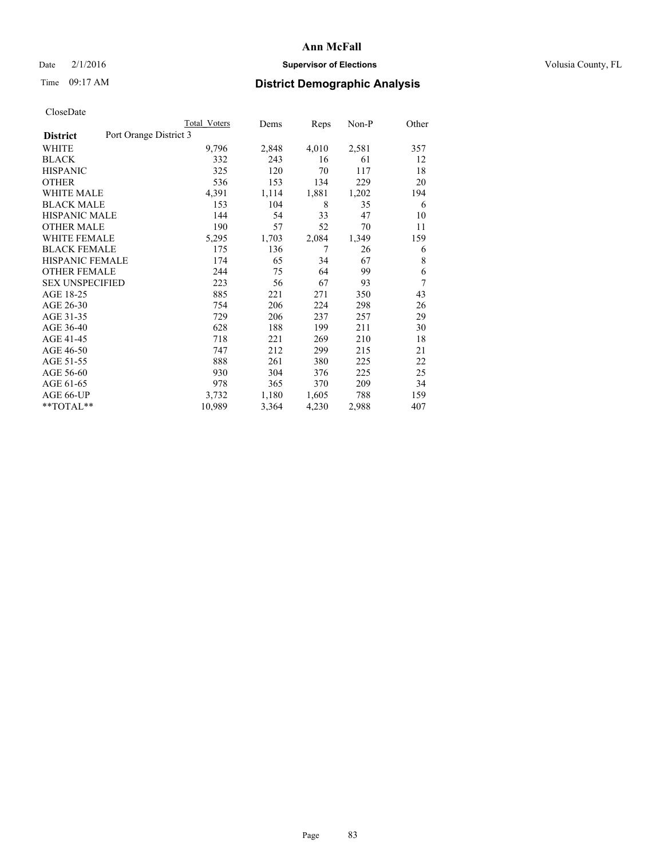# Date  $2/1/2016$  **Supervisor of Elections Supervisor of Elections** Volusia County, FL

# Time 09:17 AM **District Demographic Analysis**

|                        |                        | Total Voters | Dems  | Reps  | $Non-P$ | Other |
|------------------------|------------------------|--------------|-------|-------|---------|-------|
| <b>District</b>        | Port Orange District 3 |              |       |       |         |       |
| WHITE                  |                        | 9,796        | 2,848 | 4,010 | 2,581   | 357   |
| <b>BLACK</b>           |                        | 332          | 243   | 16    | 61      | 12    |
| <b>HISPANIC</b>        |                        | 325          | 120   | 70    | 117     | 18    |
| <b>OTHER</b>           |                        | 536          | 153   | 134   | 229     | 20    |
| WHITE MALE             |                        | 4,391        | 1,114 | 1,881 | 1,202   | 194   |
| <b>BLACK MALE</b>      |                        | 153          | 104   | 8     | 35      | 6     |
| <b>HISPANIC MALE</b>   |                        | 144          | 54    | 33    | 47      | 10    |
| <b>OTHER MALE</b>      |                        | 190          | 57    | 52    | 70      | 11    |
| WHITE FEMALE           |                        | 5,295        | 1,703 | 2,084 | 1,349   | 159   |
| <b>BLACK FEMALE</b>    |                        | 175          | 136   | 7     | 26      | 6     |
| HISPANIC FEMALE        |                        | 174          | 65    | 34    | 67      | 8     |
| <b>OTHER FEMALE</b>    |                        | 244          | 75    | 64    | 99      | 6     |
| <b>SEX UNSPECIFIED</b> |                        | 223          | 56    | 67    | 93      | 7     |
| AGE 18-25              |                        | 885          | 221   | 271   | 350     | 43    |
| AGE 26-30              |                        | 754          | 206   | 224   | 298     | 26    |
| AGE 31-35              |                        | 729          | 206   | 237   | 257     | 29    |
| AGE 36-40              |                        | 628          | 188   | 199   | 211     | 30    |
| AGE 41-45              |                        | 718          | 221   | 269   | 210     | 18    |
| AGE 46-50              |                        | 747          | 212   | 299   | 215     | 21    |
| AGE 51-55              |                        | 888          | 261   | 380   | 225     | 22    |
| AGE 56-60              |                        | 930          | 304   | 376   | 225     | 25    |
| AGE 61-65              |                        | 978          | 365   | 370   | 209     | 34    |
| AGE 66-UP              |                        | 3,732        | 1,180 | 1,605 | 788     | 159   |
| **TOTAL**              |                        | 10,989       | 3,364 | 4,230 | 2,988   | 407   |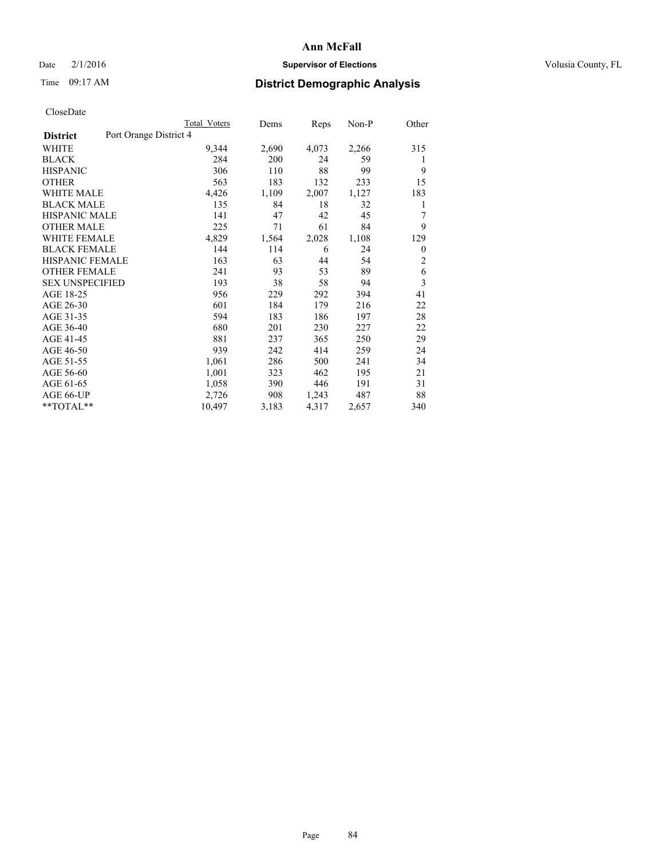# Date  $2/1/2016$  **Supervisor of Elections Supervisor of Elections** Volusia County, FL

# Time 09:17 AM **District Demographic Analysis**

|                        | <b>Total Voters</b>    | Dems  | Reps  | Non-P | Other          |
|------------------------|------------------------|-------|-------|-------|----------------|
| <b>District</b>        | Port Orange District 4 |       |       |       |                |
| WHITE                  | 9,344                  | 2,690 | 4,073 | 2,266 | 315            |
| <b>BLACK</b>           | 284                    | 200   | 24    | 59    | 1              |
| <b>HISPANIC</b>        | 306                    | 110   | 88    | 99    | 9              |
| <b>OTHER</b>           | 563                    | 183   | 132   | 233   | 15             |
| WHITE MALE             | 4,426                  | 1,109 | 2,007 | 1,127 | 183            |
| <b>BLACK MALE</b>      | 135                    | 84    | 18    | 32    | 1              |
| <b>HISPANIC MALE</b>   | 141                    | 47    | 42    | 45    | 7              |
| <b>OTHER MALE</b>      | 225                    | 71    | 61    | 84    | 9              |
| WHITE FEMALE           | 4,829                  | 1,564 | 2,028 | 1,108 | 129            |
| <b>BLACK FEMALE</b>    | 144                    | 114   | 6     | 24    | 0              |
| HISPANIC FEMALE        | 163                    | 63    | 44    | 54    | $\overline{2}$ |
| <b>OTHER FEMALE</b>    | 241                    | 93    | 53    | 89    | 6              |
| <b>SEX UNSPECIFIED</b> | 193                    | 38    | 58    | 94    | 3              |
| AGE 18-25              | 956                    | 229   | 292   | 394   | 41             |
| AGE 26-30              | 601                    | 184   | 179   | 216   | 22             |
| AGE 31-35              | 594                    | 183   | 186   | 197   | 28             |
| AGE 36-40              | 680                    | 201   | 230   | 227   | 22             |
| AGE 41-45              | 881                    | 237   | 365   | 250   | 29             |
| AGE 46-50              | 939                    | 242   | 414   | 259   | 24             |
| AGE 51-55              | 1,061                  | 286   | 500   | 241   | 34             |
| AGE 56-60              | 1,001                  | 323   | 462   | 195   | 21             |
| AGE 61-65              | 1,058                  | 390   | 446   | 191   | 31             |
| AGE 66-UP              | 2,726                  | 908   | 1,243 | 487   | 88             |
| **TOTAL**              | 10,497                 | 3,183 | 4,317 | 2,657 | 340            |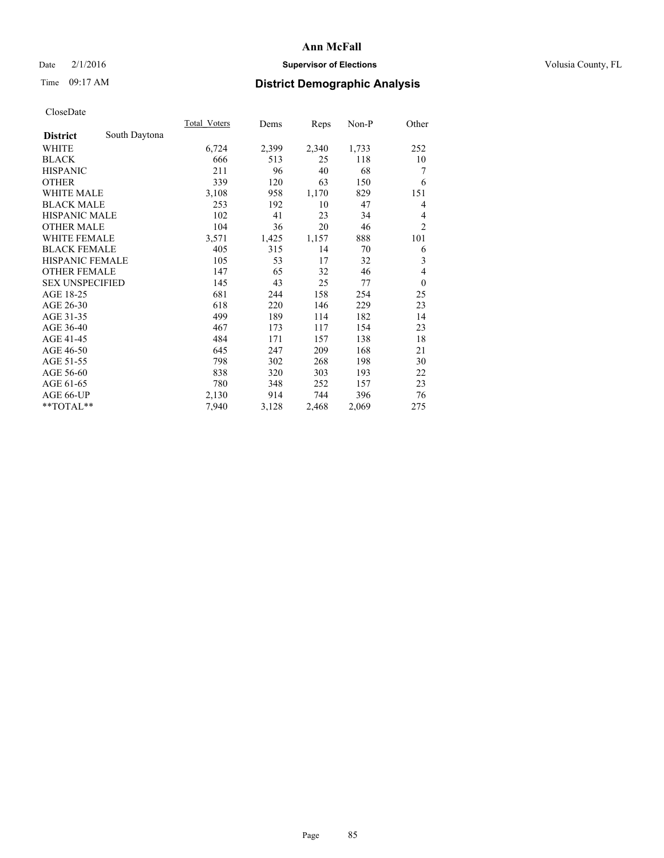# Date  $2/1/2016$  **Supervisor of Elections Supervisor of Elections** Volusia County, FL

# Time 09:17 AM **District Demographic Analysis**

|                        |               | Total Voters | Dems  | Reps  | Non-P | Other          |
|------------------------|---------------|--------------|-------|-------|-------|----------------|
| <b>District</b>        | South Daytona |              |       |       |       |                |
| WHITE                  |               | 6,724        | 2,399 | 2,340 | 1,733 | 252            |
| <b>BLACK</b>           |               | 666          | 513   | 25    | 118   | 10             |
| <b>HISPANIC</b>        |               | 211          | 96    | 40    | 68    | 7              |
| <b>OTHER</b>           |               | 339          | 120   | 63    | 150   | 6              |
| <b>WHITE MALE</b>      |               | 3,108        | 958   | 1,170 | 829   | 151            |
| <b>BLACK MALE</b>      |               | 253          | 192   | 10    | 47    | 4              |
| HISPANIC MALE          |               | 102          | 41    | 23    | 34    | 4              |
| <b>OTHER MALE</b>      |               | 104          | 36    | 20    | 46    | $\overline{2}$ |
| <b>WHITE FEMALE</b>    |               | 3,571        | 1,425 | 1,157 | 888   | 101            |
| <b>BLACK FEMALE</b>    |               | 405          | 315   | 14    | 70    | 6              |
| <b>HISPANIC FEMALE</b> |               | 105          | 53    | 17    | 32    | 3              |
| <b>OTHER FEMALE</b>    |               | 147          | 65    | 32    | 46    | 4              |
| <b>SEX UNSPECIFIED</b> |               | 145          | 43    | 25    | 77    | $\mathbf{0}$   |
| AGE 18-25              |               | 681          | 244   | 158   | 254   | 25             |
| AGE 26-30              |               | 618          | 220   | 146   | 229   | 23             |
| AGE 31-35              |               | 499          | 189   | 114   | 182   | 14             |
| AGE 36-40              |               | 467          | 173   | 117   | 154   | 23             |
| AGE 41-45              |               | 484          | 171   | 157   | 138   | 18             |
| AGE 46-50              |               | 645          | 247   | 209   | 168   | 21             |
| AGE 51-55              |               | 798          | 302   | 268   | 198   | 30             |
| AGE 56-60              |               | 838          | 320   | 303   | 193   | 22             |
| AGE 61-65              |               | 780          | 348   | 252   | 157   | 23             |
| AGE 66-UP              |               | 2,130        | 914   | 744   | 396   | 76             |
| **TOTAL**              |               | 7,940        | 3,128 | 2,468 | 2,069 | 275            |